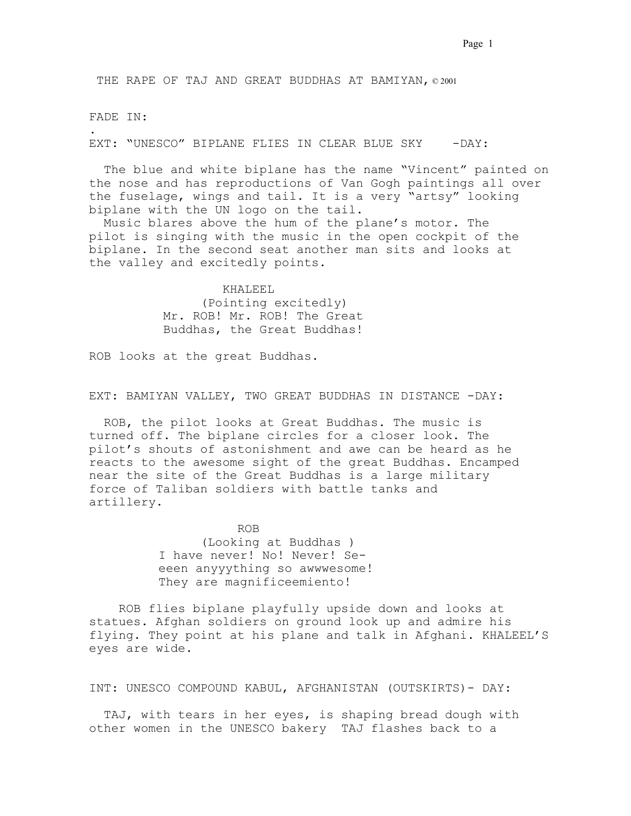THE RAPE OF TAJ AND GREAT BUDDHAS AT BAMIYAN, © 2001

### FADE IN:

.

EXT: "UNESCO" BIPLANE FLIES IN CLEAR BLUE SKY - - DAY:

 The blue and white biplane has the name "Vincent" painted on the nose and has reproductions of Van Gogh paintings all over the fuselage, wings and tail. It is a very "artsy" looking biplane with the UN logo on the tail.

 Music blares above the hum of the plane's motor. The pilot is singing with the music in the open cockpit of the biplane. In the second seat another man sits and looks at the valley and excitedly points. .

> KHALEEL (Pointing excitedly) Mr. ROB! Mr. ROB! The Great Buddhas, the Great Buddhas! .

ROB looks at the great Buddhas.

EXT: BAMIYAN VALLEY, TWO GREAT BUDDHAS IN DISTANCE -DAY:

 ROB, the pilot looks at Great Buddhas. The music is turned off. The biplane circles for a closer look. The pilot's shouts of astonishment and awe can be heard as he reacts to the awesome sight of the great Buddhas. Encamped near the site of the Great Buddhas is a large military force of Taliban soldiers with battle tanks and artillery.

> ROB (Looking at Buddhas ) I have never! No! Never! Seeeen anyyything so awwwesome! They are magnificeemiento!

 ROB flies biplane playfully upside down and looks at statues. Afghan soldiers on ground look up and admire his flying. They point at his plane and talk in Afghani. KHALEEL'S eyes are wide..

INT: UNESCO COMPOUND KABUL, AFGHANISTAN (OUTSKIRTS)- DAY:

 TAJ, with tears in her eyes, is shaping bread dough with other women in the UNESCO bakery. TAJ flashes back to a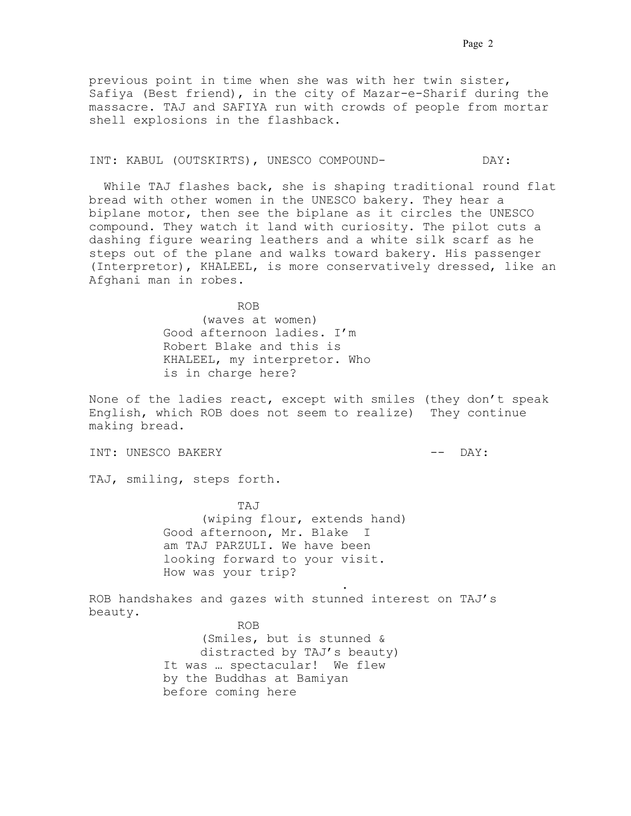### INT: KABUL (OUTSKIRTS), UNESCO COMPOUND- DAY:

 While TAJ flashes back, she is shaping traditional round flat bread with other women in the UNESCO bakery. They hear a biplane motor, then see the biplane as it circles the UNESCO compound. They watch it land with curiosity. The pilot cuts a dashing figure wearing leathers and a white silk scarf as he steps out of the plane and walks toward bakery. His passenger (Interpretor), KHALEEL, is more conservatively dressed, like an Afghani man in robes..

ROB. . . . . .

(waves at women) Good afternoon ladies. I'm Robert Blake and this is KHALEEL, my interpretor. Who is in charge here?

None of the ladies react, except with smiles (they don't speak English, which ROB does not seem to realize). They continue making bread.

INT: UNESCO BAKERY  $---$  DAY:

TAJ, smiling, steps forth.

 TAJ (wiping flour, extends hand) Good afternoon, Mr. Blake. I am TAJ PARZULI. We have been looking forward to your visit. How was your trip?

. . . . . . . . . . . . . . . . . . . . . . .

ROB handshakes and gazes with stunned interest on TAJ's beauty.

 ROB. . . (Smiles, but is stunned & distracted by TAJ's beauty). It was ... spectacular! We flew by the Buddhas at Bamiyan before coming here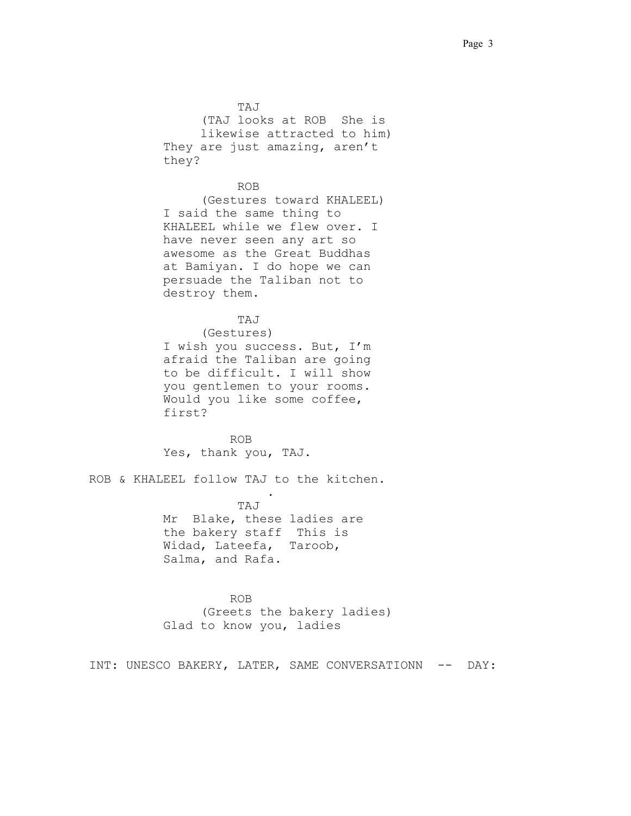TAJ (TAJ looks at ROB. She is likewise attracted to him) They are just amazing, aren't they?

## ROB. . . . . . .

(Gestures toward KHALEEL) I said the same thing to KHALEEL while we flew over. I have never seen any art so awesome as the Great Buddhas at Bamiyan. I do hope we can persuade the Taliban not to destroy them.

## TAJ. .

(Gestures) I wish you success. But, I'm afraid the Taliban are going to be difficult. I will show you gentlemen to your rooms. Would you like some coffee, first?

 ROB. . . . . . Yes, thank you, TAJ.

ROB & KHALEEL follow TAJ to the kitchen.

. . . . . . . . . . . . . . . . . .

 TAJ. Mr. Blake, these ladies are the bakery staff. This is Widad, Lateefa, Taroob, Salma, and Rafa..

 ROB. . . (Greets the bakery ladies) Glad to know you, ladies

INT: UNESCO BAKERY, LATER, SAME CONVERSATIONN -- DAY: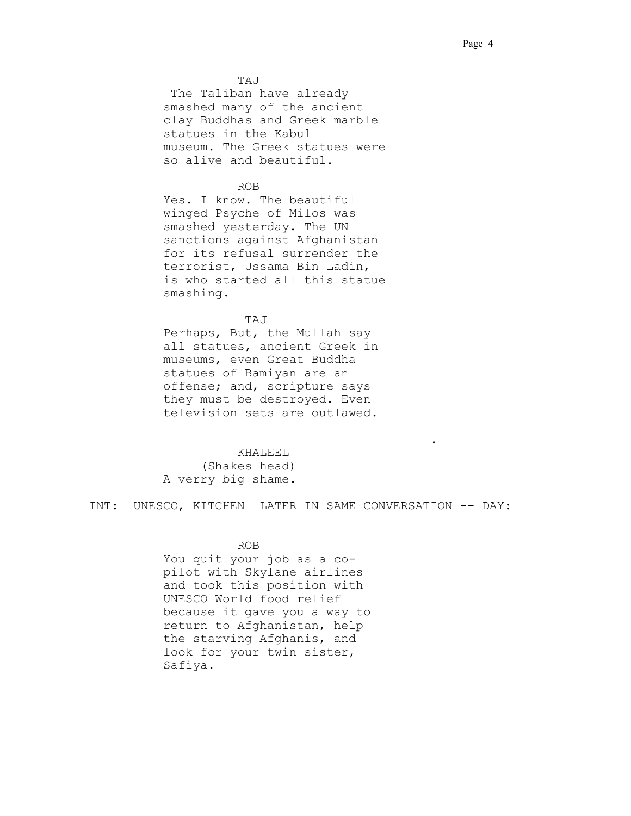TAJ .

 The Taliban have already smashed many of the ancient clay Buddhas and Greek marble statues in the Kabul museum. The Greek statues were so alive and beautiful.

## ROB

Yes. I know. The beautiful winged Psyche of Milos was smashed yesterday. The UN sanctions against Afghanistan for its refusal surrender the terrorist, Ussama Bin Ladin, is who started all this statue smashing.

## TAJ  $T$

Perhaps, But, the Mullah say all statues, ancient Greek in museums, even Great Buddha statues of Bamiyan are an offense; and, scripture says they must be destroyed. Even television sets are outlawed.

#### **KHALEEL**

(Shakes head) A verry big shame.

INT: UNESCO, KITCHEN. LATER IN SAME CONVERSATION -- DAY:

. . . . . . . . . . . . . . . . . . . . . . . . . . . . . .

#### ROB

You quit your job as a copilot with Skylane airlines and took this position with UNESCO World food relief because it gave you a way to return to Afghanistan, help the starving Afghanis, and look for your twin sister, Safiya..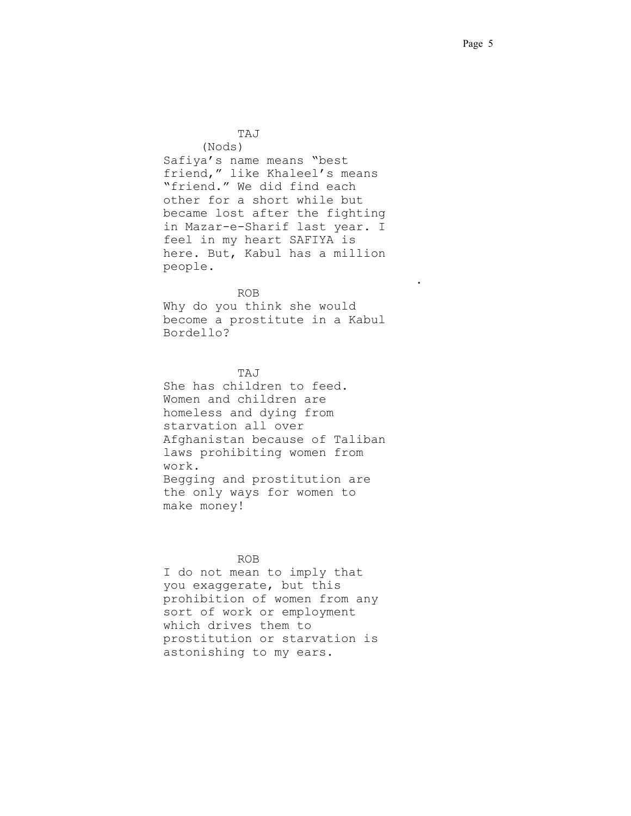$TAJ$ (Nods) Safiya's name means "best friend," like Khaleel's means "friend." We did find each other for a short while but became lost after the fighting in Mazar-e-Sharif last year. I feel in my heart SAFIYA is here. But, Kabul has a million people. . . . . . . . . . . . . . . . . . . . . . . . . . . . . . . .

 ROB. . . Why do you think she would become a prostitute in a Kabul Bordello?

## TAJ. . .

She has children to feed. Women and children are homeless and dying from starvation all over Afghanistan because of Taliban laws prohibiting women from work. Begging and prostitution are the only ways for women to make money!

### ROB.

I do not mean to imply that you exaggerate, but this prohibition of women from any sort of work or employment which drives them to prostitution or starvation is astonishing to my ears.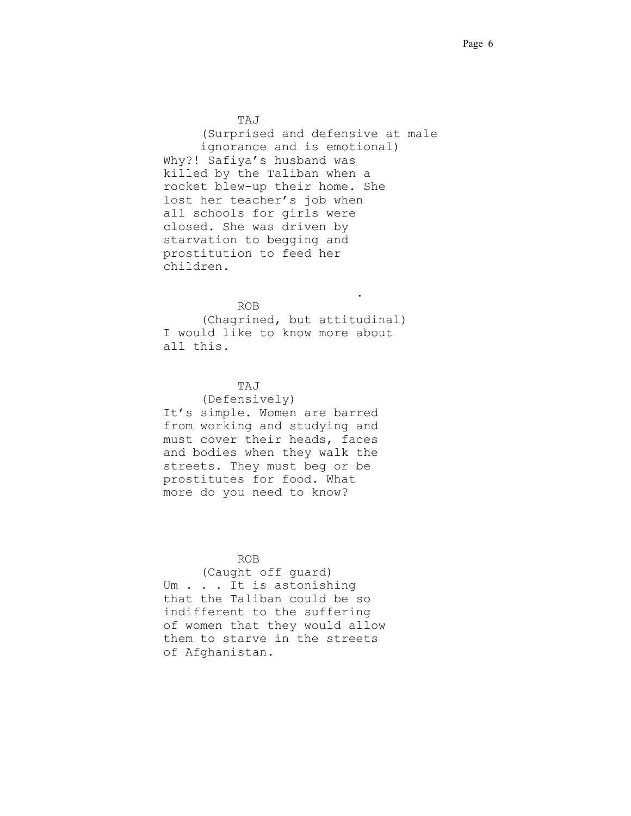## TAJ. . .

(Surprised and defensive at male ignorance and is emotional) Why?! Safiya's husband was killed by the Taliban when a rocket blew-up their home. She lost her teacher's job when all schools for girls were closed. She was driven by starvation to begging and prostitution to feed her children.

### $ROB$

. . . . . . . . . . . . . . . . . . . . . . . .

(Chagrined, but attitudinal) I would like to know more about all this.

## TAJ. . .

(Defensively) It's simple. Women are barred from working and studying and must cover their heads, faces and bodies when they walk the streets. They must beg or be prostitutes for food. What more do you need to know?

## ROB. . .

(Caught off guard) Um . . . It is astonishing that the Taliban could be so indifferent to the suffering of women that they would allow them to starve in the streets of Afghanistan. .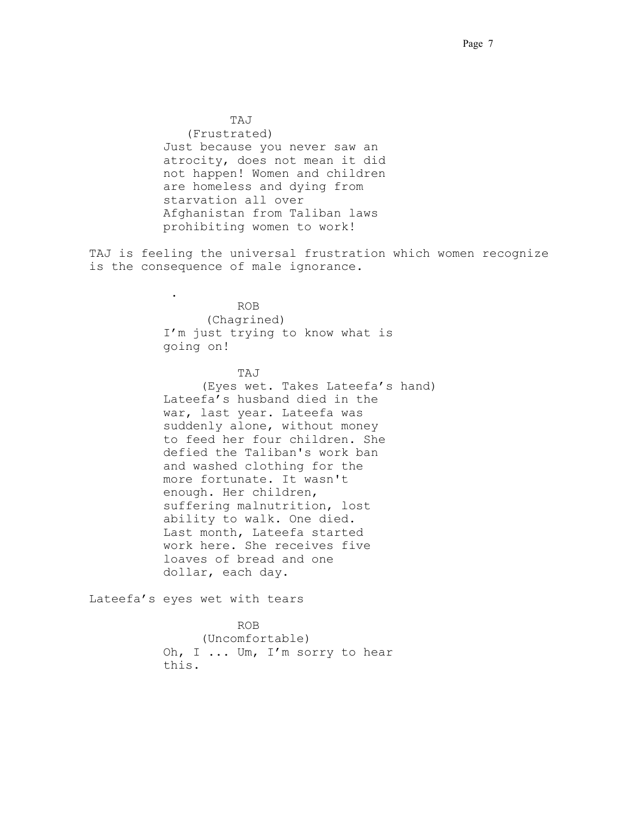TAJ. . . (Frustrated) Just because you never saw an atrocity, does not mean it did not happen! Women and children are homeless and dying from starvation all over Afghanistan from Taliban laws prohibiting women to work!

TAJ is feeling the universal frustration which women recognize is the consequence of male ignorance.

. . . . . . . . . . . . . . . . . . . . . ROB. . . (Chagrined) I'm just trying to know what is going on!

## TAJ. . .

(Eyes wet. Takes Lateefa's hand) Lateefa's husband died in the war, last year. Lateefa was suddenly alone, without money to feed her four children. She defied the Taliban's work ban and washed clothing for the more fortunate. It wasn't enough. Her children, suffering malnutrition, lost ability to walk. One died. Last month, Lateefa started work here. She receives five loaves of bread and one dollar, each day.

Lateefa's eyes wet with tears

 ROB. . . (Uncomfortable) Oh, I ... Um, I'm sorry to hear this.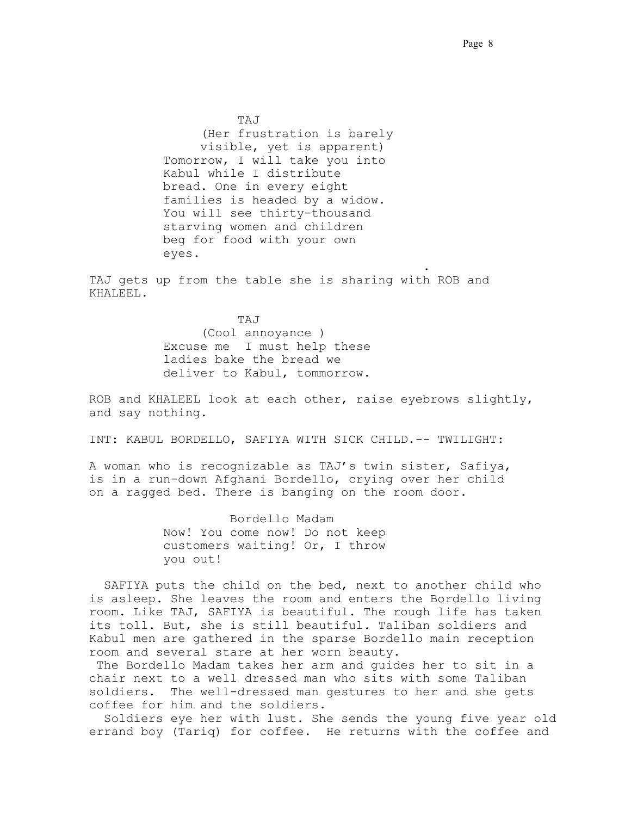$TAJ$ (Her frustration is barely visible, yet is apparent) Tomorrow, I will take you into Kabul while I distribute bread. One in every eight families is headed by a widow. You will see thirty-thousand starving women and children beg for food with your own eyes.

TAJ gets up from the table she is sharing with ROB and KHALEEL.

. . .. . . . . . . . . . . . . . . . . . . . . . . . . .

 TAJ. . . (Cool annoyance ) Excuse me. I must help these ladies bake the bread we deliver to Kabul, tommorrow. .

ROB and KHALEEL look at each other, raise eyebrows slightly, and say nothing.

INT: KABUL BORDELLO, SAFIYA WITH SICK CHILD.-- TWILIGHT:

A woman who is recognizable as TAJ's twin sister, Safiya, is in a run-down Afghani Bordello, crying over her child on a ragged bed. There is banging on the room door.

> Bordello Madam Now! You come now! Do not keep customers waiting! Or, I throw you out!

 SAFIYA puts the child on the bed, next to another child who is asleep. She leaves the room and enters the Bordello living room. Like TAJ, SAFIYA is beautiful. The rough life has taken its toll. But, she is still beautiful. Taliban soldiers and Kabul men are gathered in the sparse Bordello main reception room and several stare at her worn beauty.

 The Bordello Madam takes her arm and guides her to sit in a chair next to a well dressed man who sits with some Taliban soldiers. The well-dressed man gestures to her and she gets coffee for him and the soldiers..

 Soldiers eye her with lust. She sends the young five year old errand boy (Tariq) for coffee. He returns with the coffee and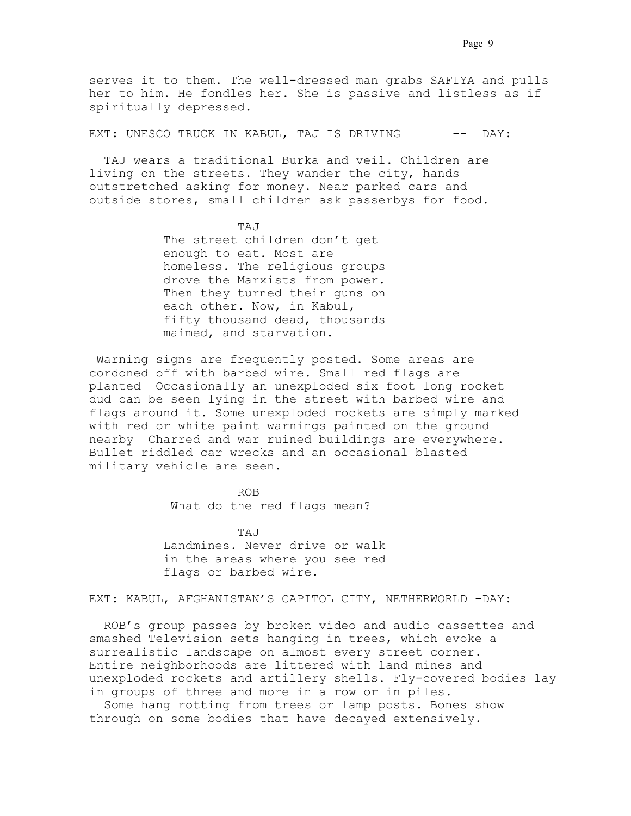serves it to them. The well-dressed man grabs SAFIYA and pulls her to him. He fondles her. She is passive and listless as if spiritually depressed.

EXT: UNESCO TRUCK IN KABUL, TAJ IS DRIVING -- DAY:

 TAJ wears a traditional Burka and veil. Children are living on the streets. They wander the city, hands outstretched asking for money. Near parked cars and outside stores, small children ask passerbys for food.

TAJ The street children don't get enough to eat. Most are homeless. The religious groups drove the Marxists from power. Then they turned their guns on each other. Now, in Kabul, fifty thousand dead, thousands maimed, and starvation.

 Warning signs are frequently posted. Some areas are cordoned off with barbed wire. Small red flags are planted. Occasionally an unexploded six foot long rocket dud can be seen lying in the street with barbed wire and flags around it. Some unexploded rockets are simply marked with red or white paint warnings painted on the ground nearby. Charred and war ruined buildings are everywhere. Bullet riddled car wrecks and an occasional blasted military vehicle are seen.

> ROB What do the red flags mean?

 TAJ. . . Landmines. Never drive or walk in the areas where you see red flags or barbed wire.

EXT: KABUL, AFGHANISTAN'S CAPITOL CITY, NETHERWORLD -DAY:

 ROB's group passes by broken video and audio cassettes and smashed Television sets hanging in trees, which evoke a surrealistic landscape on almost every street corner. Entire neighborhoods are littered with land mines and unexploded rockets and artillery shells. Fly-covered bodies lay in groups of three and more in a row or in piles.

 Some hang rotting from trees or lamp posts. Bones show through on some bodies that have decayed extensively.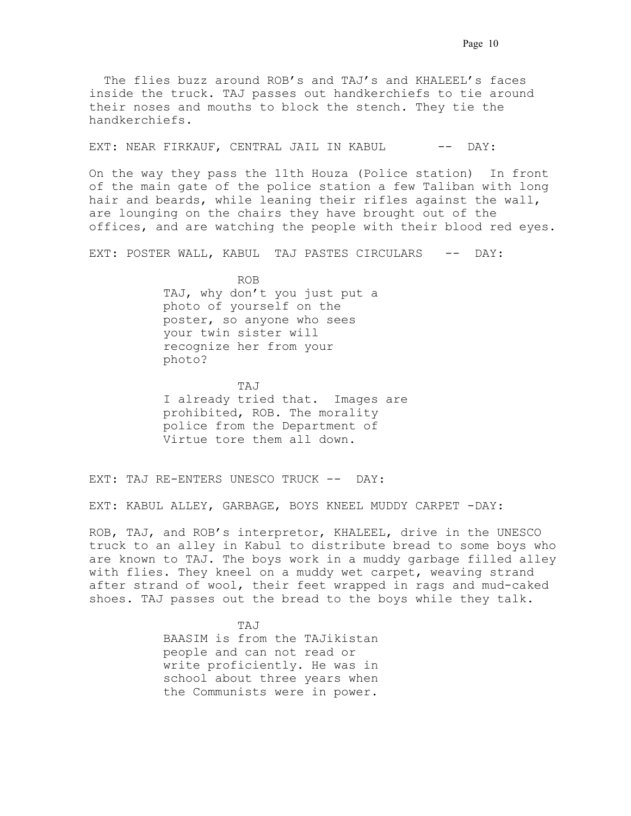The flies buzz around ROB's and TAJ's and KHALEEL's faces inside the truck. TAJ passes out handkerchiefs to tie around their noses and mouths to block the stench. They tie the handkerchiefs.

EXT: NEAR FIRKAUF, CENTRAL JAIL IN KABUL. -- DAY:

On the way they pass the 11th Houza (Police station). In front of the main gate of the police station a few Taliban with long hair and beards, while leaning their rifles against the wall, are lounging on the chairs they have brought out of the offices, and are watching the people with their blood red eyes.

EXT: POSTER WALL, KABUL. TAJ PASTES CIRCULARS -- DAY:

 ROB. . . TAJ, why don't you just put a photo of yourself on the poster, so anyone who sees your twin sister will recognize her from your photo?

 TAJ. . . I already tried that. Images are prohibited, ROB. The morality police from the Department of Virtue tore them all down.

EXT: TAJ RE-ENTERS UNESCO TRUCK -- DAY:

EXT: KABUL ALLEY, GARBAGE, BOYS KNEEL MUDDY CARPET -DAY:

ROB, TAJ, and ROB's interpretor, KHALEEL, drive in the UNESCO truck to an alley in Kabul to distribute bread to some boys who are known to TAJ. The boys work in a muddy garbage filled alley with flies. They kneel on a muddy wet carpet, weaving strand after strand of wool, their feet wrapped in rags and mud-caked shoes. TAJ passes out the bread to the boys while they talk.

 TAJ. . . BAASIM is from the TAJikistan people and can not read or write proficiently. He was in school about three years when the Communists were in power.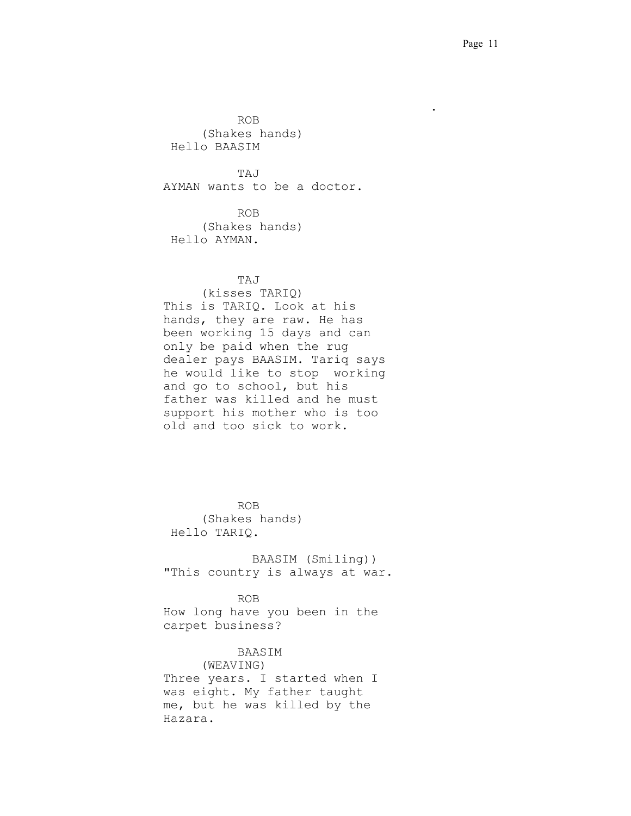ROB. . . (Shakes hands) Hello BAASIM

 TAJ. . . AYMAN wants to be a doctor.

. . . . . . . . . . . . . . . . . . . . . . . . . . . . . .

 ROB. . . (Shakes hands) Hello AYMAN.

## TAJ. . .

(kisses TARIQ) This is TARIQ. Look at his hands, they are raw. He has been working 15 days and can only be paid when the rug dealer pays BAASIM. Tariq says he would like to stop working and go to school, but his father was killed and he must support his mother who is too old and too sick to work.

 ROB. . . (Shakes hands) Hello TARIQ.

> BAASIM (Smiling)) "This country is always at war.

 ROB. . . How long have you been in the carpet business?

### BAASIM

(WEAVING) Three years. I started when I was eight. My father taught me, but he was killed by the Hazara.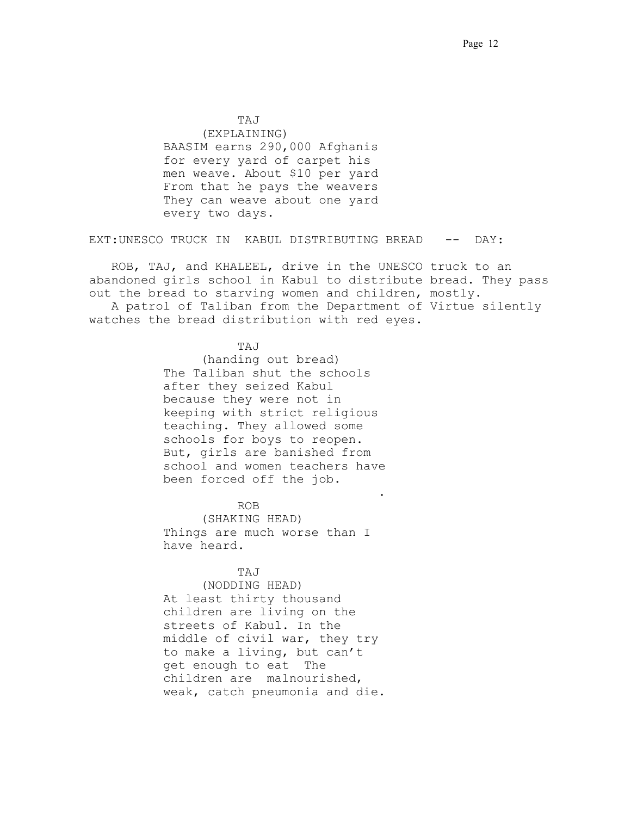TAJ. . . (EXPLAINING) BAASIM earns 290,000 Afghanis for every yard of carpet his men weave. About \$10 per yard. From that he pays the weavers They can weave about one yard every two days.

EXT:UNESCO TRUCK IN KABUL DISTRIBUTING BREAD -- DAY:

 ROB, TAJ, and KHALEEL, drive in the UNESCO truck to an abandoned girls school in Kabul to distribute bread. They pass out the bread to starving women and children, mostly. A patrol of Taliban from the Department of Virtue silently

watches the bread distribution with red eyes.

TAJ. . .

(handing out bread) The Taliban shut the schools after they seized Kabul because they were not in keeping with strict religious teaching. They allowed some schools for boys to reopen. But, girls are banished from school and women teachers have been forced off the job.

. . . . .. . . . . . . . . . . . . . . . . . . . . . . .

ROB. . .

(SHAKING HEAD) Things are much worse than I have heard.

TAJ. . .

(NODDING HEAD) At least thirty thousand children are living on the streets of Kabul. In the middle of civil war, they try to make a living, but can't get enough to eat. The children are malnourished, weak, catch pneumonia and die.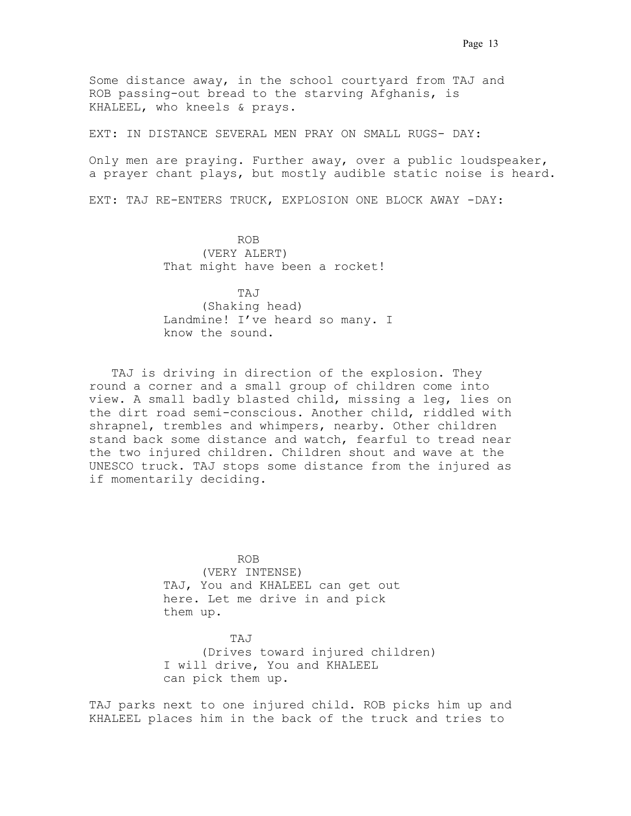Some distance away, in the school courtyard from TAJ and ROB passing-out bread to the starving Afghanis, is KHALEEL, who kneels & prays.

EXT: IN DISTANCE SEVERAL MEN PRAY ON SMALL RUGS- DAY:

Only men are praying. Further away, over a public loudspeaker, a prayer chant plays, but mostly audible static noise is heard.

EXT: TAJ RE-ENTERS TRUCK, EXPLOSION ONE BLOCK AWAY -DAY:

 ROB. . . (VERY ALERT) That might have been a rocket!

 TAJ. . . (Shaking head) Landmine! I've heard so many. I know the sound. .

TAJ is driving in direction of the explosion. They round a corner and a small group of children come into view. A small badly blasted child, missing a leg, lies on the dirt road semi-conscious. Another child, riddled with shrapnel, trembles and whimpers, nearby. Other children stand back some distance and watch, fearful to tread near the two injured children. Children shout and wave at the UNESCO truck. TAJ stops some distance from the injured as if momentarily deciding.

 ROB. . . (VERY INTENSE) TAJ, You and KHALEEL can get out here. Let me drive in and pick them up.

 TAJ. . . (Drives toward injured children) I will drive, You and KHALEEL can pick them up.

TAJ parks next to one injured child. ROB picks him up and KHALEEL places him in the back of the truck and tries to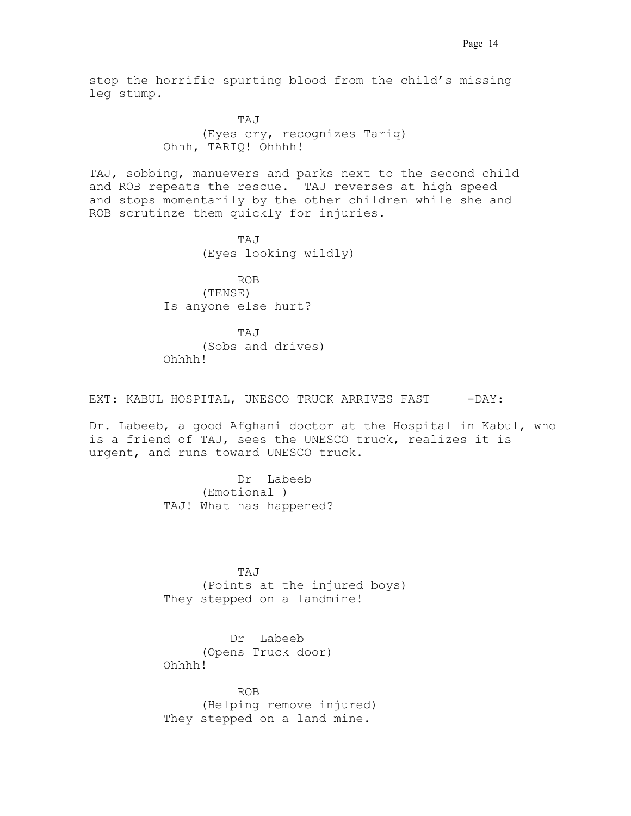stop the horrific spurting blood from the child's missing leg stump.

 TAJ. . . (Eyes cry, recognizes Tariq) Ohhh, TARIQ! Ohhhh!

TAJ, sobbing, manuevers and parks next to the second child and ROB repeats the rescue. TAJ reverses at high speed and stops momentarily by the other children while she and ROB scrutinze them quickly for injuries.

 TAJ. . . (Eyes looking wildly)

 ROB. . . (TENSE) Is anyone else hurt?

 TAJ. . . (Sobs and drives) Ohhhh!

EXT: KABUL HOSPITAL, UNESCO TRUCK ARRIVES FAST -DAY:

Dr. Labeeb, a good Afghani doctor at the Hospital in Kabul, who is a friend of TAJ, sees the UNESCO truck, realizes it is urgent, and runs toward UNESCO truck.

> Dr. Labeeb (Emotional ) TAJ! What has happened?

 TAJ. . . (Points at the injured boys) They stepped on a landmine!

> Dr. Labeeb. (Opens Truck door) Ohhhh!

 ROB. . . (Helping remove injured) They stepped on a land mine.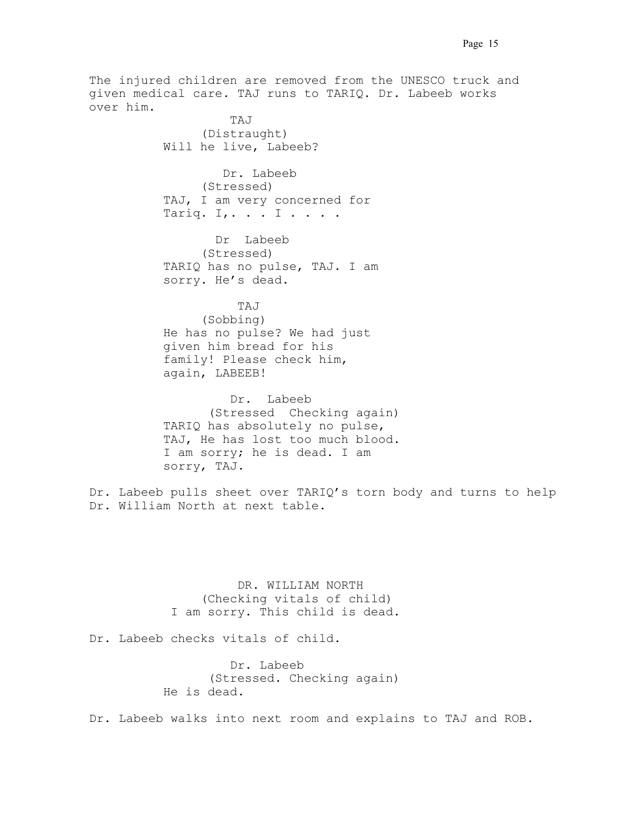The injured children are removed from the UNESCO truck and given medical care. TAJ runs to TARIQ. Dr. Labeeb works over him.

TAJ  $T_A$ (Distraught) Will he live, Labeeb?

> Dr. Labeeb (Stressed) TAJ, I am very concerned for Tariq. I,  $\ldots$  I  $\ldots$  .

Dr Labeeb (Stressed) TARIQ has no pulse, TAJ. I am sorry. He's dead.

 TAJ. . . (Sobbing) He has no pulse? We had just given him bread for his family! Please check him, again, LABEEB!

> Dr. Labeeb (Stressed. Checking again) TARIQ has absolutely no pulse, TAJ, He has lost too much blood.. I am sorry; he is dead. I am sorry, TAJ.

Dr. Labeeb pulls sheet over TARIQ's torn body and turns to help Dr. William North at next table.

> DR. WILLIAM NORTH (Checking vitals of child) .I am sorry. This child is dead.

Dr. Labeeb checks vitals of child.

Dr. Labeeb (Stressed. Checking again) He is dead.

Dr. Labeeb walks into next room and explains to TAJ and ROB.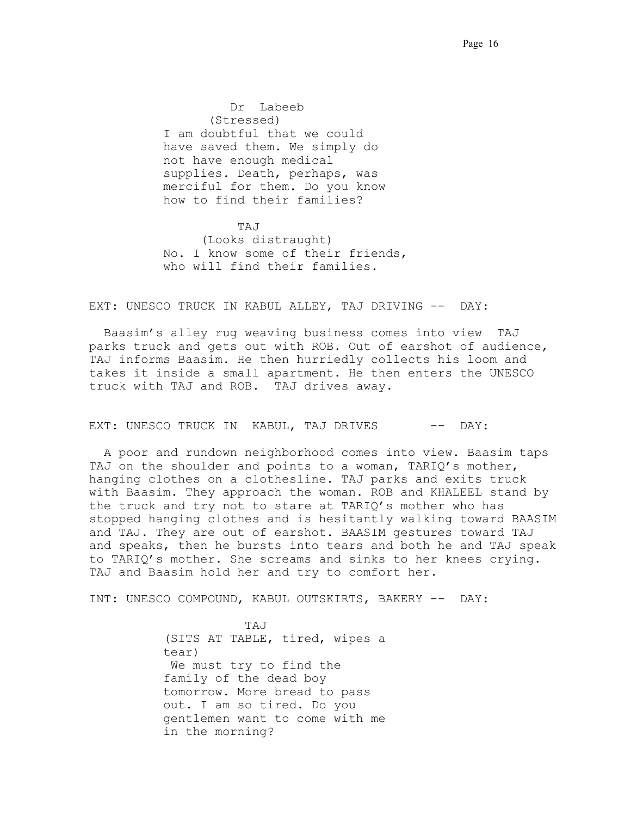Dr Labeeb (Stressed) I am doubtful that we could have saved them. We simply do not have enough medical supplies. Death, perhaps, was merciful for them. Do you know how to find their families?

 TAJ. . . (Looks distraught) No. I know some of their friends, who will find their families.

EXT: UNESCO TRUCK IN KABUL ALLEY, TAJ DRIVING -- DAY:

 Baasim's alley rug weaving business comes into view. TAJ. parks truck and gets out with ROB. Out of earshot of audience, TAJ informs Baasim. He then hurriedly collects his loom and takes it inside a small apartment. He then enters the UNESCO truck with TAJ and ROB. TAJ drives away.

EXT: UNESCO TRUCK IN KABUL, TAJ DRIVES -- DAY:

 A poor and rundown neighborhood comes into view. Baasim taps TAJ on the shoulder and points to a woman, TARIQ's mother, hanging clothes on a clothesline. TAJ parks and exits truck with Baasim. They approach the woman. ROB and KHALEEL stand by the truck and try not to stare at TARIQ's mother who has stopped hanging clothes and is hesitantly walking toward BAASIM and TAJ. They are out of earshot. BAASIM gestures toward TAJ and speaks, then he bursts into tears and both he and TAJ speak to TARIQ's mother. She screams and sinks to her knees crying. TAJ and Baasim hold her and try to comfort her.

INT: UNESCO COMPOUND, KABUL OUTSKIRTS, BAKERY -- DAY:

 TAJ. . . (SITS AT TABLE, tired, wipes a tear) We must try to find the family of the dead boy tomorrow. More bread to pass out. I am so tired. Do you gentlemen want to come with me in the morning?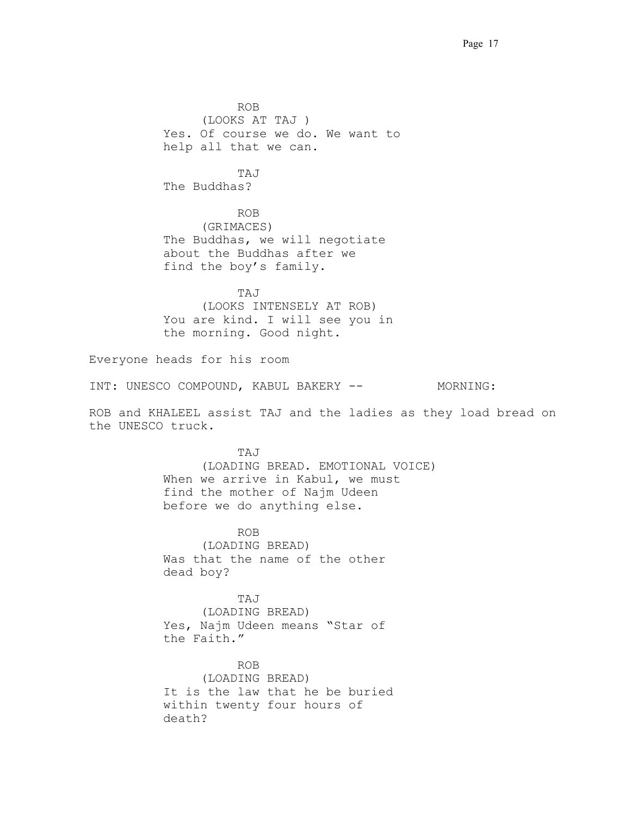ROB. . . (LOOKS AT TAJ ) Yes. Of course we do. We want to help all that we can. TAJ. . . The Buddhas? ROB (GRIMACES) The Buddhas, we will negotiate about the Buddhas after we find the boy's family. TAJ. . . (LOOKS INTENSELY AT ROB) You are kind. I will see you in the morning. Good night. Everyone heads for his room

INT: UNESCO COMPOUND, KABUL BAKERY -- MORNING:

ROB and KHALEEL assist TAJ and the ladies as they load bread on the UNESCO truck.

 TAJ. . . (LOADING BREAD. EMOTIONAL VOICE) When we arrive in Kabul, we must find the mother of Najm Udeen before we do anything else.

 ROB. . . (LOADING BREAD) Was that the name of the other dead boy?

 TAJ. . . (LOADING BREAD) Yes, Najm Udeen means "Star of the Faith."

> ROB. (LOADING BREAD) It is the law that he be buried within twenty four hours of death?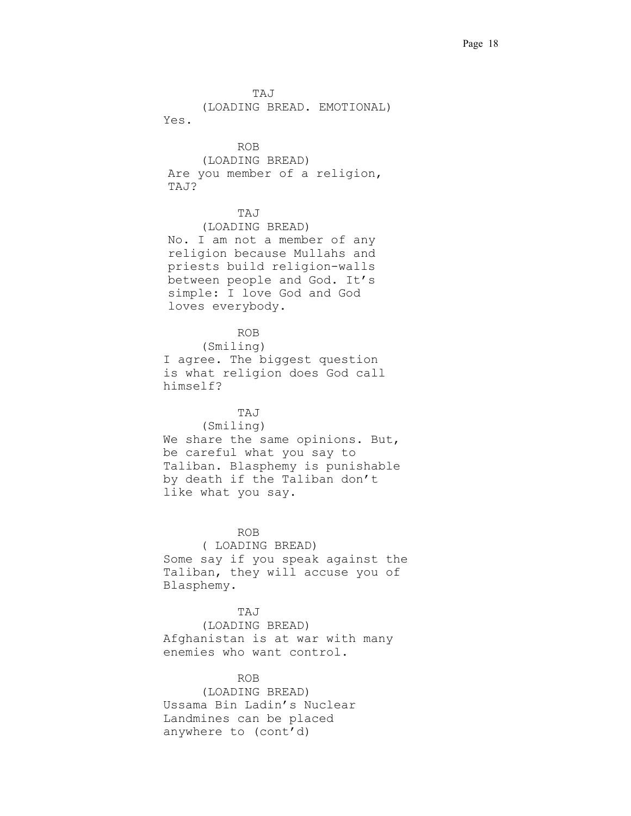TAJ . (LOADING BREAD. EMOTIONAL) Yes. ROB (LOADING BREAD) Are you member of a religion, TAJ? TAJ. (LOADING BREAD) No. I am not a member of any religion because Mullahs and priests build religion-walls between people and God. It's simple: I love God and God loves everybody. ROB. (Smiling) I agree. The biggest question is what religion does God call himself? TAJ (Smiling) We share the same opinions. But, be careful what you say to Taliban. Blasphemy is punishable by death if the Taliban don't like what you say. ROB . (.LOADING BREAD) Some say if you speak against the Taliban, they will accuse you of Blasphemy. TAJ. (LOADING BREAD) Afghanistan is at war with many enemies who want control.

ROB.

(LOADING BREAD) Ussama Bin Ladin's Nuclear Landmines can be placed anywhere to (cont'd)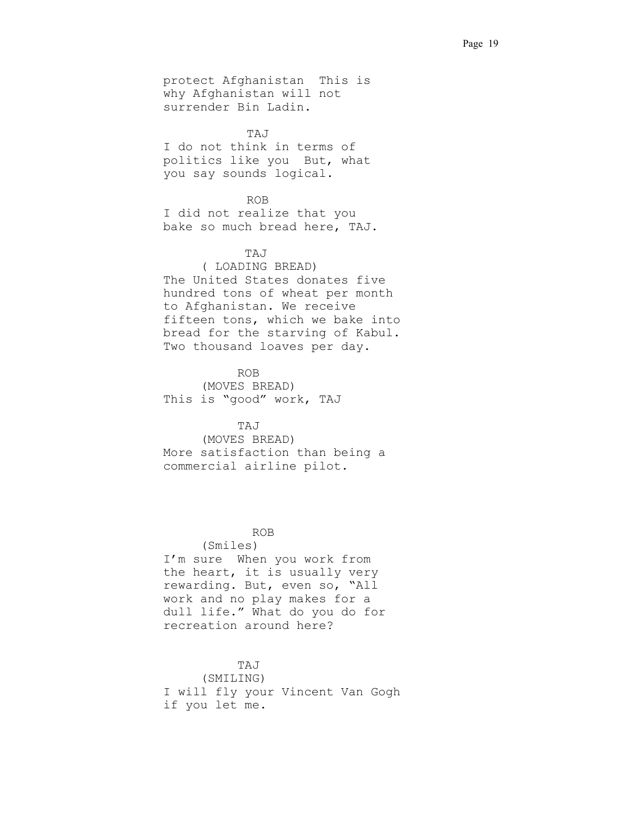protect Afghanistan. This is why Afghanistan will not surrender Bin Ladin.

TAJ I do not think in terms of politics like you. But, what you say sounds logical.

### ROB

I did not realize that you bake so much bread here, TAJ.

## TAJ. . .

(.LOADING BREAD) The United States donates five hundred tons of wheat per month to Afghanistan. We receive fifteen tons, which we bake into bread for the starving of Kabul. Two thousand loaves per day.

 ROB. . . (MOVES BREAD) This is "good" work, TAJ

## TAJ. . .

(MOVES BREAD) More satisfaction than being a commercial airline pilot.

## .ROB

(Smiles)

I'm sure. When you work from the heart, it is usually very rewarding. But, even so, "All work and no play makes for a dull life." What do you do for recreation around here?

## $TAJ$

(SMILING) I will fly your Vincent Van Gogh if you let me.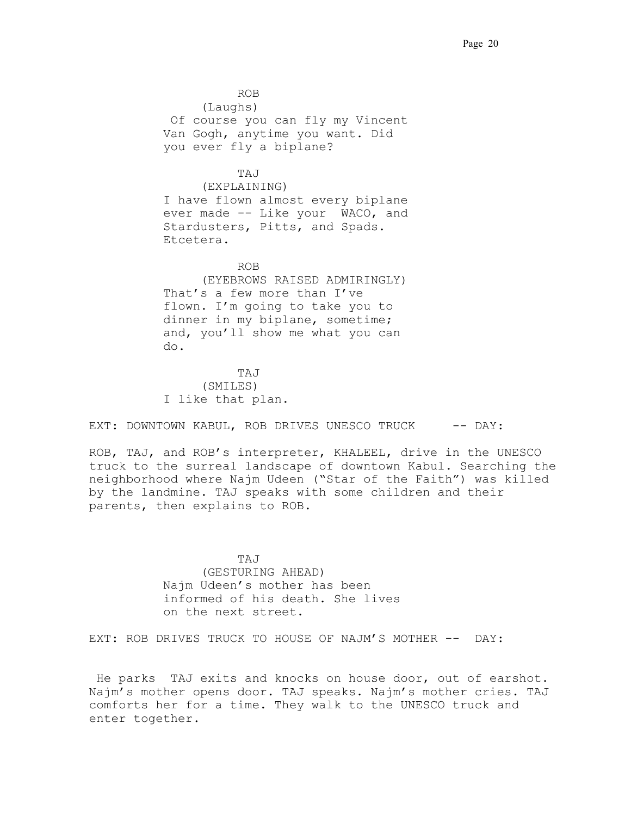ROB. . . (Laughs) .Of course you can fly my Vincent Van Gogh, anytime you want. Did you ever fly a biplane?

# . TAJ. . .

(EXPLAINING) I have flown almost every biplane ever made -- Like your WACO, and Stardusters, Pitts, and Spads. Etcetera..

**ROB.** ROB. (EYEBROWS RAISED ADMIRINGLY) That's a few more than I've flown. I'm going to take you to dinner in my biplane, sometime; and, you'll show me what you can  $d\circ$ .

 TAJ . (SMILES) I like that plan.

EXT: DOWNTOWN KABUL, ROB DRIVES UNESCO TRUCK -- DAY:

ROB, TAJ, and ROB's interpreter, KHALEEL, drive in the UNESCO truck to the surreal landscape of downtown Kabul. Searching the neighborhood where Najm Udeen ("Star of the Faith") was killed by the landmine. TAJ speaks with some children and their parents, then explains to ROB.

TAJ (GESTURING AHEAD) Najm Udeen's mother has been informed of his death. She lives on the next street.

EXT: ROB DRIVES TRUCK TO HOUSE OF NAJM'S MOTHER -- DAY:

He parks TAJ exits and knocks on house door, out of earshot. Najm's mother opens door. TAJ speaks. Najm's mother cries. TAJ comforts her for a time. They walk to the UNESCO truck and enter together.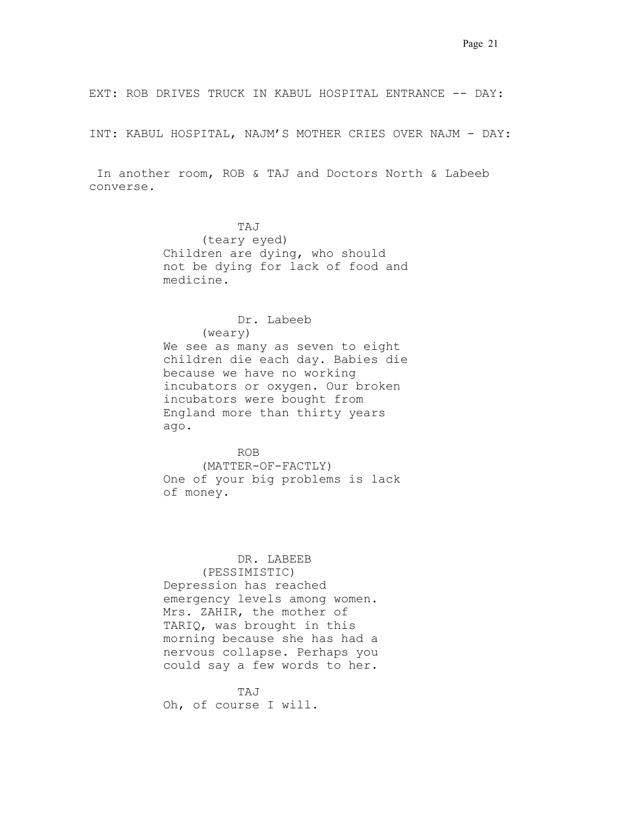EXT: ROB DRIVES TRUCK IN KABUL HOSPITAL ENTRANCE -- DAY:

INT: KABUL HOSPITAL, NAJM'S MOTHER CRIES OVER NAJM - DAY:

 In another room, ROB & TAJ and Doctors North & Labeeb converse.

 TAJ. . . (teary eyed) Children are dying, who should not be dying for lack of food and medicine. .

## Dr. Labeeb.

(weary)

We see as many as seven to eight children die each day. Babies die because we have no working incubators or oxygen. Our broken incubators were bought from England more than thirty years ago.

## ROB. . .

(MATTER-OF-FACTLY) One of your big problems is lack of money.

## DR. LABEEB

(PESSIMISTIC)

Depression has reached emergency levels among women. Mrs. ZAHIR, the mother of TARIQ, was brought in this morning because she has had a nervous collapse. Perhaps you could say a few words to her.

 TAJ. . . Oh, of course I will.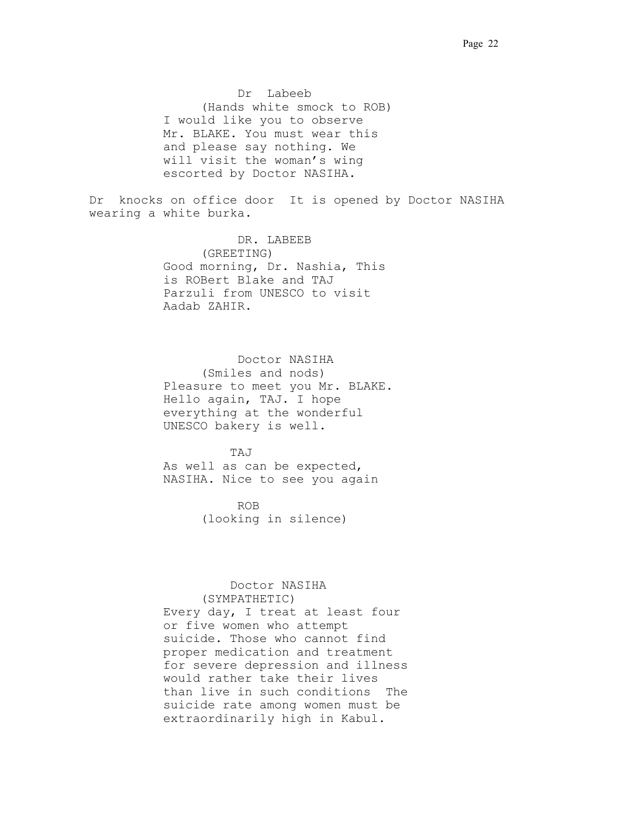Dr Labeeb (Hands white smock to ROB) I would like you to observe Mr. BLAKE. You must wear this and please say nothing. We will visit the woman's wing escorted by Doctor NASIHA.

Dr. knocks on office door. It is opened by Doctor NASIHA wearing a white burka.

> DR. LABEEB. (GREETING) Good morning, Dr. Nashia, This is ROBert Blake and TAJ Parzuli from UNESCO to visit Aadab ZAHIR.

 Doctor NASIHA (Smiles and nods) Pleasure to meet you Mr. BLAKE. Hello again, TAJ. I hope everything at the wonderful UNESCO bakery is well.

 TAJ. . . As well as can be expected, NASIHA. Nice to see you again

 ROB. . . (looking in silence)

#### Doctor NASIHA

(SYMPATHETIC) Every day, I treat at least four or five women who attempt suicide. Those who cannot find proper medication and treatment for severe depression and illness would rather take their lives than live in such conditions. The suicide rate among women must be extraordinarily high in Kabul.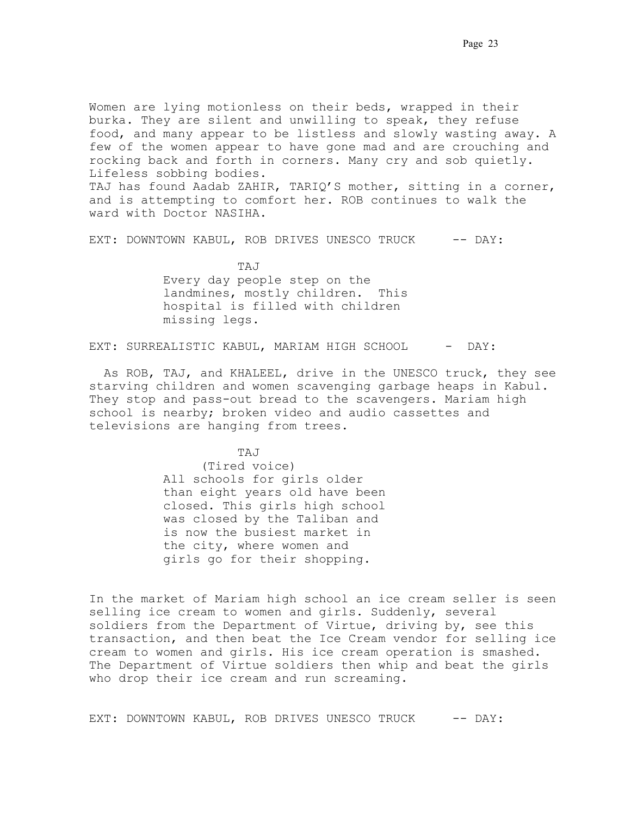Women are lying motionless on their beds, wrapped in their burka. They are silent and unwilling to speak, they refuse food, and many appear to be listless and slowly wasting away. A few of the women appear to have gone mad and are crouching and rocking back and forth in corners. Many cry and sob quietly. Lifeless sobbing bodies.. TAJ has found Aadab ZAHIR, TARIQ'S mother, sitting in a corner,

and is attempting to comfort her. ROB continues to walk the ward with Doctor NASIHA.

EXT: DOWNTOWN KABUL, ROB DRIVES UNESCO TRUCK -- DAY:

TAJ Every day people step on the landmines, mostly children. This hospital is filled with children missing legs.

EXT: SURREALISTIC KABUL, MARIAM HIGH SCHOOL - DAY:

 As ROB, TAJ, and KHALEEL, drive in the UNESCO truck, they see starving children and women scavenging garbage heaps in Kabul. They stop and pass-out bread to the scavengers. Mariam high school is nearby; broken video and audio cassettes and televisions are hanging from trees.

 TAJ (Tired voice) All schools for girls older than eight years old have been closed. This girls high school was closed by the Taliban and is now the busiest market in the city, where women and girls go for their shopping. .

In the market of Mariam high school an ice cream seller is seen selling ice cream to women and girls. Suddenly, several soldiers from the Department of Virtue, driving by, see this transaction, and then beat the Ice Cream vendor for selling ice cream to women and girls. His ice cream operation is smashed. The Department of Virtue soldiers then whip and beat the girls who drop their ice cream and run screaming.

EXT: DOWNTOWN KABUL, ROB DRIVES UNESCO TRUCK -- DAY: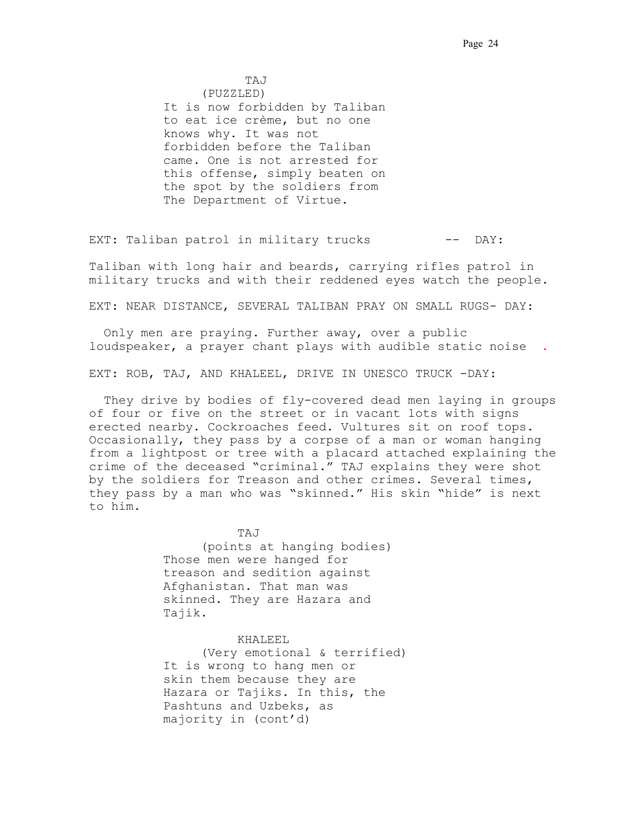.TAJ . (PUZZLED) It is now forbidden by Taliban to eat ice crème, but no one knows why. It was not forbidden before the Taliban came. One is not arrested for this offense, simply beaten on the spot by the soldiers from The Department of Virtue.

EXT: Taliban patrol in military trucks -- DAY:

Taliban with long hair and beards, carrying rifles patrol in military trucks and with their reddened eyes watch the people.

EXT: NEAR DISTANCE, SEVERAL TALIBAN PRAY ON SMALL RUGS- DAY:

 Only men are praying. Further away, over a public loudspeaker, a prayer chant plays with audible static noise **.** 

EXT: ROB, TAJ, AND KHALEEL, DRIVE IN UNESCO TRUCK -DAY:

 They drive by bodies of fly-covered dead men laying in groups of four or five on the street or in vacant lots with signs erected nearby. Cockroaches feed. Vultures sit on roof tops. Occasionally, they pass by a corpse of a man or woman hanging from a lightpost or tree with a placard attached explaining the crime of the deceased "criminal." TAJ explains they were shot by the soldiers for Treason and other crimes. Several times, they pass by a man who was "skinned." His skin "hide" is next to him.

> TAJ (points at hanging bodies) Those men were hanged for treason and sedition against Afghanistan. That man was skinned. They are Hazara and Tajik.

KHALEEL. (Very emotional & terrified) It is wrong to hang men or skin them because they are Hazara or Tajiks. In this, the Pashtuns and Uzbeks, as majority in (cont'd)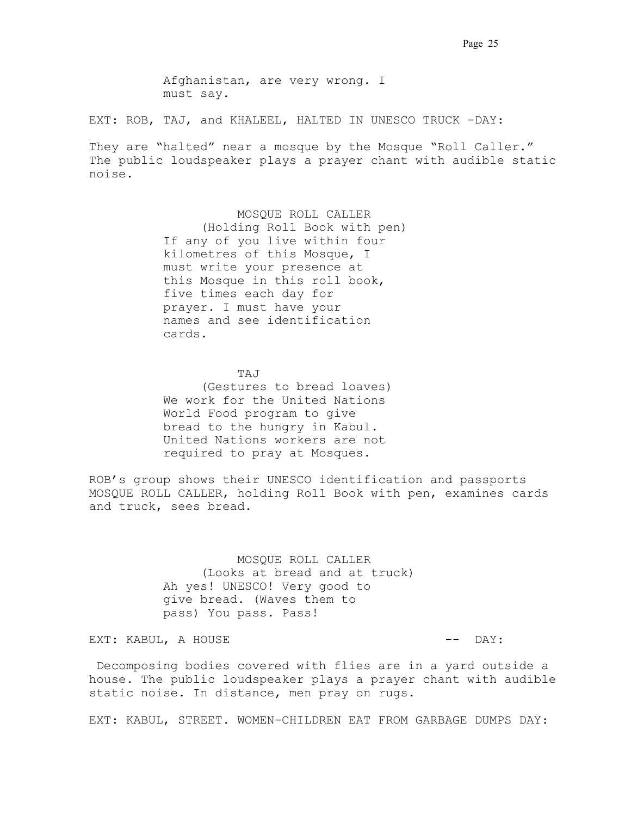Afghanistan, are very wrong. I must say..

EXT: ROB, TAJ, and KHALEEL, HALTED IN UNESCO TRUCK -DAY:

They are "halted" near a mosque by the Mosque "Roll Caller." The public loudspeaker plays a prayer chant with audible static noise.**.**

> MOSQUE ROLL CALLER (Holding Roll Book with pen) If any of you live within four kilometres of this Mosque, I must write your presence at this Mosque in this roll book, five times each day for prayer. I must have your names and see identification cards.

 TAJ. . . (Gestures to bread loaves) We work for the United Nations World Food program to give bread to the hungry in Kabul. United Nations workers are not required to pray at Mosques..

ROB's group shows their UNESCO identification and passports. MOSQUE ROLL CALLER, holding Roll Book with pen, examines cards and truck, sees bread.

> MOSQUE ROLL CALLER (Looks at bread and at truck) Ah yes! UNESCO! Very good to give bread. (Waves them to pass) You pass. Pass!

EXT: KABUL, A HOUSE  $-$  DAY:

 Decomposing bodies covered with flies are in a yard outside a house. The public loudspeaker plays a prayer chant with audible static noise**.** In distance, men pray on rugs.

EXT: KABUL, STREET. WOMEN-CHILDREN EAT FROM GARBAGE DUMPS DAY: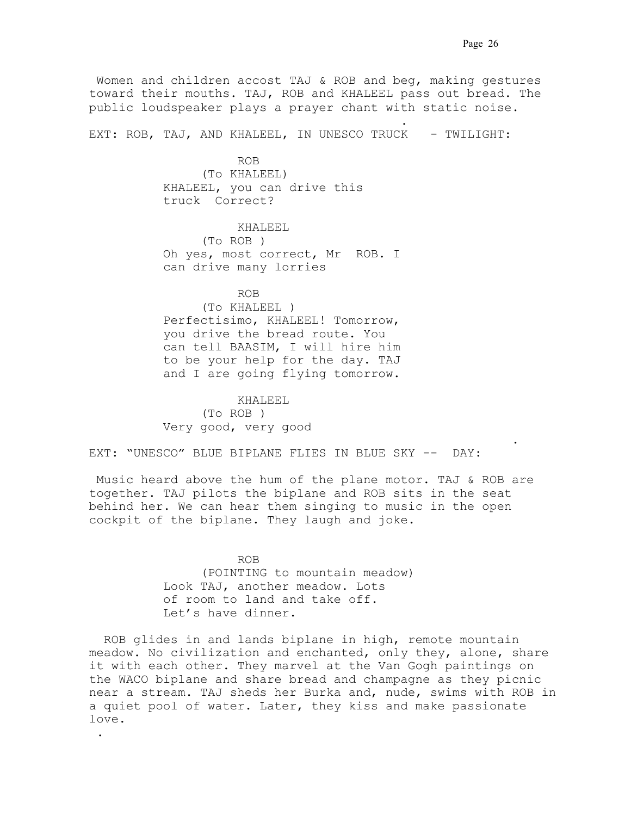Women and children accost TAJ & ROB and beg, making gestures toward their mouths. TAJ, ROB and KHALEEL pass out bread. The public loudspeaker plays a prayer chant with static noise.**.**

EXT: ROB, TAJ, AND KHALEEL, IN UNESCO TRUCK - TWILIGHT:

ROB (To KHALEEL) KHALEEL, you can drive this truck Correct?

the contract of the contract of the contract of the contract of the contract of

 KHALEEL. (To ROB ) Oh yes, most correct, Mr. ROB. I can drive many lorries

 ROB. (To KHALEEL ) Perfectisimo, KHALEEL! Tomorrow, you drive the bread route. You can tell BAASIM, I will hire him to be your help for the day. TAJ and I are going flying tomorrow.

 KHALEEL. (To ROB ) Very good, very good

..

EXT: "UNESCO" BLUE BIPLANE FLIES IN BLUE SKY -- DAY:

 Music heard above the hum of the plane motor. TAJ & ROB are together. TAJ pilots the biplane and ROB sits in the seat behind her. We can hear them singing to music in the open cockpit of the biplane. They laugh and joke.

. . . . . .

**ROB.** ROB. (POINTING to mountain meadow) Look TAJ, another meadow. Lots of room to land and take off. Let's have dinner.

 ROB glides in and lands biplane in high, remote mountain meadow. No civilization and enchanted, only they, alone, share it with each other. They marvel at the Van Gogh paintings on the WACO biplane and share bread and champagne as they picnic near a stream. TAJ sheds her Burka and, nude, swims with ROB in a quiet pool of water. Later, they kiss and make passionate  $\texttt{love.}$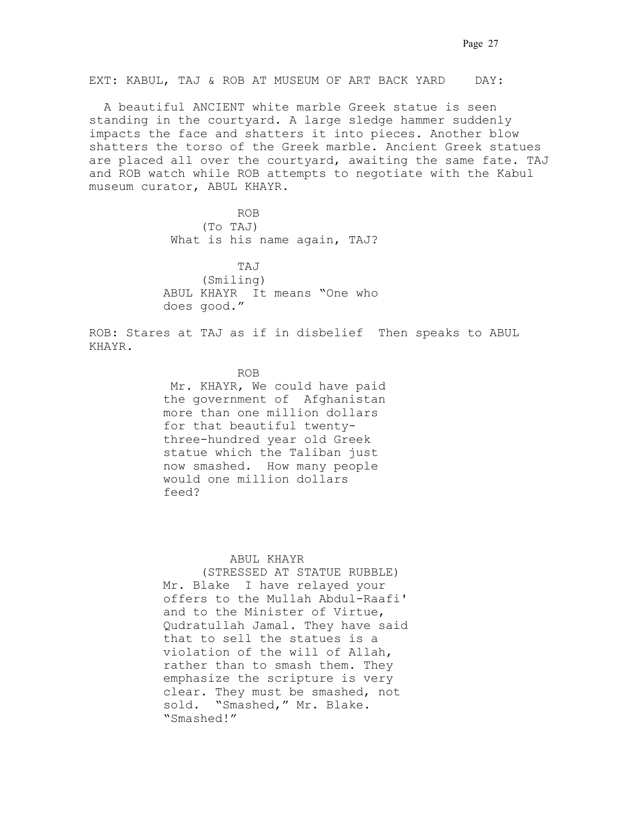EXT: KABUL, TAJ & ROB AT MUSEUM OF ART BACK YARD DAY:

 A beautiful ANCIENT white marble Greek statue is seen standing in the courtyard. A large sledge hammer suddenly impacts the face and shatters it into pieces. Another blow shatters the torso of the Greek marble. Ancient Greek statues are placed all over the courtyard, awaiting the same fate. TAJ and ROB watch while ROB attempts to negotiate with the Kabul museum curator, ABUL KHAYR.

 ROB. . . (To TAJ) What is his name again, TAJ?

 TAJ. . . (Smiling) ABUL KHAYR. It means "One who does good."

ROB: Stares at TAJ as if in disbelief. Then speaks to ABUL KHAYR.

## ROB. . .

 Mr. KHAYR, We could have paid the government of Afghanistan more than one million dollars for that beautiful twentythree-hundred year old Greek statue which the Taliban just now smashed. How many people would one million dollars feed?

### ABUL KHAYR.

(STRESSED AT STATUE RUBBLE) Mr. Blake I have relayed your offers to the Mullah Abdul-Raafi' and to the Minister of Virtue, Qudratullah Jamal. They have said that to sell the statues is a violation of the will of Allah, rather than to smash them. They emphasize the scripture is very clear. They must be smashed, not sold. "Smashed," Mr. Blake. "Smashed!"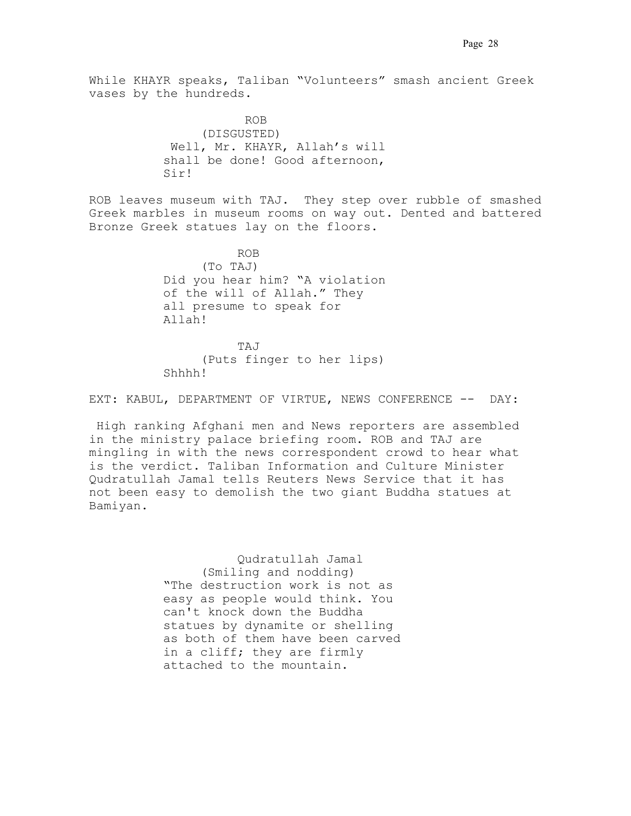While KHAYR speaks, Taliban "Volunteers" smash ancient Greek vases by the hundreds.

 .ROB . (DISGUSTED) .Well, Mr. KHAYR, Allah's will shall be done! Good afternoon, Sir!

ROB leaves museum with TAJ. They step over rubble of smashed Greek marbles in museum rooms on way out. Dented and battered Bronze Greek statues lay on the floors.

**ROB.** ROB. (To TAJ) Did you hear him? "A violation of the will of Allah." They all presume to speak for Allah!

> TAJ. (Puts finger to her lips) Shhhh!

EXT: KABUL, DEPARTMENT OF VIRTUE, NEWS CONFERENCE -- DAY:

 High ranking Afghani men and News reporters are assembled in the ministry palace briefing room. ROB and TAJ are mingling in with the news correspondent crowd to hear what is the verdict. Taliban Information and Culture Minister Qudratullah Jamal tells Reuters News Service that it has not been easy to demolish the two giant Buddha statues at Bamiyan...

> Qudratullah Jamal (Smiling and nodding) "The destruction work is not as easy as people would think. You can't knock down the Buddha statues by dynamite or shelling as both of them have been carved in a cliff; they are firmly attached to the mountain.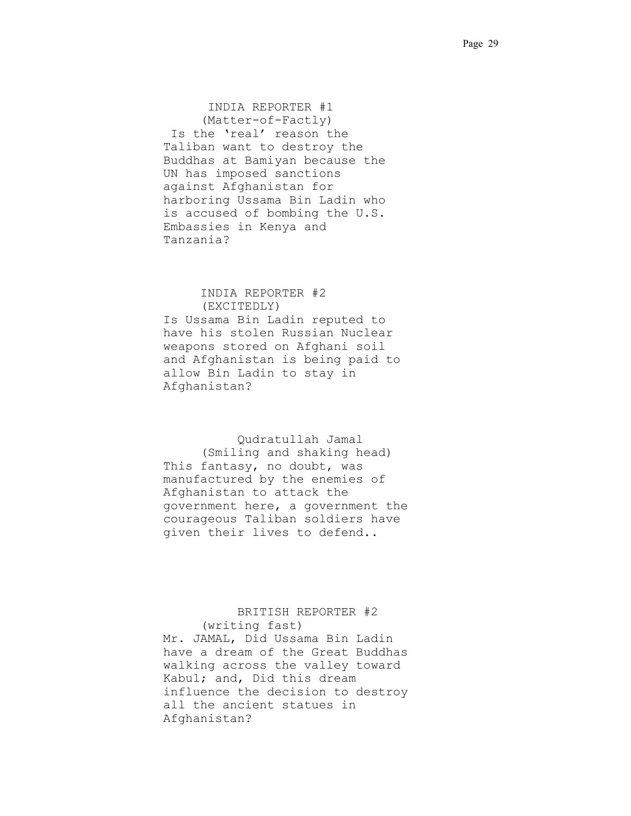INDIA REPORTER #1 (Matter-of-Factly) Is the 'real' reason the Taliban want to destroy the Buddhas at Bamiyan because the UN has imposed sanctions against Afghanistan for harboring Ussama Bin Ladin who is accused of bombing the U.S. Embassies in Kenya and Tanzania?

# INDIA REPORTER #2

(EXCITEDLY) Is Ussama Bin Ladin reputed to have his stolen Russian Nuclear weapons stored on Afghani soil and Afghanistan is being paid to allow Bin Ladin to stay in Afghanistan?

 Qudratullah Jamal (Smiling and shaking head) This fantasy, no doubt, was manufactured by the enemies of Afghanistan to attack the government here, a government the courageous Taliban soldiers have given their lives to defend..

# BRITISH REPORTER #2

(writing fast) Mr. JAMAL, Did Ussama Bin Ladin have a dream of the Great Buddhas walking across the valley toward Kabul; and, Did this dream influence the decision to destroy all the ancient statues in Afghanistan?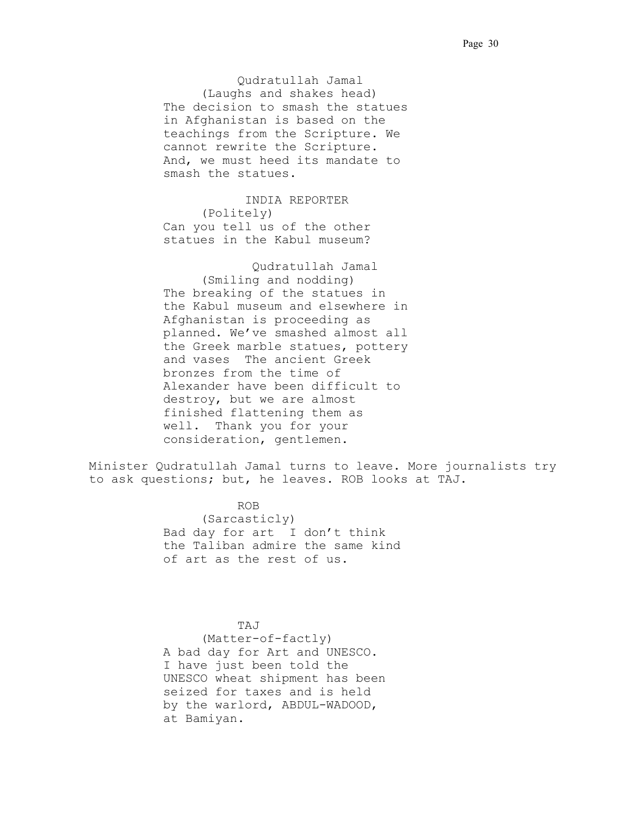Qudratullah Jamal (Laughs and shakes head) The decision to smash the statues in Afghanistan is based on the teachings from the Scripture. We cannot rewrite the Scripture. And, we must heed its mandate to smash the statues.

 .INDIA REPORTER (Politely) Can you tell us of the other statues in the Kabul museum?

. Qudratullah Jamal (Smiling and nodding) The breaking of the statues in the Kabul museum and elsewhere in Afghanistan is proceeding as planned. We've smashed almost all the Greek marble statues, pottery and vases. The ancient Greek bronzes from the time of Alexander have been difficult to destroy, but we are almost finished flattening them as well. Thank you for your consideration, gentlemen.

Minister Qudratullah Jamal turns to leave. More journalists try to ask questions; but, he leaves. ROB looks at TAJ.

 ROB. . (Sarcasticly) Bad day for art I don't think the Taliban admire the same kind of art as the rest of us.

 TAJ. . . (Matter-of-factly) A bad day for Art and UNESCO. I have just been told the UNESCO wheat shipment has been seized for taxes and is held by the warlord, ABDUL-WADOOD, at Bamiyan.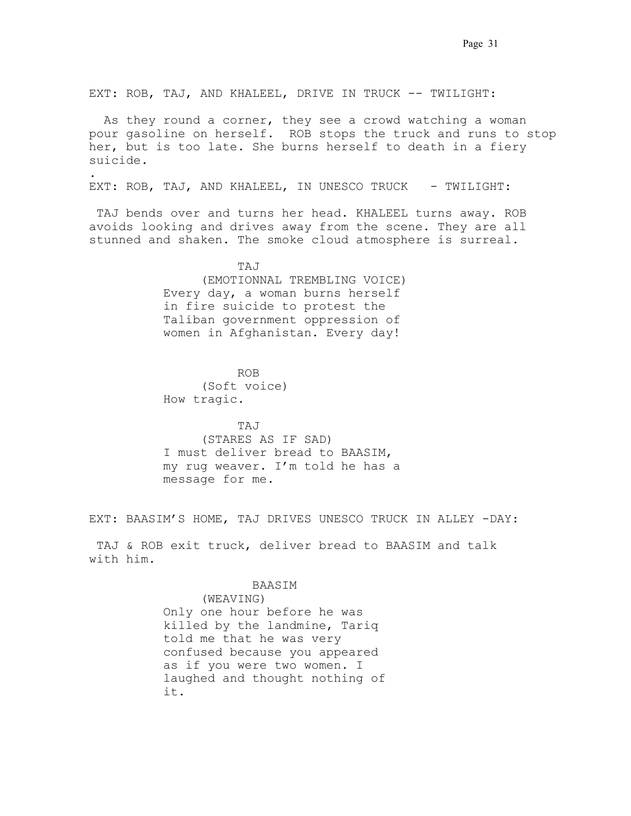EXT: ROB, TAJ, AND KHALEEL, DRIVE IN TRUCK -- TWILIGHT:

 As they round a corner, they see a crowd watching a woman pour gasoline on herself.. ROB stops the truck and runs to stop her, but is too late. She burns herself to death in a fiery suicide.

EXT: ROB, TAJ, AND KHALEEL, IN UNESCO TRUCK - TWILIGHT:

TAJ bends over and turns her head. KHALEEL turns away. ROB avoids looking and drives away from the scene. They are all stunned and shaken. The smoke cloud atmosphere is surreal.

 TAJ. . . (EMOTIONNAL TREMBLING VOICE) Every day, a woman burns herself in fire suicide to protest the Taliban government oppression of women in Afghanistan. Every day!.

 ROB. . . (Soft voice) How tragic.

.

 TAJ. . . (STARES AS IF SAD) .I must deliver bread to BAASIM, my rug weaver. I'm told he has a message for me.

EXT: BAASIM'S HOME, TAJ DRIVES UNESCO TRUCK IN ALLEY -DAY:

 TAJ & ROB exit truck, deliver bread to BAASIM and talk with him.

### . BAASIM .

(WEAVING) Only one hour before he was killed by the landmine, Tariq told me that he was very confused because you appeared as if you were two women. I laughed and thought nothing of it. . . . . .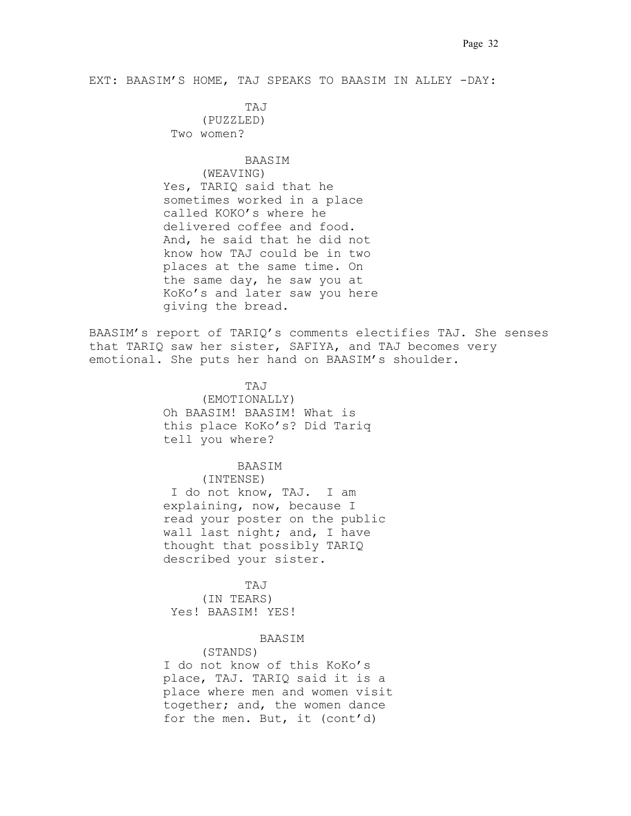EXT: BAASIM'S HOME, TAJ SPEAKS TO BAASIM IN ALLEY -DAY:

 .TAJ. . (PUZZLED) Two women?

#### .BAASIM. .

(WEAVING) Yes, TARIQ said that he sometimes worked in a place called KOKO's where he delivered coffee and food.. And, he said that he did not know how TAJ could be in two places at the same time. On the same day, he saw you at KoKo's and later saw you here giving the bread.

BAASIM's report of TARIQ's comments electifies TAJ. She senses that TARIQ saw her sister, SAFIYA, and TAJ becomes very emotional. She puts her hand on BAASIM's shoulder.

> .TAJ. (EMOTIONALLY) Oh BAASIM! BAASIM! What is this place KoKo's? Did Tariq tell you where?

### BAASIM .

(INTENSE) I do not know, TAJ. I am explaining, now, because I read your poster on the public wall last night; and, I have thought that possibly TARIQ described your sister.

 .TAJ. (IN TEARS) Yes! BAASIM! YES!

### . BAASIM .

(STANDS) I do not know of this KoKo's place, TAJ. TARIQ said it is a place where men and women visit together; and, the women dance for the men. But, it (cont'd)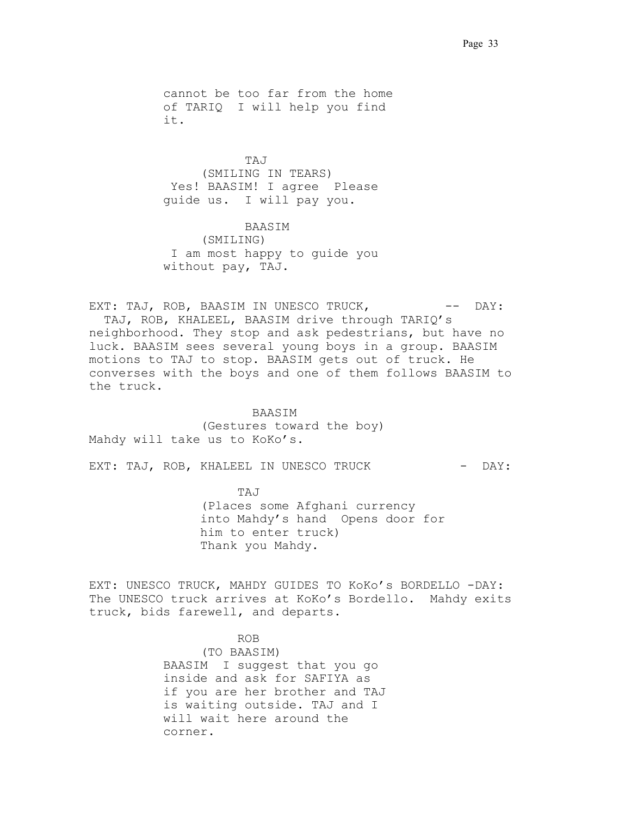cannot be too far from the home of TARIQ. I will help you find it.. . . .

 .TAJ. (SMILING IN TEARS) Yes! BAASIM! I agree Please guide us. I will pay you.

 .BAASIM . (SMILING) .I am most happy to guide you without pay, TAJ.

EXT: TAJ, ROB, BAASIM IN UNESCO TRUCK, -- DAY: . TAJ, ROB, KHALEEL, BAASIM drive through TARIQ's neighborhood. They stop and ask pedestrians, but have no luck. BAASIM sees several young boys in a group. BAASIM motions to TAJ to stop. BAASIM gets out of truck. He converses with the boys and one of them follows BAASIM to the truck.

 . BAASIM. (Gestures toward the boy) Mahdy will take us to KoKo's.

EXT: TAJ, ROB, KHALEEL IN UNESCO TRUCK - DAY:

 TAJ. (Places some Afghani currency into Mahdy's hand. Opens door for him to enter truck) Thank you Mahdy.

EXT: UNESCO TRUCK, MAHDY GUIDES TO KoKo's BORDELLO -DAY: The UNESCO truck arrives at KoKo's Bordello. Mahdy exits truck, bids farewell, and departs.

> ROB. (TO BAASIM) BAASIM. I suggest that you go inside and ask for SAFIYA as if you are her brother and TAJ is waiting outside. TAJ and I will wait here around the corner.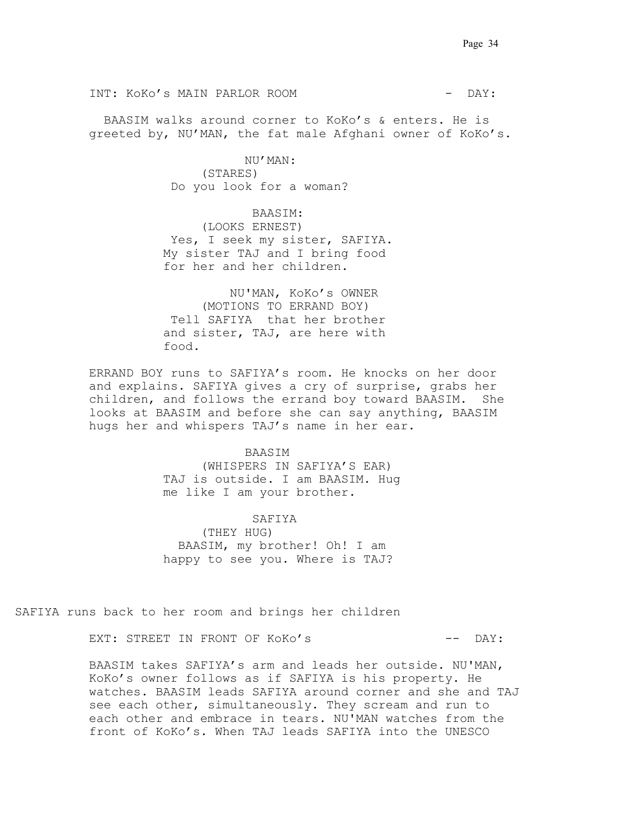INT: KOKO'S MAIN PARLOR ROOM THE SERVICE OF PAY:

BAASIM walks around corner to KoKo's & enters. He is greeted by, NU'MAN, the fat male Afghani owner of KoKo's..

> NU'MAN: (STARES) Do you look for a woman?

 . BAASIM: . (LOOKS ERNEST) Yes, I seek my sister, SAFIYA. My sister TAJ and I bring food for her and her children.

 NU'MAN, KoKo's OWNER (MOTIONS TO ERRAND BOY) .Tell SAFIYA that her brother and sister, TAJ, are here with food.

ERRAND BOY runs to SAFIYA's room. He knocks on her door and explains. SAFIYA gives a cry of surprise, grabs her children, and follows the errand boy toward BAASIM.. She looks at BAASIM and before she can say anything, BAASIM hugs her and whispers TAJ's name in her ear.

### .BAASIM .

(WHISPERS IN SAFIYA'S EAR) TAJ is outside. I am BAASIM. Hug me like I am your brother..

 . SAFIYA. (THEY HUG) . BAASIM, my brother! Oh! I am happy to see you. Where is TAJ?

SAFIYA runs back to her room and brings her children

EXT: STREET IN FRONT OF KoKo's  $---$  DAY:

BAASIM takes SAFIYA's arm and leads her outside. NU'MAN, KoKo's owner follows as if SAFIYA is his property. He watches..BAASIM leads SAFIYA around corner and she and TAJ see each other, simultaneously. They scream and run to each other and embrace in tears. NU'MAN watches from the front of KoKo's. When TAJ leads SAFIYA into the UNESCO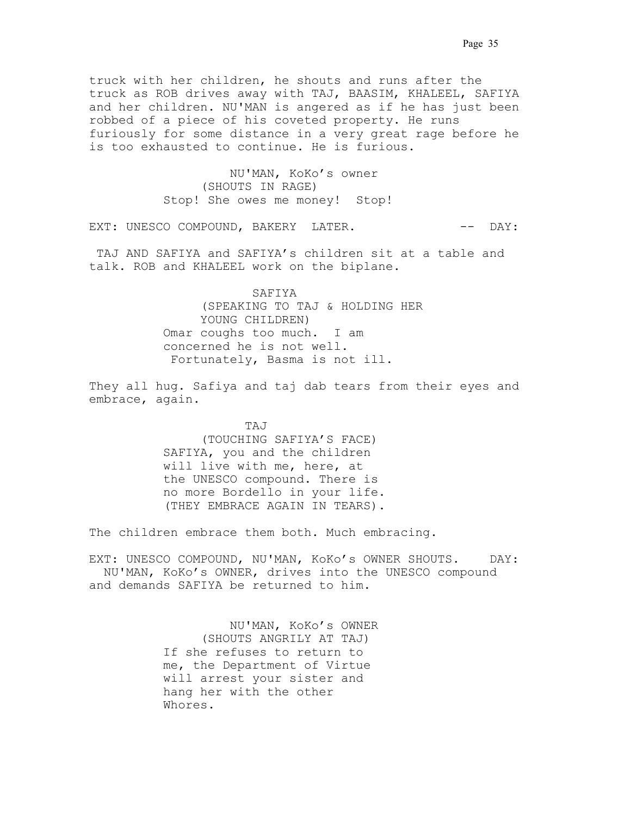truck with her children, he shouts and runs after the truck as ROB drives away with TAJ, BAASIM, KHALEEL, SAFIYA and her children. NU'MAN is angered as if he has just been robbed of a piece of his coveted property. He runs furiously for some distance in a very great rage before he is too exhausted to continue. He is furious.

> NU'MAN, KoKo's owner (SHOUTS IN RAGE) Stop! She owes me money! Stop!

EXT: UNESCO COMPOUND, BAKERY LATER.  $---$  DAY:

 TAJ AND SAFIYA and SAFIYA's children sit at a table and talk. ROB and KHALEEL work on the biplane.

> . SAFIYA. (SPEAKING TO TAJ & HOLDING HER YOUNG CHILDREN) Omar coughs too much. I am concerned he is not well. .Fortunately, Basma is not ill..

They all hug. Safiya and taj dab tears from their eyes and embrace, again.

> .TAJ. (TOUCHING SAFIYA'S FACE) SAFIYA, you and the children will live with me, here, at the UNESCO compound. There is no more Bordello in your life. (THEY EMBRACE AGAIN IN TEARS).

The children embrace them both. Much embracing.

EXT: UNESCO COMPOUND, NU'MAN, KoKo's OWNER SHOUTS. DAY: NU'MAN, KoKo's OWNER, drives into the UNESCO compound and demands SAFIYA be returned to him.

> NU'MAN, KoKo's OWNER (SHOUTS ANGRILY AT TAJ) If she refuses to return to me, the Department of Virtue will arrest your sister and hang her with the other Whores.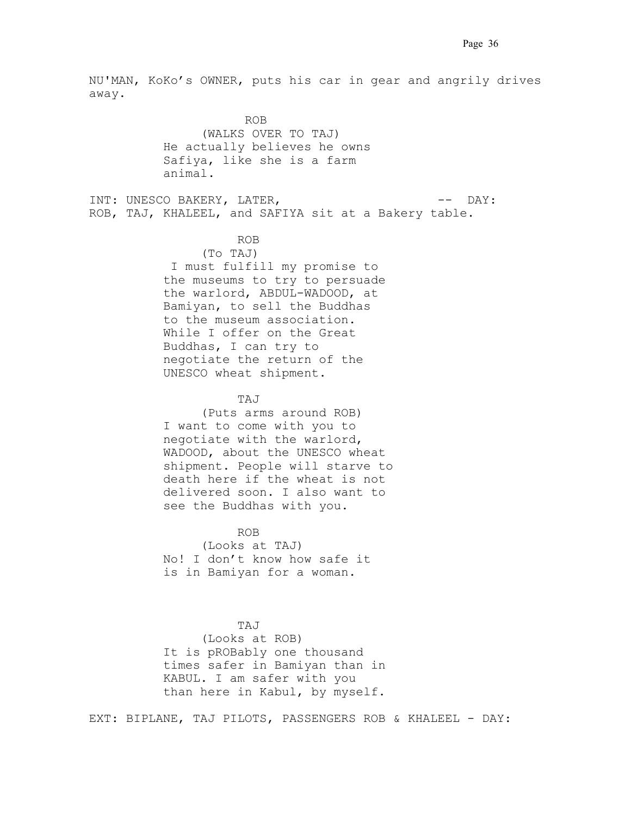NU'MAN, KoKo's OWNER, puts his car in gear and angrily drives  $\alpha$ way.

 .ROB. (WALKS OVER TO TAJ) He actually believes he owns Safiya, like she is a farm animal.

INT: UNESCO BAKERY, LATER, THE SERIES OF LAY: ROB, TAJ, KHALEEL, and SAFIYA sit at a Bakery table.

## ROB. . .

(To TAJ) .I must fulfill my promise to the museums to try to persuade the warlord, ABDUL-WADOOD, at Bamiyan, to sell the Buddhas to the museum association. While I offer on the Great Buddhas, I can try to negotiate the return of the UNESCO wheat shipment.

## TAJ

(Puts arms around ROB) I want to come with you to negotiate with the warlord, WADOOD, about the UNESCO wheat shipment. People will starve to death here if the wheat is not delivered soon. I also want to see the Buddhas with you.

## ROB. .

(Looks at TAJ) No! I don't know how safe it is in Bamiyan for a woman.

 TAJ. (Looks at ROB) It is pROBably one thousand times safer in Bamiyan than in KABUL. I am safer with you than here in Kabul, by myself.

EXT: BIPLANE, TAJ PILOTS, PASSENGERS ROB & KHALEEL - DAY: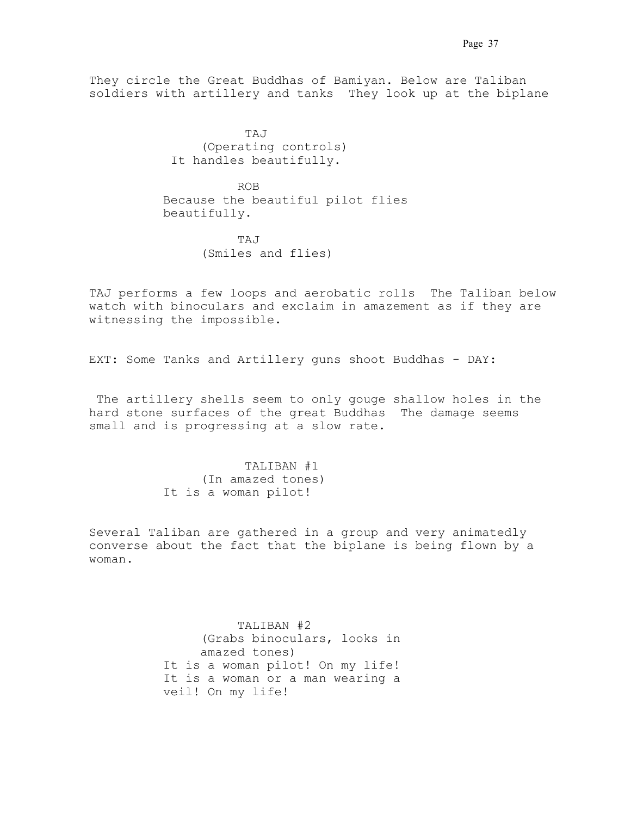They circle the Great Buddhas of Bamiyan. Below are Taliban soldiers with artillery and tanks They look up at the biplane

 .TAJ . (Operating controls) It handles beautifully.

> ROB Because the beautiful pilot flies beautifully.

 TAJ . (Smiles and flies)

TAJ performs a few loops and aerobatic rolls. The Taliban below watch with binoculars and exclaim in amazement as if they are witnessing the impossible..

EXT: Some Tanks and Artillery guns shoot Buddhas - DAY:

The artillery shells seem to only gouge shallow holes in the hard stone surfaces of the great Buddhas The damage seems small and is progressing at a slow rate.

> TALIBAN #1 (In amazed tones) It is a woman pilot!

Several Taliban are gathered in a group and very animatedly converse about the fact that the biplane is being flown by a  $w$ oman.

> TALIBAN #2 . (Grabs binoculars, looks in amazed tones) It is a woman pilot! On my life! It is a woman or a man wearing a veil! On my life!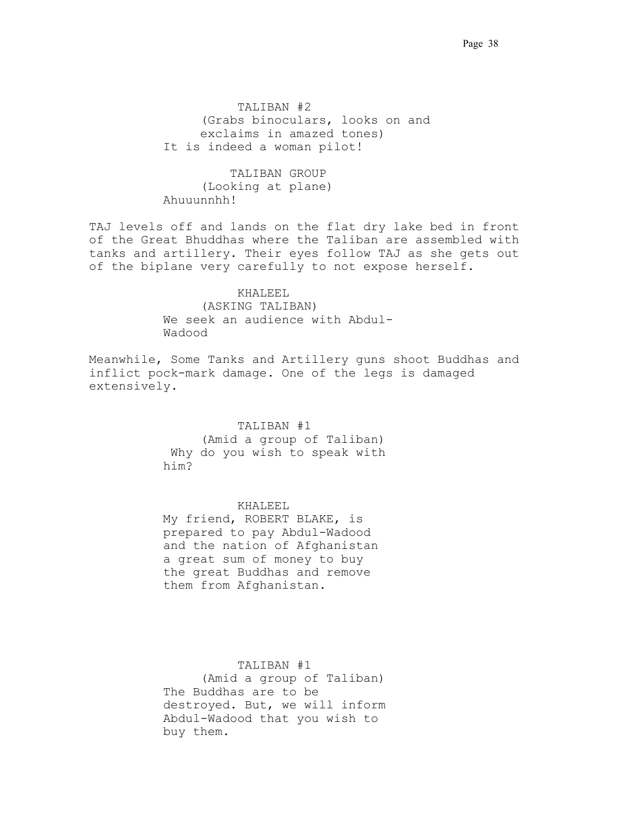TALIBAN #2 . (Grabs binoculars, looks on and exclaims in amazed tones) It is indeed a woman pilot!

 TALIBAN GROUP (Looking at plane) Ahuuunnhh!

TAJ levels off and lands on the flat dry lake bed in front of the Great Bhuddhas where the Taliban are assembled with tanks and artillery. Their eyes follow TAJ as she gets out of the biplane very carefully to not expose herself.

> KHALEEL. (ASKING TALIBAN) We seek an audience with Abdul-Wadood.

Meanwhile, Some Tanks and Artillery guns shoot Buddhas and inflict pock-mark damage. One of the legs is damaged extensively.

TALIBAN #1.

(Amid a group of Taliban) Why do you wish to speak with him?. . . . . . . . . . . . . .

**KHALEEL** 

 My friend, ROBERT BLAKE, is prepared to pay Abdul-Wadood and the nation of Afghanistan a great sum of money to buy the great Buddhas and remove them from Afghanistan.

 TALIBAN #1. (Amid a group of Taliban) The Buddhas are to be destroyed. But, we will inform Abdul-Wadood that you wish to buy them. .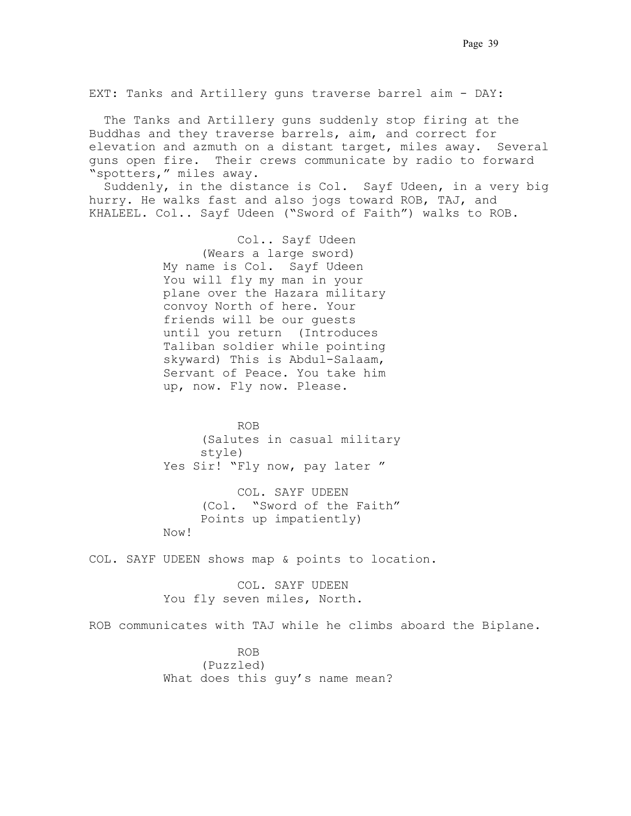EXT: Tanks and Artillery guns traverse barrel aim - DAY:

 The Tanks and Artillery guns suddenly stop firing at the Buddhas and they traverse barrels, aim, and correct for elevation and azmuth on a distant target, miles away. Several guns open fire. Their crews communicate by radio to forward "spotters," miles away.

Suddenly, in the distance is Col. Sayf Udeen, in a very big hurry. He walks fast and also jogs toward ROB, TAJ, and KHALEEL. Col.. Sayf Udeen ("Sword of Faith") walks to ROB.

> Col.. Sayf Udeen. (Wears a large sword) My name is Col. Sayf Udeen You will fly my man in your plane over the Hazara military convoy North of here. Your friends will be our guests until you return. (Introduces Taliban soldier while pointing skyward) This is Abdul-Salaam, Servant of Peace. You take him up, now. Fly now. Please.

**ROB.** ROB. (Salutes in casual military style) Yes Sir! "Fly now, pay later "

> COL. SAYF UDEEN. (Col.. "Sword of the Faith" Points up impatiently)

Now! .

COL. SAYF UDEEN shows map & points to location.

 COL. SAYF UDEEN. You fly seven miles, North.

ROB communicates with TAJ while he climbs aboard the Biplane..

 ROB. (Puzzled) What does this guy's name mean?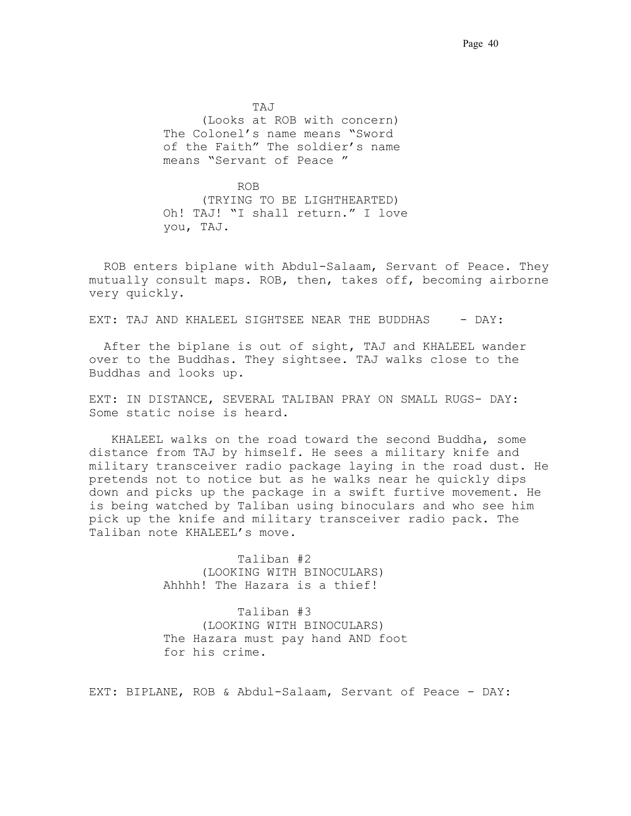. TAJ . . . . . (Looks at ROB with concern) The Colonel's name means "Sword of the Faith" The soldier's name means "Servant of Peace"

 ROB. . . (TRYING TO BE LIGHTHEARTED) Oh! TAJ! "I shall return." I love you, TAJ.

 ROB enters biplane with Abdul-Salaam, Servant of Peace. They mutually consult maps. ROB, then, takes off, becoming airborne very quickly.

EXT: TAJ AND KHALEEL SIGHTSEE NEAR THE BUDDHAS - DAY:

 After the biplane is out of sight, TAJ and KHALEEL wander over to the Buddhas. They sightsee. TAJ walks close to the Buddhas and looks up.

EXT: IN DISTANCE, SEVERAL TALIBAN PRAY ON SMALL RUGS- DAY: Some static noise is heard.

 KHALEEL walks on the road toward the second Buddha, some distance from TAJ by himself. He sees a military knife and military transceiver radio package laying in the road dust. He pretends not to notice but as he walks near he quickly dips down and picks up the package in a swift furtive movement. He is being watched by Taliban using binoculars and who see him pick up the knife and military transceiver radio pack. The Taliban note KHALEEL's move.

> Taliban #2. (LOOKING WITH BINOCULARS) Ahhhh! The Hazara is a thief!

 Taliban #3. (LOOKING WITH BINOCULARS) The Hazara must pay hand AND foot for his crime.

EXT: BIPLANE, ROB & Abdul-Salaam, Servant of Peace - DAY: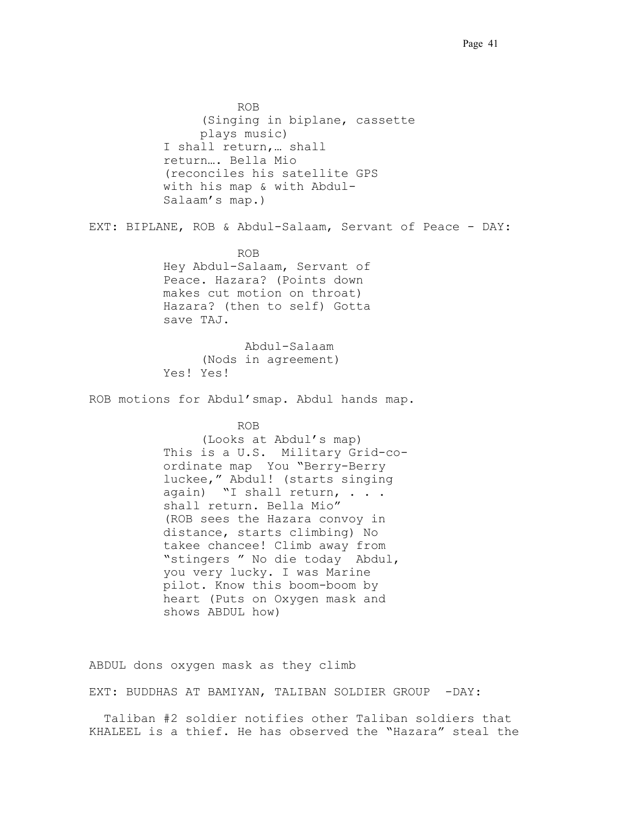ROB. . . (Singing in biplane, cassette plays music) I shall return,… shall return... Bella Mio. (reconciles his satellite GPS with his map & with Abdul-Salaam's map.). EXT: BIPLANE, ROB & Abdul-Salaam, Servant of Peace - DAY: **ROB.** ROB. Hey Abdul-Salaam, Servant of Peace. Hazara? (Points down makes cut motion on throat) Hazara? (then to self) Gotta save TAJ. .Abdul-Salaam. (Nods in agreement) Yes! Yes! ROB motions for Abdul'smap. Abdul hands map.. ROB. (Looks at Abdul's map) This is a U.S. Military Grid-coordinate map. You "Berry-Berry luckee," Abdul! (starts singing again) "I shall return, . . . shall return. Bella Mio" (ROB sees the Hazara convoy in distance, starts climbing) No takee chancee! Climb away from "stingers." No die today. Abdul, you very lucky. I was Marine pilot. Know this boom-boom by heart (Puts on Oxygen mask and shows ABDUL how)

ABDUL dons oxygen mask as they climb.

EXT: BUDDHAS AT BAMIYAN, TALIBAN SOLDIER GROUP -DAY:

 Taliban #2 soldier notifies other Taliban soldiers that KHALEEL is a thief. He has observed the "Hazara" steal the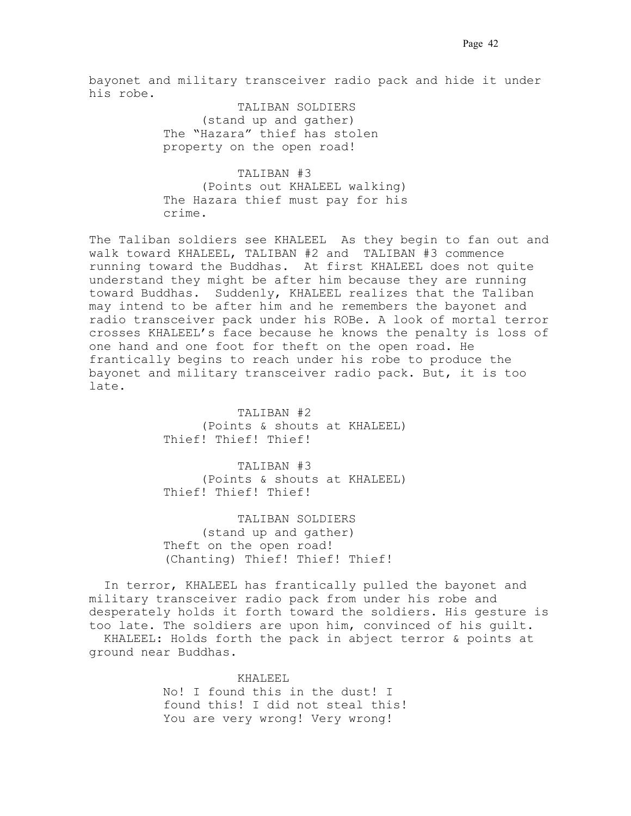bayonet and military transceiver radio pack and hide it under his robe.

> TALIBAN SOLDIERS (stand up and gather) The "Hazara" thief has stolen property on the open road!

 TALIBAN #3. (Points out KHALEEL walking) The Hazara thief must pay for his crime.

The Taliban soldiers see KHALEEL As they begin to fan out and walk toward KHALEEL, TALIBAN #2 and TALIBAN #3 commence running toward the Buddhas.. At first KHALEEL does not quite understand they might be after him because they are running toward Buddhas. Suddenly, KHALEEL realizes that the Taliban may intend to be after him and he remembers the bayonet and radio transceiver pack under his ROBe. A look of mortal terror crosses KHALEEL's face because he knows the penalty is loss of one hand and one foot for theft on the open road. He frantically begins to reach under his robe to produce the bayonet and military transceiver radio pack. But, it is too late.

> TALIBAN #2. (Points & shouts at KHALEEL) Thief! Thief! Thief!

> TALIBAN #3. (Points & shouts at KHALEEL) Thief! Thief! Thief!

 TALIBAN SOLDIERS (stand up and gather) Theft on the open road! (Chanting) Thief! Thief! Thief!

 In terror, KHALEEL has frantically pulled the bayonet and military transceiver radio pack from under his robe and desperately holds it forth toward the soldiers. His gesture is too late. The soldiers are upon him, convinced of his guilt.. KHALEEL: Holds forth the pack in abject terror & points at ground near Buddhas.

> KHALEEL. No! I found this in the dust! I found this! I did not steal this! You are very wrong! Very wrong!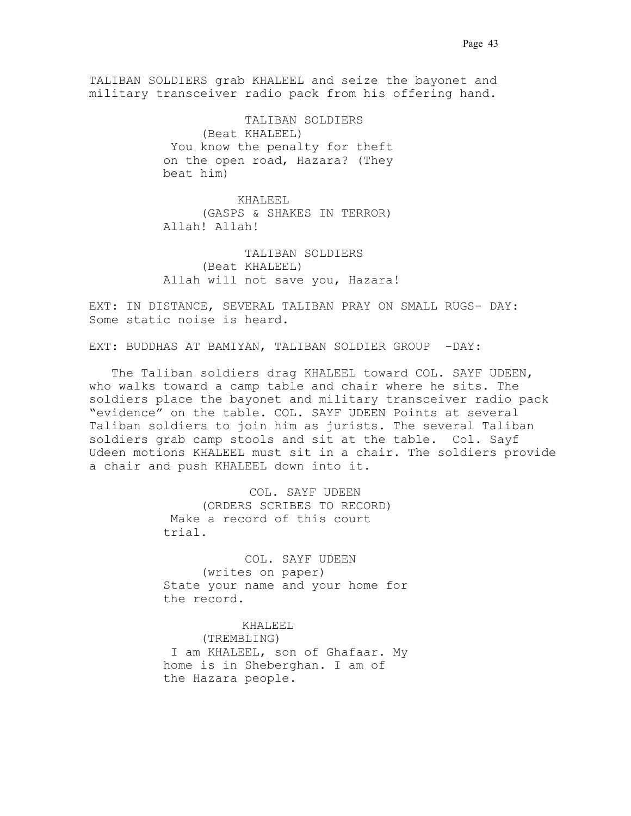TALIBAN SOLDIERS grab KHALEEL and seize the bayonet and military transceiver radio pack from his offering hand.

> TALIBAN SOLDIERS. (Beat KHALEEL) You know the penalty for theft on the open road, Hazara? (They beat him)

 KHALEEL . (GASPS & SHAKES IN TERROR) Allah! Allah!

 TALIBAN SOLDIERS. (Beat KHALEEL) Allah will not save you, Hazara!

EXT: IN DISTANCE, SEVERAL TALIBAN PRAY ON SMALL RUGS- DAY: Some static noise is heard.

EXT: BUDDHAS AT BAMIYAN, TALIBAN SOLDIER GROUP -DAY:

 The Taliban soldiers drag KHALEEL toward COL. SAYF UDEEN, who walks toward a camp table and chair where he sits. The soldiers place the bayonet and military transceiver radio pack "evidence" on the table. COL. SAYF UDEEN Points at several Taliban soldiers to join him as jurists. The several Taliban soldiers grab camp stools and sit at the table. Col. Sayf Udeen motions KHALEEL must sit in a chair. The soldiers provide a chair and push KHALEEL down into it.

> COL. SAYF UDEEN (ORDERS SCRIBES TO RECORD) .Make a record of this court trial.

COL. SAYF UDEEN (writes on paper) State your name and your home for the record. .

KHALEEL.. (TREMBLING) .I am KHALEEL, son of Ghafaar. My home is in Sheberghan. I am of the Hazara people.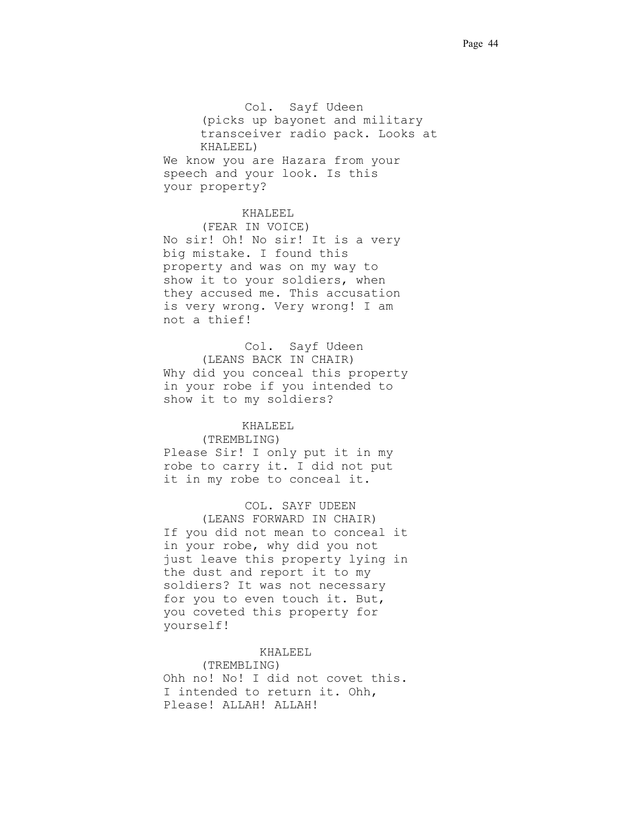Col. Sayf Udeen (picks up bayonet and military transceiver radio pack. Looks at KHALEEL) We know you are Hazara from your speech and your look. Is this your property?

### KHALEEL..

(FEAR IN VOICE) No sir! Oh! No sir! It is a very big mistake. I found this property and was on my way to show it to your soldiers, when they accused me. This accusation is very wrong. Very wrong! I am not a thief!

Col. Sayf Udeen (LEANS BACK IN CHAIR) Why did you conceal this property in your robe if you intended to show it to my soldiers?

## **KHALEEL**

#### (TREMBLING)

Please Sir! I only put it in my robe to carry it. I did not put it in my robe to conceal it.

## COL. SAYF UDEEN

(LEANS FORWARD IN CHAIR) If you did not mean to conceal it in your robe, why did you not just leave this property lying in the dust and report it to my soldiers? It was not necessary for you to even touch it. But, you coveted this property for yourself!

## KHALEEL

(TREMBLING) Ohh no! No! I did not covet this. I intended to return it. Ohh, Please! ALLAH! ALLAH!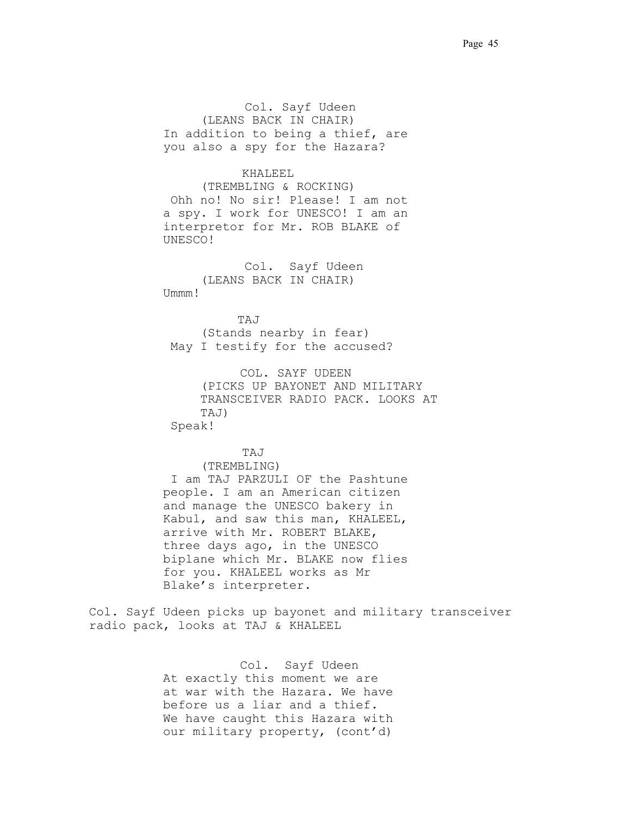Col. Sayf Udeen (LEANS BACK IN CHAIR) In addition to being a thief, are you also a spy for the Hazara?

### KHALEEL..

(TREMBLING & ROCKING) .Ohh no! No sir! Please! I am not a spy..I work for UNESCO! I am an interpretor for Mr. ROB BLAKE of UNESCO!

Col. Sayf Udeen (LEANS BACK IN CHAIR) Ummm!

 TAJ. . . (Stands nearby in fear) May I testify for the accused?

> COL. SAYF UDEEN (PICKS UP BAYONET AND MILITARY TRANSCEIVER RADIO PACK. LOOKS AT TAJ) Speak!

> > TAJ..

(TREMBLING) .I am TAJ PARZULI OF the Pashtune people..I am an American citizen and manage the UNESCO bakery in Kabul, and saw this man, KHALEEL, arrive with Mr. ROBERT BLAKE, three days ago, in the UNESCO biplane which Mr. BLAKE now flies for you. KHALEEL works as Mr Blake's interpreter.

Col. Sayf Udeen picks up bayonet and military transceiver radio pack, looks at TAJ & KHALEEL

> Col. Sayf Udeen At exactly this moment we are at war with the Hazara. We have before us a liar and a thief.. We have caught this Hazara with our military property, (cont'd)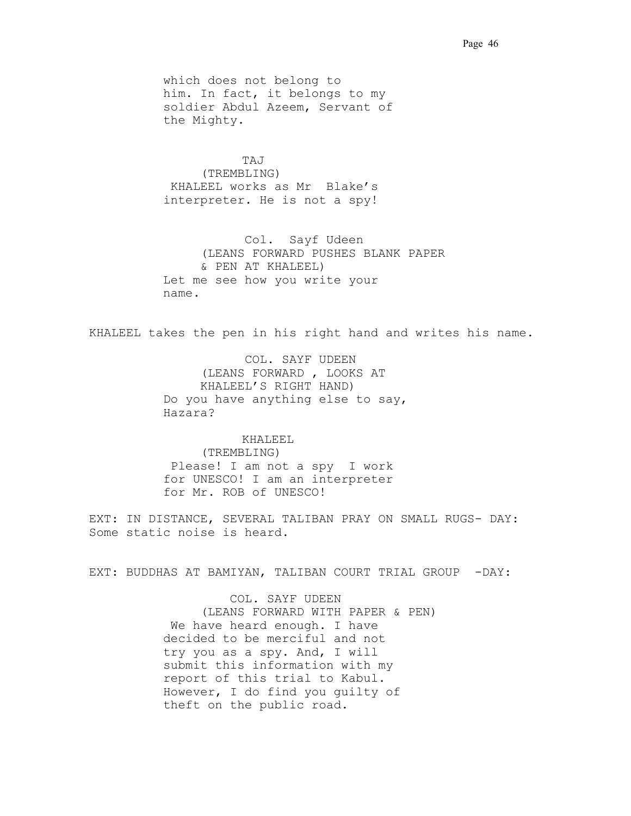which does not belong to him. In fact, it belongs to my soldier Abdul Azeem, Servant of the Mighty.

TAJ.. (TREMBLING) .KHALEEL works as Mr. Blake's interpreter. He is not a spy!

Col. Sayf Udeen (LEANS FORWARD PUSHES BLANK PAPER & PEN AT KHALEEL) Let me see how you write your name. . .

KHALEEL takes the pen in his right hand and writes his name.

COL. SAYF UDEEN (LEANS FORWARD , LOOKS AT KHALEEL'S RIGHT HAND) Do you have anything else to say, Hazara?.

KHALEEL. (TREMBLING) .Please! I am not a spy. I work for UNESCO! I am an interpreter for Mr. ROB of UNESCO!

EXT: IN DISTANCE, SEVERAL TALIBAN PRAY ON SMALL RUGS- DAY: Some static noise is heard.

EXT: BUDDHAS AT BAMIYAN, TALIBAN COURT TRIAL GROUP -DAY:

COL. SAYF UDEEN (LEANS FORWARD WITH PAPER & PEN) We have heard enough. I have decided to be merciful and not try you as a spy. And, I will submit this information with my report of this trial to Kabul. However, I do find you guilty of theft on the public road..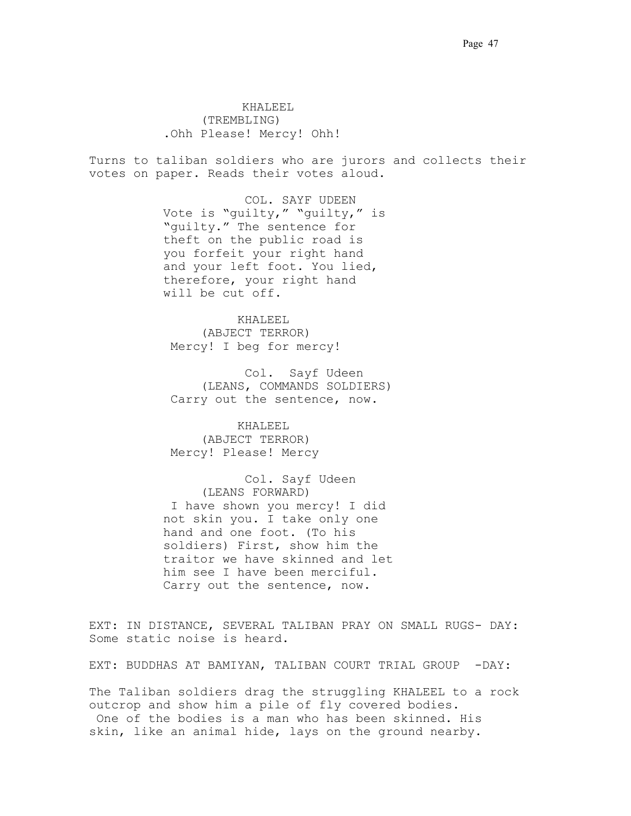**KHALEEL** (TREMBLING) .Ohh Please! Mercy! Ohh!

Turns to taliban soldiers who are jurors and collects their votes on paper. Reads their votes aloud.

> COL. SAYF UDEEN Vote is "guilty," "guilty," is "quilty." The sentence for theft on the public road is you forfeit your right hand and your left foot. You lied, therefore, your right hand will be cut off.

 KHALEEL. (ABJECT TERROR) Mercy! I beg for mercy!

Col. Sayf Udeen (LEANS, COMMANDS SOLDIERS) Carry out the sentence, now.

 KHALEEL. (ABJECT TERROR) Mercy! Please! Mercy

Col. Sayf Udeen (LEANS FORWARD) .I have shown you mercy! I did not skin you. I take only one hand and one foot. (To his soldiers) First, show him the traitor we have skinned and let him see I have been merciful. Carry out the sentence, now.

EXT: IN DISTANCE, SEVERAL TALIBAN PRAY ON SMALL RUGS- DAY: Some static noise is heard.

EXT: BUDDHAS AT BAMIYAN, TALIBAN COURT TRIAL GROUP -DAY:

The Taliban soldiers drag the struggling KHALEEL to a rock outcrop and show him a pile of fly covered bodies. One of the bodies is a man who has been skinned. His skin, like an animal hide, lays on the ground nearby.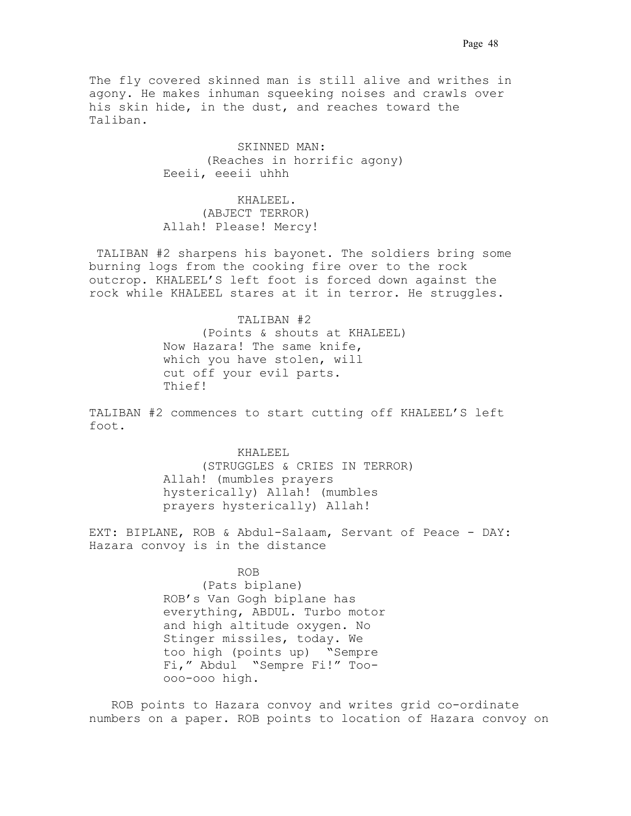The fly covered skinned man is still alive and writhes in agony. He makes inhuman squeeking noises and crawls over his skin hide, in the dust, and reaches toward the Taliban.

> SKINNED MAN: (Reaches in horrific agony) Eeeii, eeeii uhhh

 KHALEEL. (ABJECT TERROR) Allah! Please! Mercy!

 TALIBAN #2 sharpens his bayonet. The soldiers bring some burning logs from the cooking fire over to the rock outcrop. KHALEEL'S left foot is forced down against the rock while KHALEEL stares at it in terror. He struggles.

> TALIBAN #2. (Points & shouts at KHALEEL) Now Hazara! The same knife, which you have stolen, will cut off your evil parts. Thief!

TALIBAN #2 commences to start cutting off KHALEEL'S left foot.

> KHALEEL. (STRUGGLES & CRIES IN TERROR) Allah! (mumbles prayers hysterically) Allah! (mumbles prayers hysterically) Allah!

EXT: BIPLANE, ROB & Abdul-Salaam, Servant of Peace - DAY: Hazara convoy is in the distance

## ROB

(Pats biplane) ROB's Van Gogh biplane has everything, ABDUL. Turbo motor and high altitude oxygen. No Stinger missiles, today. We too high (points up). "Sempre Fi," Abdul. "Sempre Fi!" Tooooo-ooo high.

 ROB points to Hazara convoy and writes grid co-ordinate numbers on a paper. ROB points to location of Hazara convoy on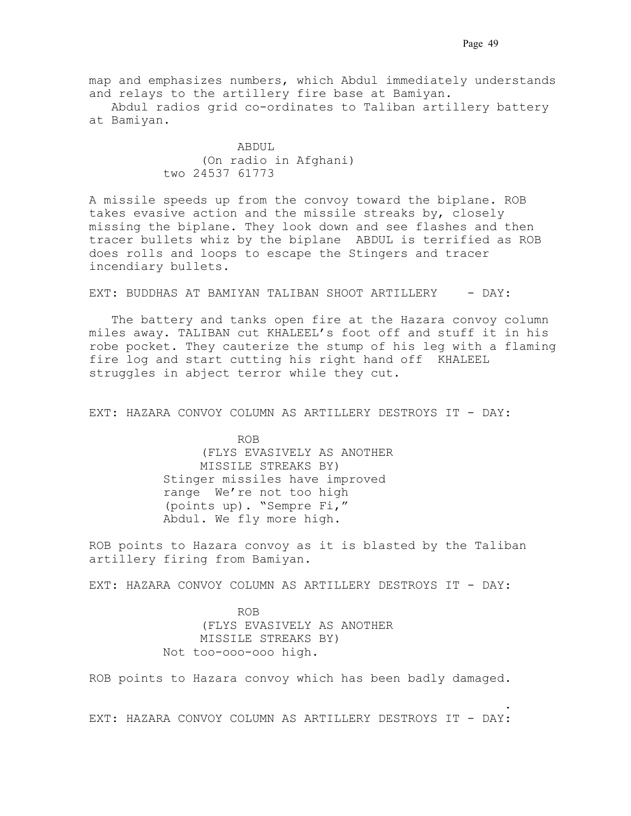map and emphasizes numbers, which Abdul immediately understands and relays to the artillery fire base at Bamiyan.

 Abdul radios grid co-ordinates to Taliban artillery battery at Bamiyan.

> ABDUL. (On radio in Afghani) two 24537 61773

A missile speeds up from the convoy toward the biplane. ROB takes evasive action and the missile streaks by, closely missing the biplane. They look down and see flashes and then tracer bullets whiz by the biplane. ABDUL is terrified as ROB does rolls and loops to escape the Stingers and tracer incendiary bullets.

EXT: BUDDHAS AT BAMIYAN TALIBAN SHOOT ARTILLERY - DAY:

The battery and tanks open fire at the Hazara convoy column miles away. TALIBAN cut KHALEEL's foot off and stuff it in his robe pocket. They cauterize the stump of his leg with a flaming fire log and start cutting his right hand off KHALEEL struggles in abject terror while they cut.

EXT: HAZARA CONVOY COLUMN AS ARTILLERY DESTROYS IT - DAY:

ROB (FLYS EVASIVELY AS ANOTHER MISSILE STREAKS BY) Stinger missiles have improved range. We're not too high (points up). "Sempre Fi," Abdul. We fly more high.

ROB points to Hazara convoy as it is blasted by the Taliban artillery firing from Bamiyan.

EXT: HAZARA CONVOY COLUMN AS ARTILLERY DESTROYS IT - DAY:

 ROB . (FLYS EVASIVELY AS ANOTHER MISSILE STREAKS BY) Not too-ooo-ooo high.

ROB points to Hazara convoy which has been badly damaged.

. The contract of the contract of the contract of the contract of the contract of the contract of the contract of the contract of the contract of the contract of the contract of the contract of the contract of the contrac EXT: HAZARA CONVOY COLUMN AS ARTILLERY DESTROYS IT - DAY: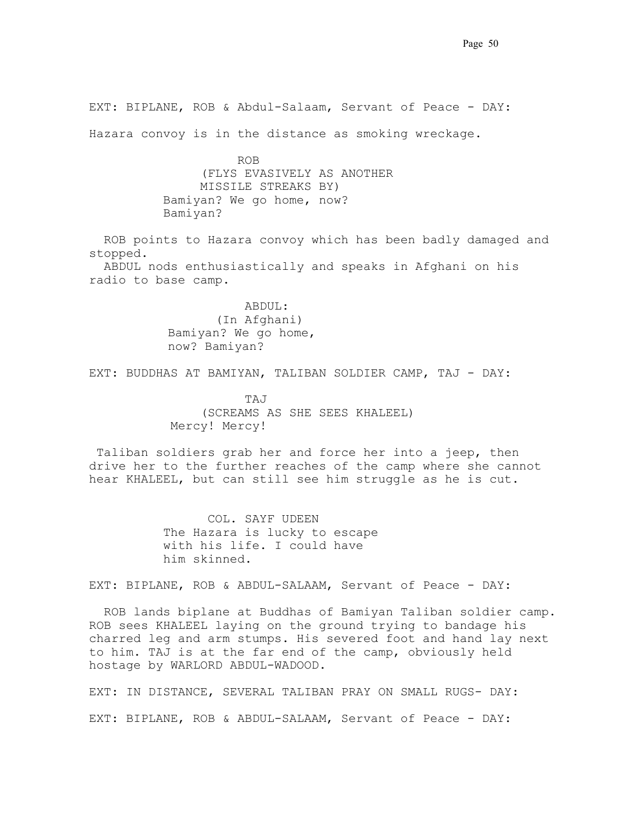EXT: BIPLANE, ROB & Abdul-Salaam, Servant of Peace - DAY:

Hazara convoy is in the distance as smoking wreckage.

ROB (FLYS EVASIVELY AS ANOTHER MISSILE STREAKS BY) Bamiyan? We go home, now? Bamiyan?

 ROB points to Hazara convoy which has been badly damaged and stopped. ABDUL nods enthusiastically and speaks in Afghani on his radio to base camp.

> . ABDUL: . (In Afghani) Bamiyan? We go home, now? Bamiyan?

EXT: BUDDHAS AT BAMIYAN, TALIBAN SOLDIER CAMP, TAJ - DAY:

. TAJ . (SCREAMS AS SHE SEES KHALEEL) Mercy! Mercy!

 Taliban soldiers grab her and force her into a jeep, then drive her to the further reaches of the camp where she cannot hear KHALEEL, but can still see him struggle as he is cut.

> COL. SAYF UDEEN The Hazara is lucky to escape with his life. I could have him skinned.

EXT: BIPLANE, ROB & ABDUL-SALAAM, Servant of Peace - DAY:

 ROB lands biplane at Buddhas of Bamiyan Taliban soldier camp. ROB sees KHALEEL laying on the ground trying to bandage his charred leg and arm stumps. His severed foot and hand lay next to him. TAJ is at the far end of the camp, obviously held hostage by WARLORD ABDUL-WADOOD.

EXT: IN DISTANCE, SEVERAL TALIBAN PRAY ON SMALL RUGS- DAY: EXT: BIPLANE, ROB & ABDUL-SALAAM, Servant of Peace - DAY:.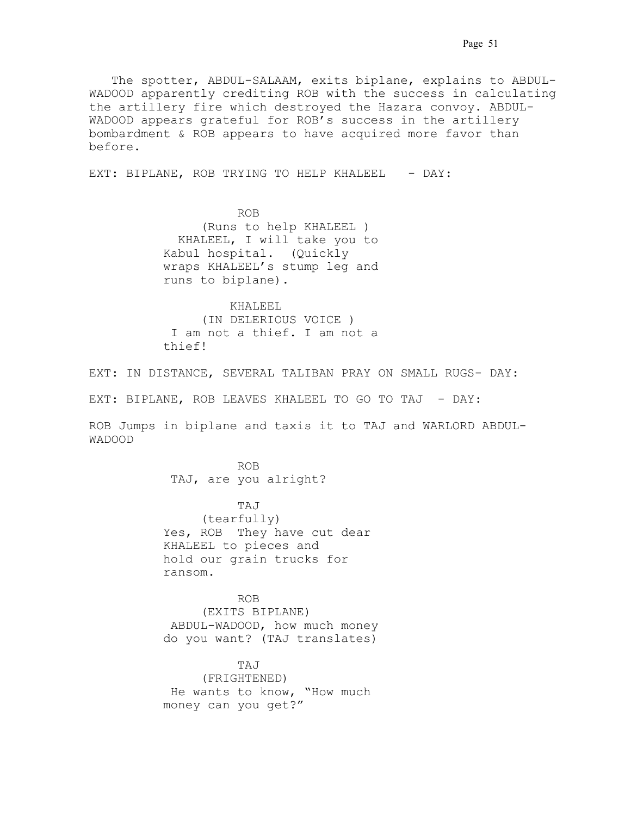The spotter, ABDUL-SALAAM, exits biplane, explains to ABDUL-WADOOD apparently crediting ROB with the success in calculating the artillery fire which destroyed the Hazara convoy. ABDUL-WADOOD appears grateful for ROB's success in the artillery bombardment & ROB appears to have acquired more favor than before.

EXT: BIPLANE, ROB TRYING TO HELP KHALEEL - DAY:

 ROB. . . (Runs to help KHALEEL ) . KHALEEL, I will take you to Kabul hospital. (Quickly wraps KHALEEL's stump leg and runs to biplane).

> KHALEEL (IN DELERIOUS VOICE ) .I am not a thief. I am not a thief!

EXT: IN DISTANCE, SEVERAL TALIBAN PRAY ON SMALL RUGS- DAY:

EXT: BIPLANE, ROB LEAVES KHALEEL TO GO TO TAJ - DAY:.

ROB Jumps in biplane and taxis it to TAJ and WARLORD ABDUL-WADOOD

 ROB. . . TAJ, are you alright?

 TAJ. . . (tearfully) Yes, ROB They have cut dear KHALEEL to pieces and hold our grain trucks for ransom..

 ROB. . . (EXITS BIPLANE) .ABDUL-WADOOD, how much money do you want? (TAJ translates)

 TAJ . (FRIGHTENED) .He wants to know, "How much money can you get?"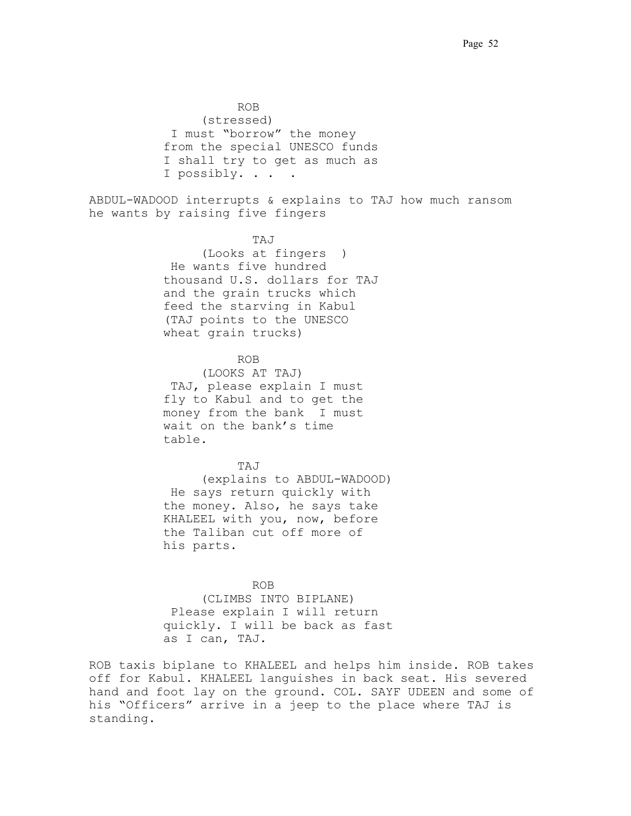ROB. . . (stressed) .I must "borrow" the money from the special UNESCO funds I shall try to get as much as I possibly. . . . . .

ABDUL-WADOOD interrupts & explains to TAJ how much ransom he wants by raising five fingers.

. TAJ. . . (Looks at fingers. ) .He wants five hundred thousand U.S. dollars for TAJ and the grain trucks which feed the starving in Kabul. (TAJ points to the UNESCO wheat grain trucks)

# **ROB.** ROB.

(LOOKS AT TAJ) .TAJ, please explain I must fly to Kabul and to get the money from the bank. I must wait on the bank's time table.

TAJ. . .

(explains to ABDUL-WADOOD) .He says return quickly with the money. Also, he says take KHALEEL with you, now, before the Taliban cut off more of his parts.

. ROB. . . (CLIMBS INTO BIPLANE) .Please explain I will return quickly. I will be back as fast as I can, TAJ.

ROB taxis biplane to KHALEEL and helps him inside. ROB takes off for Kabul. KHALEEL languishes in back seat. His severed hand and foot lay on the ground. COL. SAYF UDEEN and some of his "Officers" arrive in a jeep to the place where TAJ is standing.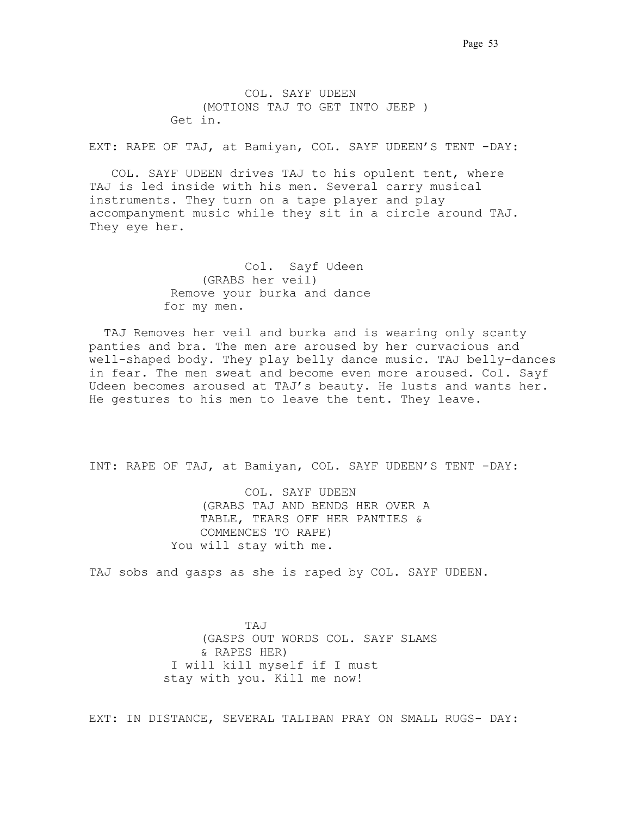COL. SAYF UDEEN (MOTIONS TAJ TO GET INTO JEEP ) Get in.

EXT: RAPE OF TAJ, at Bamiyan, COL. SAYF UDEEN'S TENT -DAY:

 COL. SAYF UDEEN drives TAJ to his opulent tent, where TAJ is led inside with his men. Several carry musical instruments. They turn on a tape player and play accompanyment music while they sit in a circle around TAJ. They eye her.

> Col. Sayf Udeen (GRABS her veil) .Remove your burka and dance for my men.

 TAJ Removes her veil and burka and is wearing only scanty panties and bra. The men are aroused by her curvacious and well-shaped body. They play belly dance music. TAJ belly-dances in fear. The men sweat and become even more aroused. Col. Sayf Udeen becomes aroused at TAJ's beauty. He lusts and wants her.. He gestures to his men to leave the tent. They leave.

INT: RAPE OF TAJ, at Bamiyan, COL. SAYF UDEEN'S TENT -DAY:

COL. SAYF UDEEN (GRABS TAJ AND BENDS HER OVER A TABLE, TEARS OFF HER PANTIES & COMMENCES TO RAPE) You will stay with me.

TAJ sobs and gasps as she is raped by COL. SAYF UDEEN.

.TAJ. (GASPS OUT WORDS COL. SAYF SLAMS & RAPES HER) .I will kill myself if I must stay with you. Kill me now!

EXT: IN DISTANCE, SEVERAL TALIBAN PRAY ON SMALL RUGS- DAY: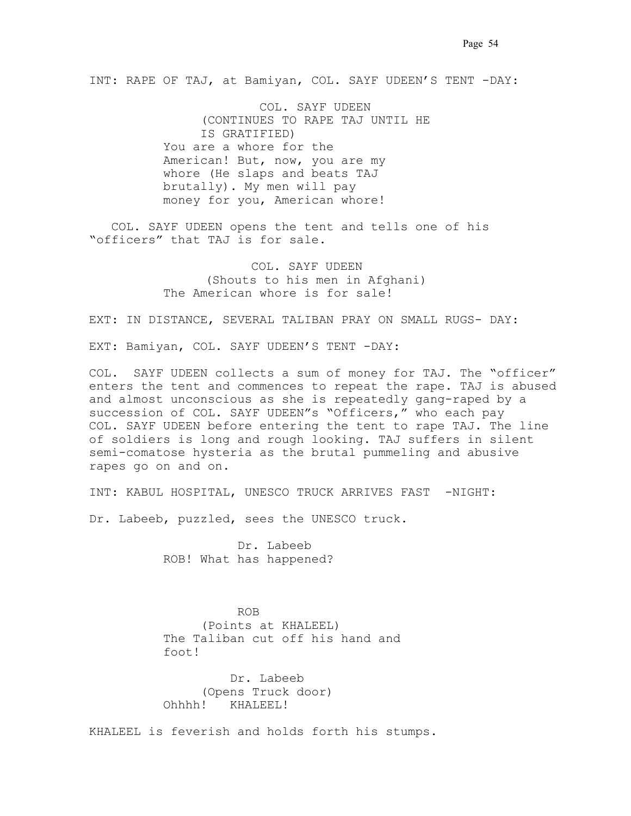INT: RAPE OF TAJ, at Bamiyan, COL. SAYF UDEEN'S TENT -DAY:

COL. SAYF UDEEN (CONTINUES TO RAPE TAJ UNTIL HE IS GRATIFIED) You are a whore for the American! But, now, you are my whore (He slaps and beats TAJ brutally). My men will pay money for you, American whore!

 COL. SAYF UDEEN opens the tent and tells one of his "officers" that TAJ is for sale.

> COL. SAYF UDEEN (Shouts to his men in Afghani) The American whore is for sale!

EXT: IN DISTANCE, SEVERAL TALIBAN PRAY ON SMALL RUGS- DAY:

EXT: Bamiyan, COL. SAYF UDEEN'S TENT -DAY:

COL. SAYF UDEEN collects a sum of money for TAJ. The "officer" enters the tent and commences to repeat the rape. TAJ is abused and almost unconscious as she is repeatedly gang-raped by a succession of COL. SAYF UDEEN"s "Officers," who each pay COL. SAYF UDEEN before entering the tent to rape TAJ. The line of soldiers is long and rough looking. TAJ suffers in silent semi-comatose hysteria as the brutal pummeling and abusive rapes go on and on.

INT: KABUL HOSPITAL, UNESCO TRUCK ARRIVES FAST -NIGHT:

Dr. Labeeb, puzzled, sees the UNESCO truck.

 Dr. Labeeb ROB! What has happened?

 ROB. . . (Points at KHALEEL) The Taliban cut off his hand and foot!

> Dr. Labeeb (Opens Truck door) Ohhhh! KHALEEL!

KHALEEL is feverish and holds forth his stumps.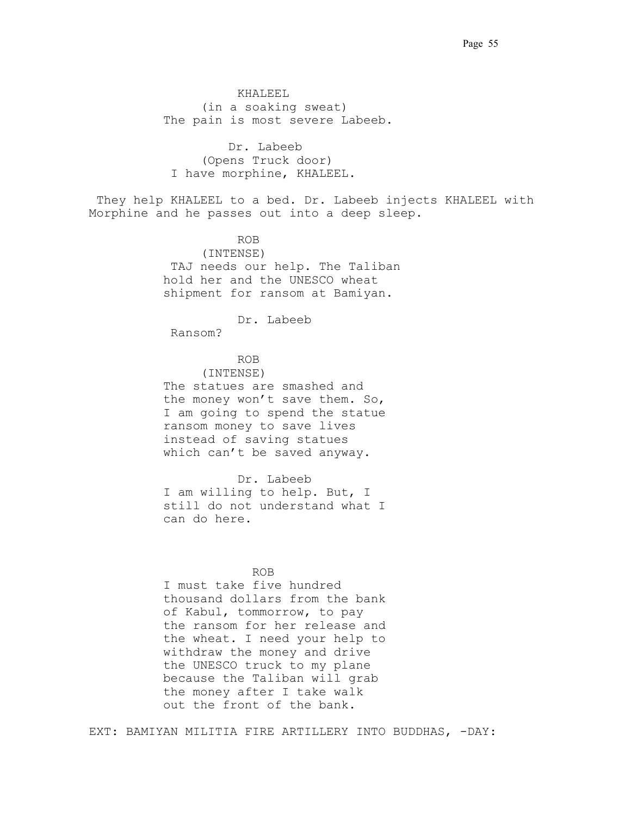KHALEEL (in a soaking sweat) The pain is most severe Labeeb.

Dr. Labeeb (Opens Truck door) I have morphine, KHALEEL.

They help KHALEEL to a bed. Dr. Labeeb injects KHALEEL with Morphine and he passes out into a deep sleep.

ROB (INTENSE) TAJ needs our help. The Taliban hold her and the UNESCO wheat shipment for ransom at Bamiyan..

Dr. Labeeb

.Ransom? .

## ROB

(INTENSE) The statues are smashed and the money won't save them. So, I am going to spend the statue ransom money to save lives instead of saving statues which can't be saved anyway.

Dr. Labeeb I am willing to help. But, I still do not understand what I can do here.

## . ROB. . .

I must take five hundred thousand dollars from the bank of Kabul, tommorrow, to pay the ransom for her release and the wheat. I need your help to withdraw the money and drive the UNESCO truck to my plane because the Taliban will grab the money after I take walk out the front of the bank.

EXT: BAMIYAN MILITIA FIRE ARTILLERY INTO BUDDHAS, -DAY: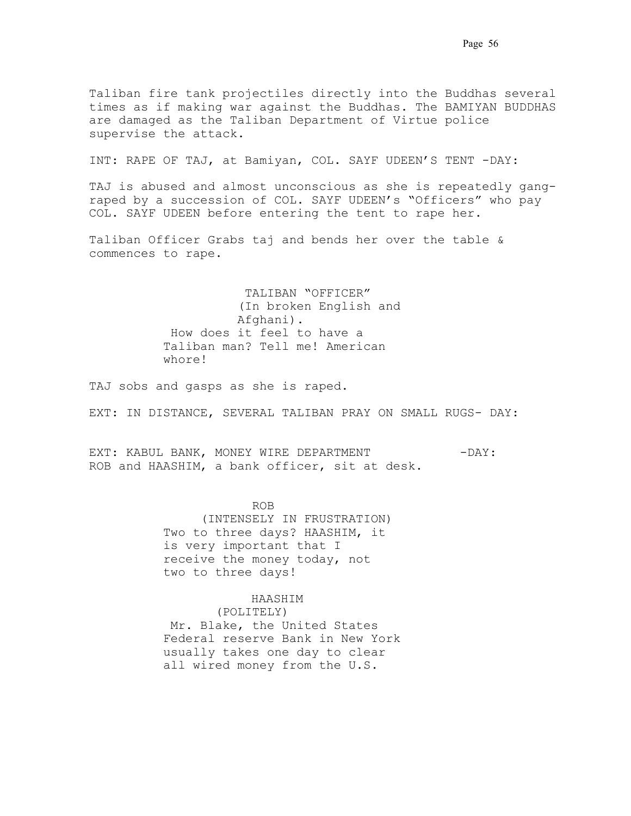INT: RAPE OF TAJ, at Bamiyan, COL. SAYF UDEEN'S TENT -DAY:

TAJ is abused and almost unconscious as she is repeatedly gangraped by a succession of COL. SAYF UDEEN's "Officers" who pay COL. SAYF UDEEN before entering the tent to rape her.

Taliban Officer Grabs taj and bends her over the table & commences to rape..

> .TALIBAN "OFFICER" (In broken English and Afghani). .How does it feel to have a Taliban man? Tell me! American whore!

TAJ sobs and gasps as she is raped.

EXT: IN DISTANCE, SEVERAL TALIBAN PRAY ON SMALL RUGS- DAY:

EXT: KABUL BANK, MONEY WIRE DEPARTMENT -DAY: ROB and HAASHIM, a bank officer, sit at desk.

. ROB. . . (INTENSELY IN FRUSTRATION) Two to three days? HAASHIM, it is very important that I receive the money today, not two to three days!

### HAASHIM

 . (POLITELY) .Mr. Blake, the United States Federal reserve Bank in New York usually takes one day to clear all wired money from the U.S.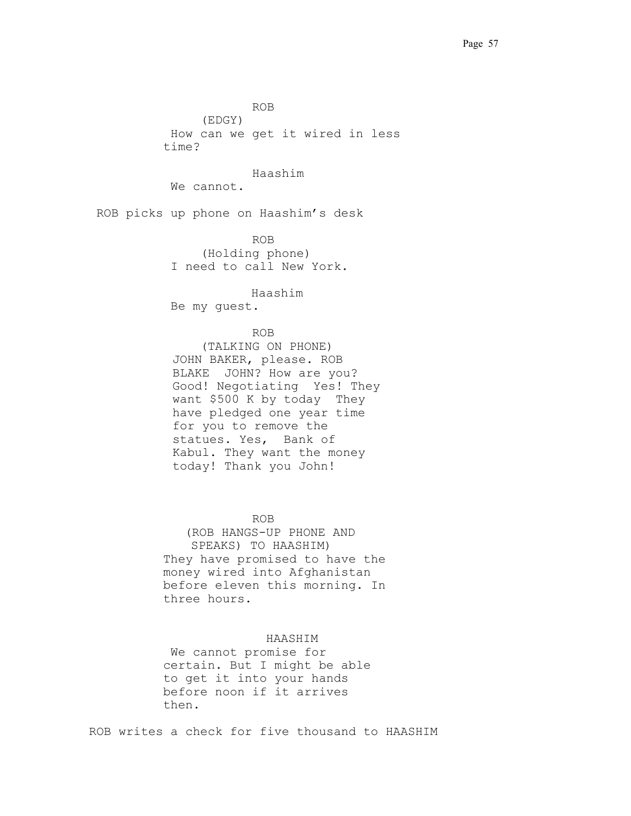. ROB. . . (EDGY) .How can we get it wired in less time? Haashim We cannot. ROB picks up phone on Haashim's desk . ROB. . . (Holding phone) I need to call New York. Haashim .Be my guest. . ROB. . . (TALKING ON PHONE) JOHN BAKER, please. ROB BLAKE JOHN? How are you? Good! Negotiating. Yes! They want \$500 K by today. They have pledged one year time for you to remove the statues. Yes, Bank of Kabul. They want the money today! Thank you John! . ROB (ROB HANGS-UP PHONE AND SPEAKS) TO HAASHIM). They have promised to have the money wired into Afghanistan before eleven this morning. In three hours.

#### . HAASHIM . .

.We cannot promise for certain. But I might be able to get it into your hands before noon if it arrives then.

ROB writes a check for five thousand to HAASHIM.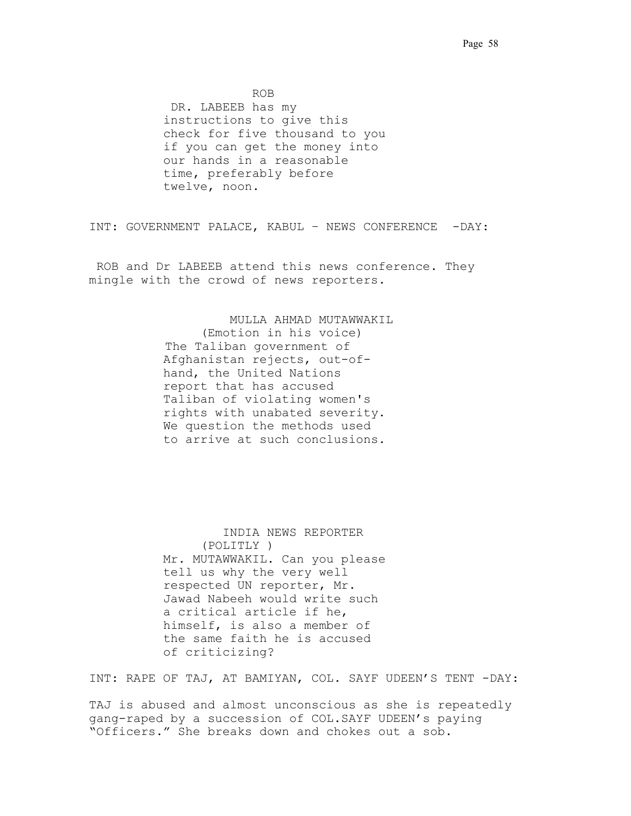. ROB. . .

.DR. LABEEB has my instructions to give this check for five thousand to you if you can get the money into our hands in a reasonable time, preferably before twelve, noon.

INT: GOVERNMENT PALACE, KABUL – NEWS CONFERENCE -DAY:

ROB and Dr LABEEB attend this news conference. They mingle with the crowd of news reporters.

. MULLA AHMAD MUTAWWAKIL.

(Emotion in his voice) The Taliban government of Afghanistan rejects, out-ofhand, the United Nations report that has accused Taliban of violating women's rights with unabated severity. We question the methods used to arrive at such conclusions.

 INDIA NEWS REPORTER (POLITLY ) Mr. MUTAWWAKIL. Can you please tell us why the very well respected UN reporter, Mr. Jawad Nabeeh would write such a critical article if he, himself, is also a member of the same faith he is accused of criticizing?

INT: RAPE OF TAJ, AT BAMIYAN, COL. SAYF UDEEN'S TENT -DAY:

TAJ is abused and almost unconscious as she is repeatedly gang-raped by a succession of COL.SAYF UDEEN's paying "Officers." She breaks down and chokes out a sob.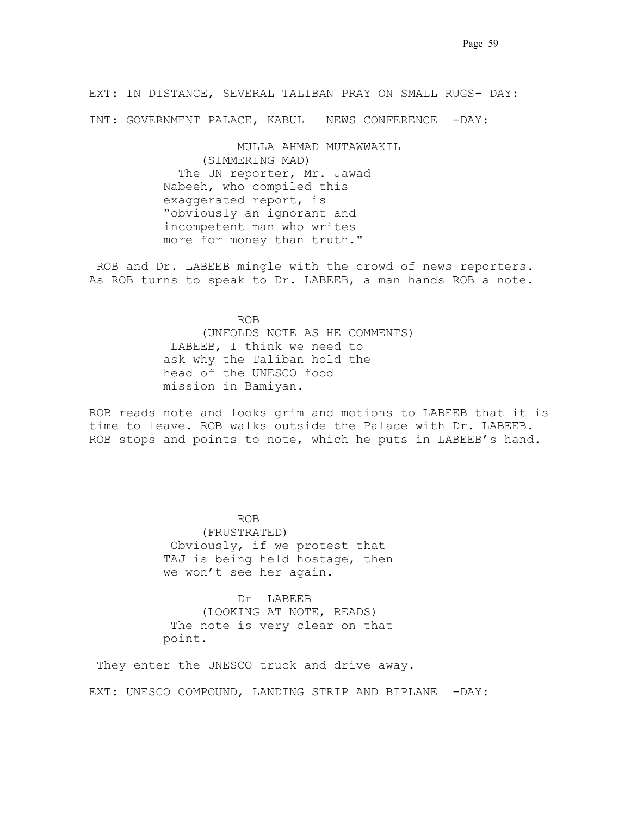EXT: IN DISTANCE, SEVERAL TALIBAN PRAY ON SMALL RUGS- DAY:

INT: GOVERNMENT PALACE, KABUL – NEWS CONFERENCE -DAY:

 MULLA AHMAD MUTAWWAKIL (SIMMERING MAD) The UN reporter, Mr. Jawad Nabeeh, who compiled this exaggerated report, is "obviously an ignorant and incompetent man who writes more for money than truth."

.ROB and Dr. LABEEB mingle with the crowd of news reporters. As ROB turns to speak to Dr. LABEEB, a man hands ROB a note.

ROB (UNFOLDS NOTE AS HE COMMENTS) .LABEEB, I think we need to ask why the Taliban hold the head of the UNESCO food mission in Bamiyan.

ROB reads note and looks grim and motions to LABEEB that it is time to leave. ROB walks outside the Palace with Dr. LABEEB. ROB stops and points to note, which he puts in LABEEB's hand.

 ROB. . . (FRUSTRATED) .Obviously, if we protest that TAJ is being held hostage, then we won't see her again.

> Dr. LABEEB (LOOKING AT NOTE, READS) The note is very clear on that point.

They enter the UNESCO truck and drive away.

EXT: UNESCO COMPOUND, LANDING STRIP AND BIPLANE -DAY: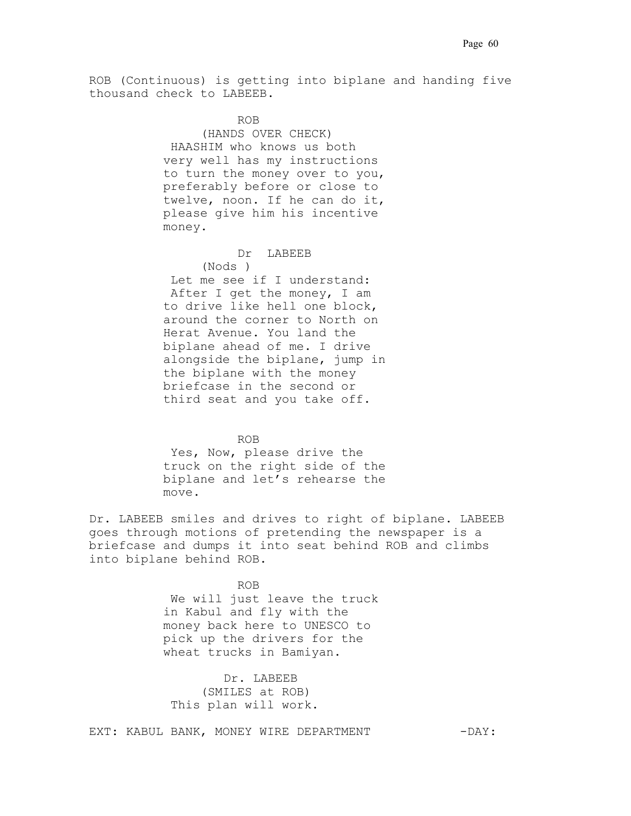ROB (Continuous) is getting into biplane and handing five thousand check to LABEEB.

 ROB. . . (HANDS OVER CHECK) .HAASHIM who knows us both very well has my instructions to turn the money over to you, preferably before or close to twelve, noon. If he can do it, please give him his incentive money.

#### Dr. LABEEB

(Nods ) Let me see if I understand: .After I get the money, I am to drive like hell one block, around the corner to North on Herat Avenue. You land the biplane ahead of me. I drive alongside the biplane, jump in the biplane with the money briefcase in the second or third seat and you take off..

## ROB. . .

Yes, Now, please drive the truck on the right side of the biplane and let's rehearse the move.

Dr. LABEEB smiles and drives to right of biplane. LABEEB goes through motions of pretending the newspaper is a briefcase and dumps it into seat behind ROB and climbs into biplane behind ROB.

ROB We will just leave the truck in Kabul and fly with the money back here to UNESCO to pick up the drivers for the wheat trucks in Bamiyan.

> Dr. LABEEB (SMILES at ROB) This plan will work.

EXT: KABUL BANK, MONEY WIRE DEPARTMENT -DAY: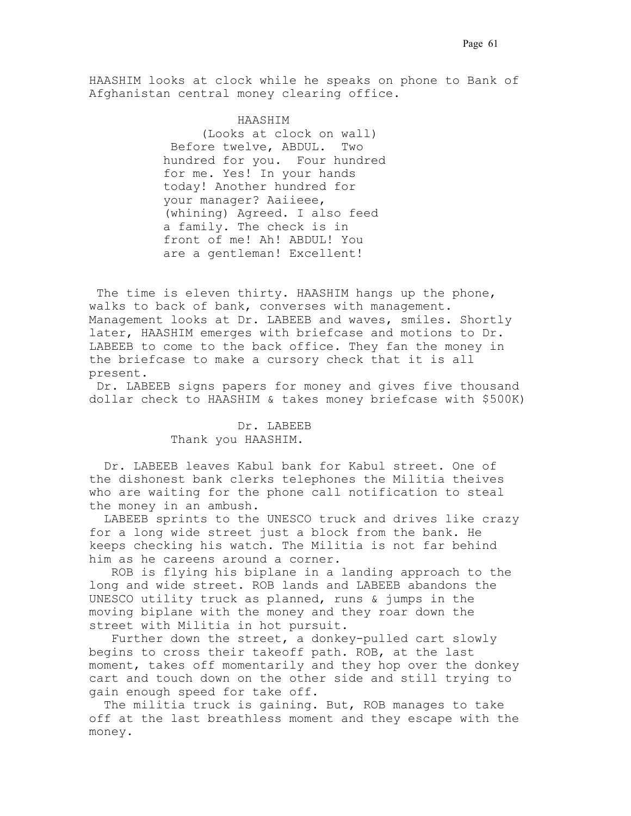HAASHIM looks at clock while he speaks on phone to Bank of Afghanistan central money clearing office.

> HAASHIM. (Looks at clock on wall) Before twelve, ABDUL. Two hundred for you. Four hundred for me. Yes! In your hands today! Another hundred for your manager? Aaiieee, (whining) Agreed. I also feed a family. The check is in front of me! Ah! ABDUL! You are a gentleman! Excellent!

The time is eleven thirty. HAASHIM hangs up the phone, walks to back of bank, converses with management. Management looks at Dr. LABEEB and waves, smiles. Shortly later, HAASHIM emerges with briefcase and motions to Dr. LABEEB to come to the back office. They fan the money in the briefcase to make a cursory check that it is all present.

 Dr. LABEEB signs papers for money and gives five thousand dollar check to HAASHIM & takes money briefcase with \$500K)

## Dr. LABEEB Thank you HAASHIM.

. Dr. LABEEB leaves Kabul bank for Kabul street. One of the dishonest bank clerks telephones the Militia theives who are waiting for the phone call notification to steal the money in an ambush.

 LABEEB sprints to the UNESCO truck and drives like crazy for a long wide street just a block from the bank. He keeps checking his watch. The Militia is not far behind him as he careens around a corner.

 ROB is flying his biplane in a landing approach to the long and wide street. ROB lands and LABEEB abandons the UNESCO utility truck as planned, runs & jumps in the moving biplane with the money and they roar down the street with Militia in hot pursuit..

 Further down the street, a donkey-pulled cart slowly begins to cross their takeoff path. ROB, at the last moment, takes off momentarily and they hop over the donkey cart and touch down on the other side and still trying to gain enough speed for take off..

 The militia truck is gaining. But, ROB manages to take off at the last breathless moment and they escape with the money.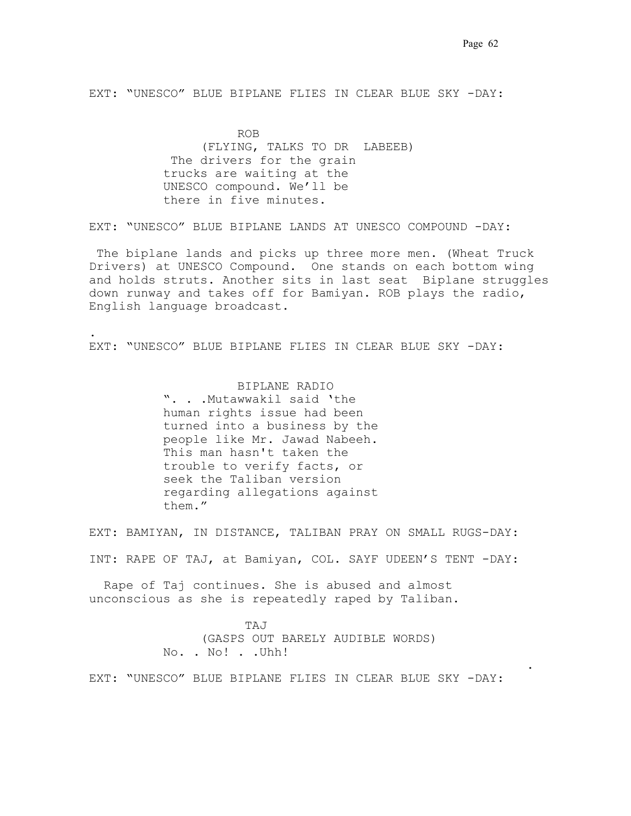EXT: "UNESCO" BLUE BIPLANE FLIES IN CLEAR BLUE SKY -DAY:

**ROB** ROB (FLYING, TALKS TO DR. LABEEB) The drivers for the grain trucks are waiting at the UNESCO compound. We'll be there in five minutes.

EXT: "UNESCO" BLUE BIPLANE LANDS AT UNESCO COMPOUND -DAY:

.The biplane lands and picks up three more men. (Wheat Truck Drivers) at UNESCO Compound. One stands on each bottom wing and holds struts. Another sits in last seat. Biplane struggles down runway and takes off for Bamiyan. ROB plays the radio, English language broadcast.

EXT: "UNESCO" BLUE BIPLANE FLIES IN CLEAR BLUE SKY -DAY:

BIPLANE RADIO ". . .Mutawwakil said 'the human rights issue had been turned into a business by the people like Mr. Jawad Nabeeh. This man hasn't taken the trouble to verify facts, or seek the Taliban version regarding allegations against them."

.

EXT: BAMIYAN, IN DISTANCE, TALIBAN PRAY ON SMALL RUGS-DAY:

INT: RAPE OF TAJ, at Bamiyan, COL. SAYF UDEEN'S TENT -DAY:

 Rape of Taj continues. She is abused and almost unconscious as she is repeatedly raped by Taliban.

> .TAJ. (GASPS OUT BARELY AUDIBLE WORDS) No. . No! . . Uhh!

. . . . .. .

EXT: "UNESCO" BLUE BIPLANE FLIES IN CLEAR BLUE SKY -DAY: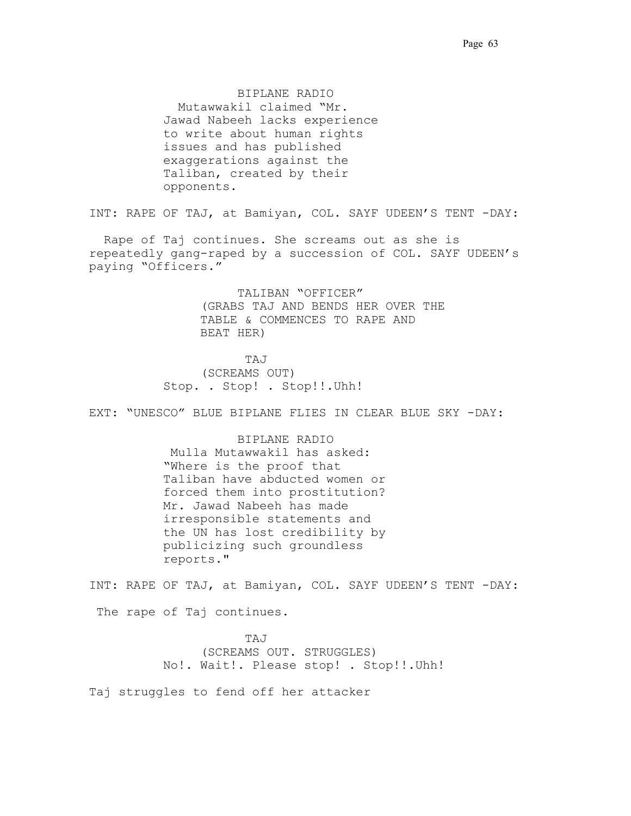BIPLANE RADIO Mutawwakil claimed "Mr.. Jawad Nabeeh lacks experience to write about human rights issues and has published exaggerations against the Taliban, created by their opponents."

INT: RAPE OF TAJ, at Bamiyan, COL. SAYF UDEEN'S TENT -DAY:

 Rape of Taj continues. She screams out as she is repeatedly gang-raped by a succession of COL. SAYF UDEEN's paying "Officers."

> TALIBAN "OFFICER". (GRABS TAJ AND BENDS HER OVER THE TABLE & COMMENCES TO RAPE AND BEAT HER)

.TAJ. (SCREAMS OUT) Stop. . Stop! . Stop!!.Uhh!

EXT: "UNESCO" BLUE BIPLANE FLIES IN CLEAR BLUE SKY -DAY:

BIPLANE RADIO Mulla Mutawwakil has asked: "Where is the proof that Taliban have abducted women or forced them into prostitution? Mr. Jawad Nabeeh has made irresponsible statements and the UN has lost credibility by publicizing such groundless reports."

INT: RAPE OF TAJ, at Bamiyan, COL. SAYF UDEEN'S TENT -DAY:

The rape of Taj continues.

.TAJ. (SCREAMS OUT. STRUGGLES) No!. Wait!. Please stop! . Stop!!.Uhh!

Taj struggles to fend off her attacker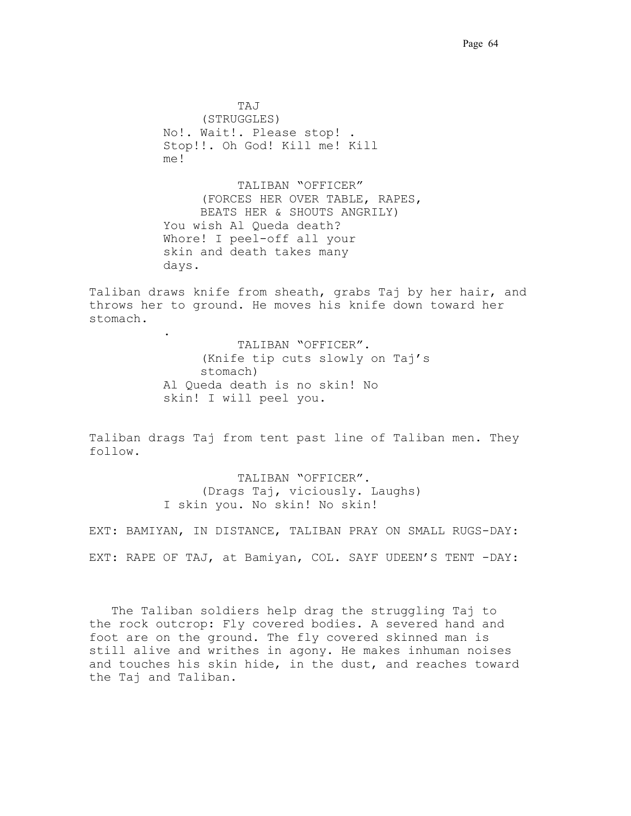TAJ. (STRUGGLES) No!. Wait!. Please stop! . Stop!!. Oh God! Kill me! Kill me!

TALIBAN "OFFICER". (FORCES HER OVER TABLE, RAPES, BEATS HER & SHOUTS ANGRILY) You wish Al Queda death? Whore! I peel-off all your skin and death takes many days.

Taliban draws knife from sheath, grabs Taj by her hair, and throws her to ground. He moves his knife down toward her stomach.

> TALIBAN "OFFICER". (Knife tip cuts slowly on Taj's stomach) Al Queda death is no skin! No skin! I will peel you.

.

Taliban drags Taj from tent past line of Taliban men. They follow.

> TALIBAN "OFFICER". (Drags Taj, viciously. Laughs) I skin you. No skin! No skin!

EXT: BAMIYAN, IN DISTANCE, TALIBAN PRAY ON SMALL RUGS-DAY: EXT: RAPE OF TAJ, at Bamiyan, COL. SAYF UDEEN'S TENT -DAY:

 The Taliban soldiers help drag the struggling Taj to the rock outcrop: Fly covered bodies. A severed hand and foot are on the ground. The fly covered skinned man is still alive and writhes in agony. He makes inhuman noises and touches his skin hide, in the dust, and reaches toward the Taj and Taliban.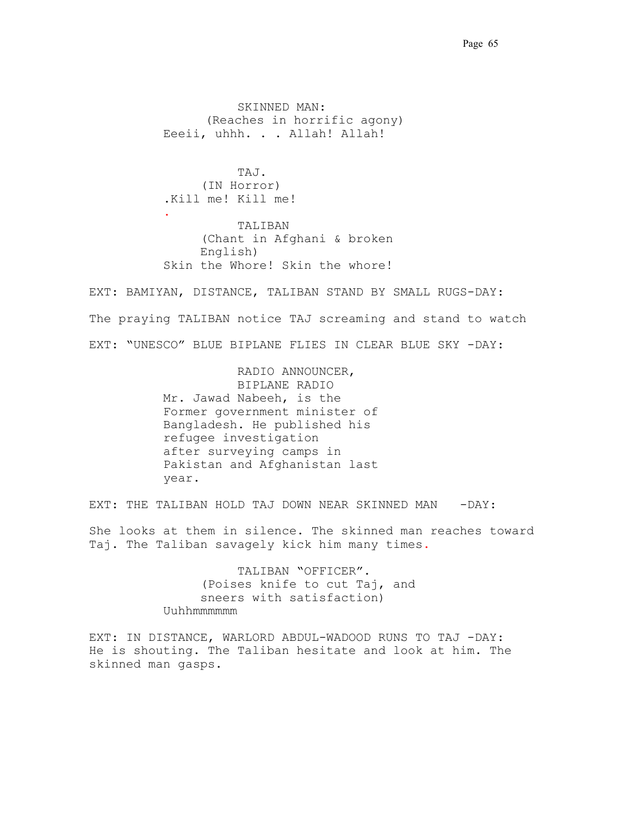SKINNED MAN: (Reaches in horrific agony) Eeeii, uhhh. . . Allah! Allah!

 TAJ. (IN Horror) .Kill me! Kill me! . TALIBAN (Chant in Afghani & broken English) Skin the Whore! Skin the whore!

EXT: BAMIYAN, DISTANCE, TALIBAN STAND BY SMALL RUGS-DAY: The praying TALIBAN notice TAJ screaming and stand to watch EXT: "UNESCO" BLUE BIPLANE FLIES IN CLEAR BLUE SKY -DAY:

> RADIO ANNOUNCER, BIPLANE RADIO Mr. Jawad Nabeeh, is the Former government minister of Bangladesh. He published his refugee investigation after surveying camps in Pakistan and Afghanistan last year.

EXT: THE TALIBAN HOLD TAJ DOWN NEAR SKINNED MAN - DAY:

She looks at them in silence. The skinned man reaches toward Taj. The Taliban savagely kick him many times.

> TALIBAN "OFFICER". (Poises knife to cut Taj, and sneers with satisfaction) Uuhhmmmmmm

EXT: IN DISTANCE, WARLORD ABDUL-WADOOD RUNS TO TAJ -DAY: He is shouting. The Taliban hesitate and look at him. The skinned man gasps.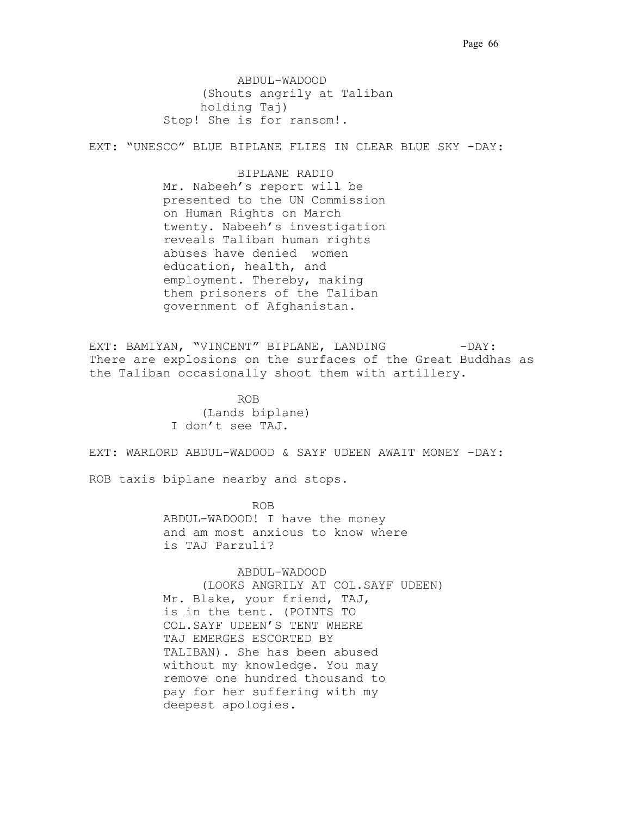ABDUL-WADOOD (Shouts angrily at Taliban holding Taj) Stop! She is for ransom!.

EXT: "UNESCO" BLUE BIPLANE FLIES IN CLEAR BLUE SKY -DAY:

BIPLANE RADIO Mr. Nabeeh's report will be presented to the UN Commission on Human Rights on March twenty. Nabeeh's investigation reveals Taliban human rights abuses have denied women education, health, and employment. Thereby, making them prisoners of the Taliban government of Afghanistan.

EXT: BAMIYAN, "VINCENT" BIPLANE, LANDING - DAY: There are explosions on the surfaces of the Great Buddhas as the Taliban occasionally shoot them with artillery.

 ROB. . . (Lands biplane) I don't see TAJ.

EXT: WARLORD ABDUL-WADOOD & SAYF UDEEN AWAIT MONEY –DAY:

ROB taxis biplane nearby and stops.

. ROB. . . ABDUL-WADOOD! I have the money and am most anxious to know where is TAJ Parzuli?

> ABDUL-WADOOD (LOOKS ANGRILY AT COL.SAYF UDEEN) Mr. Blake, your friend, TAJ, is in the tent. (POINTS TO

COL.SAYF UDEEN'S TENT WHERE TAJ EMERGES ESCORTED BY TALIBAN). She has been abused without my knowledge. You may remove one hundred thousand to pay for her suffering with my deepest apologies.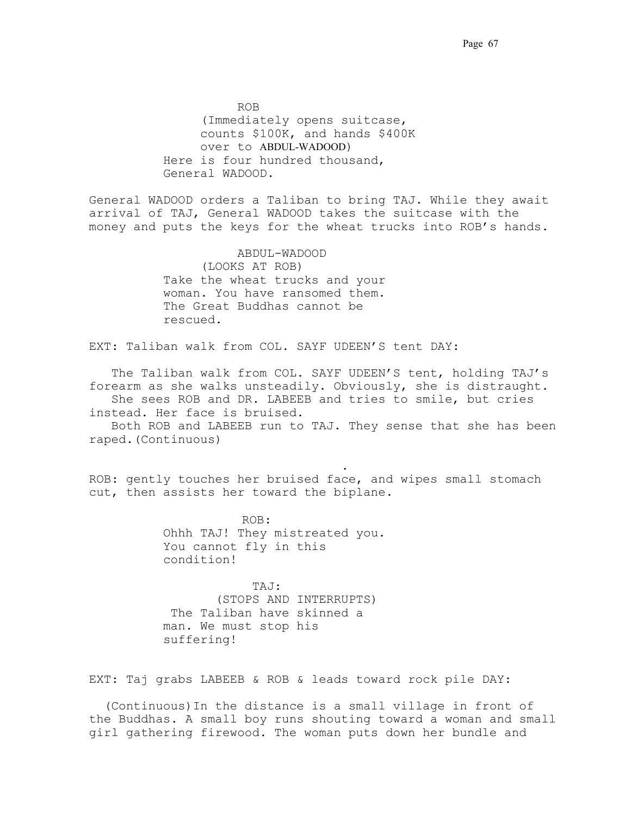ROB. . . (Immediately opens suitcase, counts \$100K, and hands \$400K over to ABDUL-WADOOD) Here is four hundred thousand, General WADOOD.

General WADOOD orders a Taliban to bring TAJ. While they await arrival of TAJ, General WADOOD takes the suitcase with the money and puts the keys for the wheat trucks into ROB's hands..

> ABDUL-WADOOD (LOOKS AT ROB) Take the wheat trucks and your woman. You have ransomed them. The Great Buddhas cannot be rescued. .

EXT: Taliban walk from COL. SAYF UDEEN'S tent DAY:

 The Taliban walk from COL. SAYF UDEEN'S tent, holding TAJ's forearm as she walks unsteadily. Obviously, she is distraught. She sees ROB and DR. LABEEB and tries to smile, but cries instead. Her face is bruised.

 Both ROB and LABEEB run to TAJ. They sense that she has been raped.(Continuous)

ROB: gently touches her bruised face, and wipes small stomach cut, then assists her toward the biplane.

> ROB: Ohhh TAJ! They mistreated you. You cannot fly in this condition!

. . . . . . . . . . . . . . . . . .

 TAJ: (STOPS AND INTERRUPTS) The Taliban have skinned a man. We must stop his suffering!

EXT: Taj grabs LABEEB & ROB & leads toward rock pile DAY:

 (Continuous)In the distance is a small village in front of the Buddhas. A small boy runs shouting toward a woman and small girl gathering firewood. The woman puts down her bundle and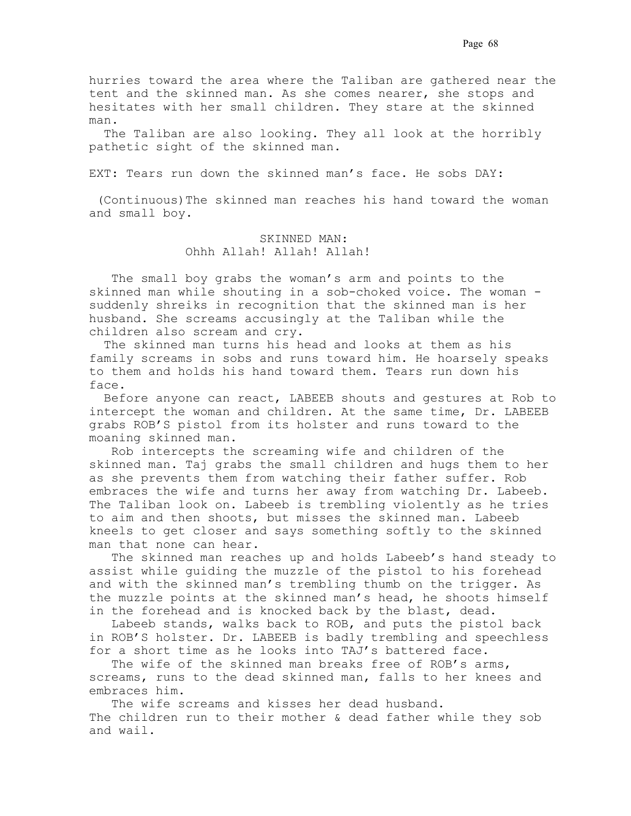hurries toward the area where the Taliban are gathered near the tent and the skinned man. As she comes nearer, she stops and hesitates with her small children. They stare at the skinned man.

 The Taliban are also looking. They all look at the horribly pathetic sight of the skinned man.

EXT: Tears run down the skinned man's face. He sobs DAY:

 (Continuous)The skinned man reaches his hand toward the woman and small boy.

## SKINNED MAN: Ohhh Allah! Allah! Allah!

 The small boy grabs the woman's arm and points to the skinned man while shouting in a sob-choked voice. The woman suddenly shreiks in recognition that the skinned man is her husband. She screams accusingly at the Taliban while the children also scream and cry.

 The skinned man turns his head and looks at them as his family screams in sobs and runs toward him. He hoarsely speaks to them and holds his hand toward them. Tears run down his face.

 Before anyone can react, LABEEB shouts and gestures at Rob to intercept the woman and children. At the same time, Dr. LABEEB grabs ROB'S pistol from its holster and runs toward to the moaning skinned man.

 Rob intercepts the screaming wife and children of the skinned man. Taj grabs the small children and hugs them to her as she prevents them from watching their father suffer. Rob embraces the wife and turns her away from watching Dr. Labeeb. The Taliban look on. Labeeb is trembling violently as he tries to aim and then shoots, but misses the skinned man. Labeeb kneels to get closer and says something softly to the skinned man that none can hear.

 The skinned man reaches up and holds Labeeb's hand steady to assist while guiding the muzzle of the pistol to his forehead and with the skinned man's trembling thumb on the trigger. As the muzzle points at the skinned man's head, he shoots himself in the forehead and is knocked back by the blast, dead.

 Labeeb stands, walks back to ROB, and puts the pistol back in ROB'S holster. Dr. LABEEB is badly trembling and speechless for a short time as he looks into TAJ's battered face.

The wife of the skinned man breaks free of ROB's arms, screams, runs to the dead skinned man, falls to her knees and embraces him.

 The wife screams and kisses her dead husband. The children run to their mother & dead father while they sob and wail.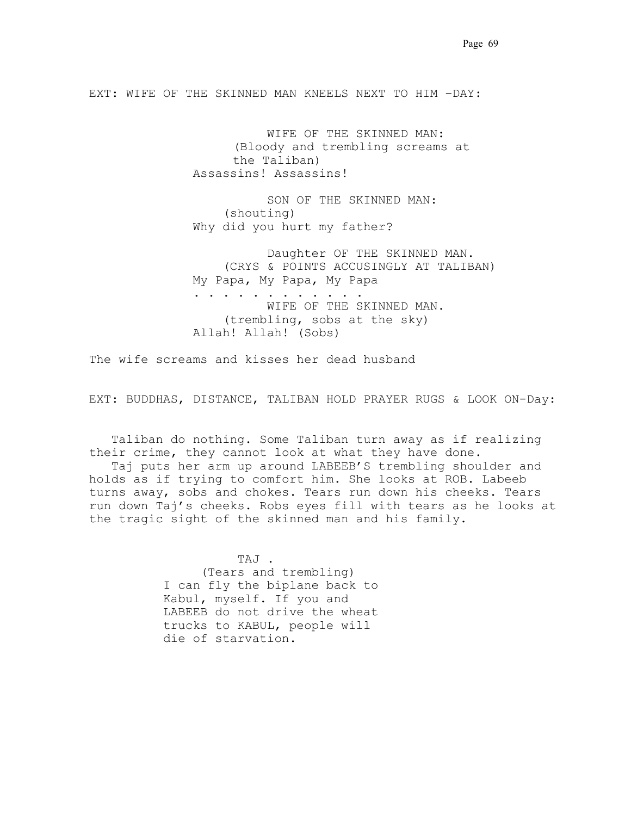EXT: WIFE OF THE SKINNED MAN KNEELS NEXT TO HIM –DAY:

 WIFE OF THE SKINNED MAN: (Bloody and trembling screams at the Taliban) Assassins! Assassins!

 SON OF THE SKINNED MAN: (shouting) Why did you hurt my father?

 Daughter OF THE SKINNED MAN. (CRYS & POINTS ACCUSINGLY AT TALIBAN) My Papa, My Papa, My Papa . . . . . . . . . . . . WIFE OF THE SKINNED MAN. (trembling, sobs at the sky) Allah! Allah! (Sobs)

The wife screams and kisses her dead husband

EXT: BUDDHAS, DISTANCE, TALIBAN HOLD PRAYER RUGS & LOOK ON-Day:

 Taliban do nothing. Some Taliban turn away as if realizing their crime, they cannot look at what they have done.

 Taj puts her arm up around LABEEB'S trembling shoulder and holds as if trying to comfort him. She looks at ROB. Labeeb turns away, sobs and chokes. Tears run down his cheeks. Tears run down Taj's cheeks. Robs eyes fill with tears as he looks at the tragic sight of the skinned man and his family.

> TAJ . (Tears and trembling) I can fly the biplane back to Kabul, myself. If you and LABEEB do not drive the wheat trucks to KABUL, people will die of starvation.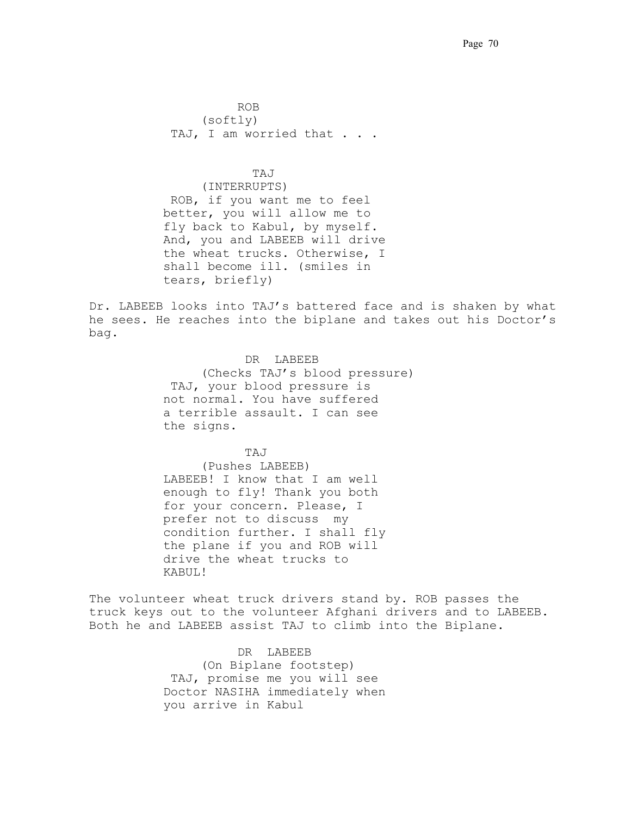**ROB.** ROB. (softly) TAJ, I am worried that . . .

## . TAJ. . .

(INTERRUPTS) .ROB, if you want me to feel better, you will allow me to fly back to Kabul, by myself. And, you and LABEEB will drive the wheat trucks. Otherwise, I shall become ill. (smiles in tears, briefly)

Dr. LABEEB looks into TAJ's battered face and is shaken by what he sees. He reaches into the biplane and takes out his Doctor's  $bag.$ 

> .DR. LABEEB. (Checks TAJ's blood pressure) .TAJ, your blood pressure is not normal. You have suffered a terrible assault. I can see the signs.

 $TAJ$ 

(Pushes LABEEB) LABEEB! I know that I am well enough to fly! Thank you both for your concern. Please, I prefer not to discuss my condition further. I shall fly the plane if you and ROB will drive the wheat trucks to KABUL!

The volunteer wheat truck drivers stand by. ROB passes the truck keys out to the volunteer Afghani drivers and to LABEEB. Both he and LABEEB assist TAJ to climb into the Biplane.

> DR LABEEB (On Biplane footstep) .TAJ, promise me you will see Doctor NASIHA immediately when you arrive in Kabul.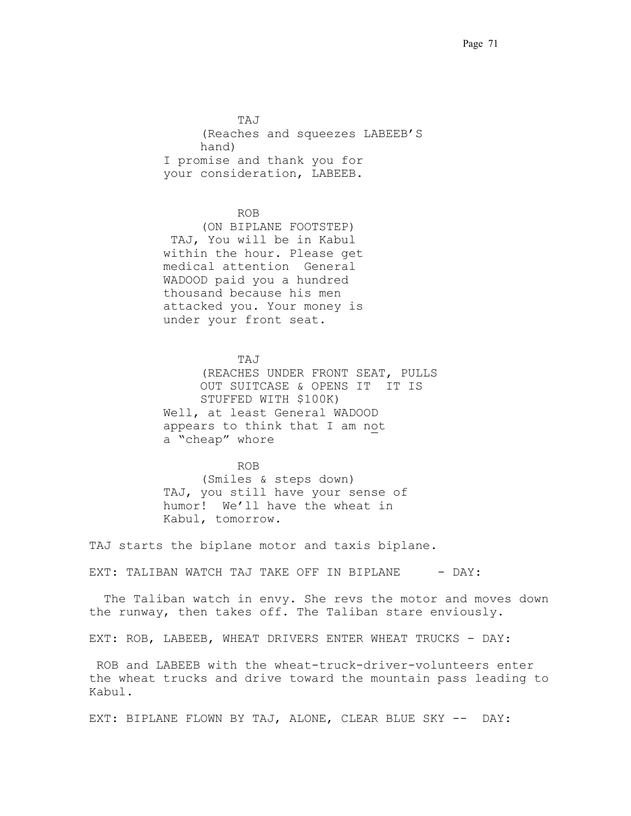. . . . . . . . TAJ. (Reaches and squeezes LABEEB'S hand) .I promise and thank you for your consideration, LABEEB.

## **ROB.** ROB.

(ON BIPLANE FOOTSTEP) .TAJ, You will be in Kabul within the hour. Please get medical attention. General WADOOD paid you a hundred thousand because his men attacked you. Your money is under your front seat.

TAJ (REACHES UNDER FRONT SEAT, PULLS OUT SUITCASE & OPENS IT IT IS STUFFED WITH \$100K) Well, at least General WADOOD appears to think that I am not a "cheap" whore.

#### ROB.

(Smiles & steps down) TAJ, you still have your sense of humor! We'll have the wheat in Kabul, tomorrow.

TAJ starts the biplane motor and taxis biplane..

EXT: TALIBAN WATCH TAJ TAKE OFF IN BIPLANE  $-$  DAY:

 The Taliban watch in envy. She revs the motor and moves down the runway, then takes off. The Taliban stare enviously.

EXT: ROB, LABEEB, WHEAT DRIVERS ENTER WHEAT TRUCKS - DAY:

 ROB and LABEEB with the wheat-truck-driver-volunteers enter the wheat trucks and drive toward the mountain pass leading to Kabul..

EXT: BIPLANE FLOWN BY TAJ, ALONE, CLEAR BLUE SKY -- DAY: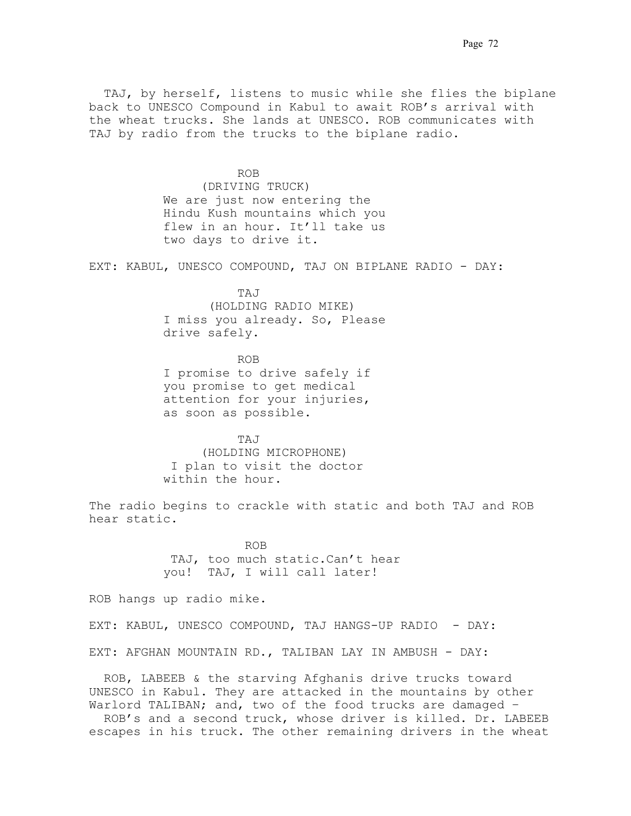TAJ, by herself, listens to music while she flies the biplane back to UNESCO Compound in Kabul to await ROB's arrival with the wheat trucks. She lands at UNESCO. ROB communicates with TAJ by radio from the trucks to the biplane radio.

ROB (DRIVING TRUCK) We are just now entering the Hindu Kush mountains which you flew in an hour. It'll take us two days to drive it.

EXT: KABUL, UNESCO COMPOUND, TAJ ON BIPLANE RADIO - DAY:

 TAJ. (HOLDING RADIO MIKE) I miss you already. So, Please drive safely.

 ROB I promise to drive safely if you promise to get medical attention for your injuries, as soon as possible.

. . . . . TAJ (HOLDING MICROPHONE) .I plan to visit the doctor within the hour.

The radio begins to crackle with static and both TAJ and ROB hear static.

> .ROB. TAJ, too much static.Can't hear you! TAJ, I will call later!

ROB hangs up radio mike.

EXT: KABUL, UNESCO COMPOUND, TAJ HANGS-UP RADIO - DAY:

EXT: AFGHAN MOUNTAIN RD., TALIBAN LAY IN AMBUSH - DAY:

 ROB, LABEEB & the starving Afghanis drive trucks toward UNESCO in Kabul. They are attacked in the mountains by other Warlord TALIBAN; and, two of the food trucks are damaged -

 ROB's and a second truck, whose driver is killed. Dr. LABEEB escapes in his truck. The other remaining drivers in the wheat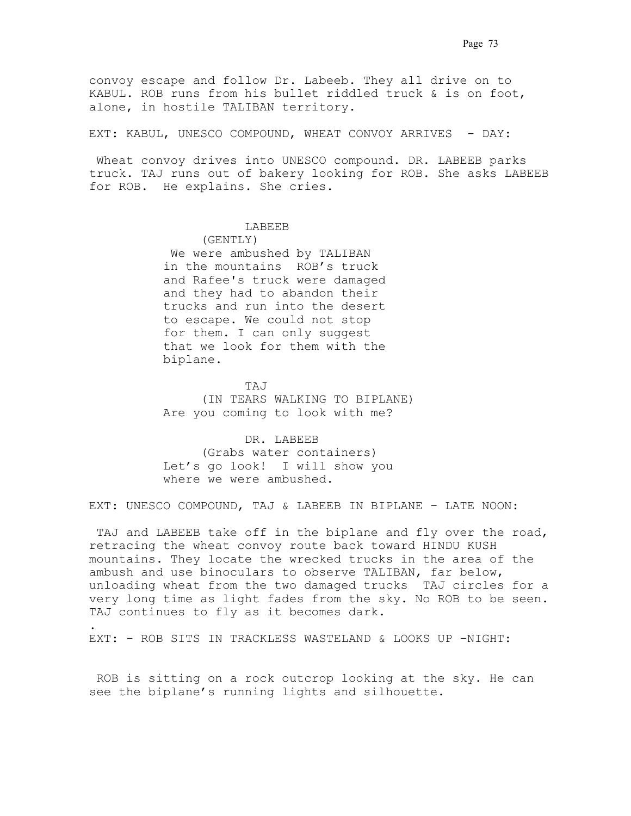convoy escape and follow Dr. Labeeb. They all drive on to KABUL. ROB runs from his bullet riddled truck & is on foot, alone, in hostile TALIBAN territory.

EXT: KABUL, UNESCO COMPOUND, WHEAT CONVOY ARRIVES - DAY:

Wheat convoy drives into UNESCO compound. DR. LABEEB parks truck. TAJ runs out of bakery looking for ROB. She asks LABEEB for ROB. He explains. She cries.

## .LABEEB.

(GENTLY)

We were ambushed by TALIBAN in the mountains ROB's truck and Rafee's truck were damaged and they had to abandon their trucks and run into the desert to escape. We could not stop for them. I can only suggest that we look for them with the biplane.

 .TAJ. (IN TEARS WALKING TO BIPLANE) Are you coming to look with me?

> DR. LABEEB. (Grabs water containers) Let's go look! I will show you where we were ambushed.

EXT: UNESCO COMPOUND, TAJ & LABEEB IN BIPLANE – LATE NOON:

TAJ and LABEEB take off in the biplane and fly over the road, retracing the wheat convoy route back toward HINDU KUSH mountains. They locate the wrecked trucks in the area of the ambush and use binoculars to observe TALIBAN, far below, unloading wheat from the two damaged trucks. TAJ circles for a very long time as light fades from the sky. No ROB to be seen. TAJ continues to fly as it becomes dark.

EXT: - ROB SITS IN TRACKLESS WASTELAND & LOOKS UP -NIGHT:

.

 ROB is sitting on a rock outcrop looking at the sky. He can see the biplane's running lights and silhouette. .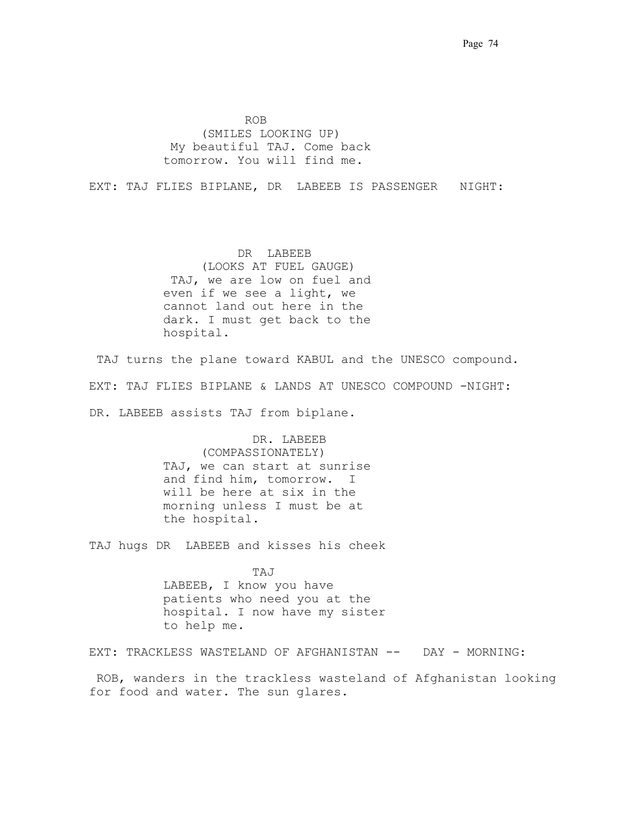Page 74

ROB. ROB. (SMILES LOOKING UP) .My beautiful TAJ. Come back tomorrow. You will find me.

EXT: TAJ FLIES BIPLANE, DR. LABEEB IS PASSENGER NIGHT:

 DR. LABEEB (LOOKS AT FUEL GAUGE) .TAJ, we are low on fuel and even if we see a light, we cannot land out here in the dark. I must get back to the hospital..

TAJ turns the plane toward KABUL and the UNESCO compound. EXT: TAJ FLIES BIPLANE & LANDS AT UNESCO COMPOUND -NIGHT: DR. LABEEB assists TAJ from biplane.

> DR. LABEEB (COMPASSIONATELY) TAJ, we can start at sunrise and find him, tomorrow. I will be here at six in the morning unless I must be at the hospital.

TAJ hugs DR LABEEB and kisses his cheek

 . TAJ . LABEEB, I know you have patients who need you at the hospital. I now have my sister to help me.

EXT: TRACKLESS WASTELAND OF AFGHANISTAN -- DAY - MORNING:

 ROB, wanders in the trackless wasteland of Afghanistan looking for food and water. The sun glares..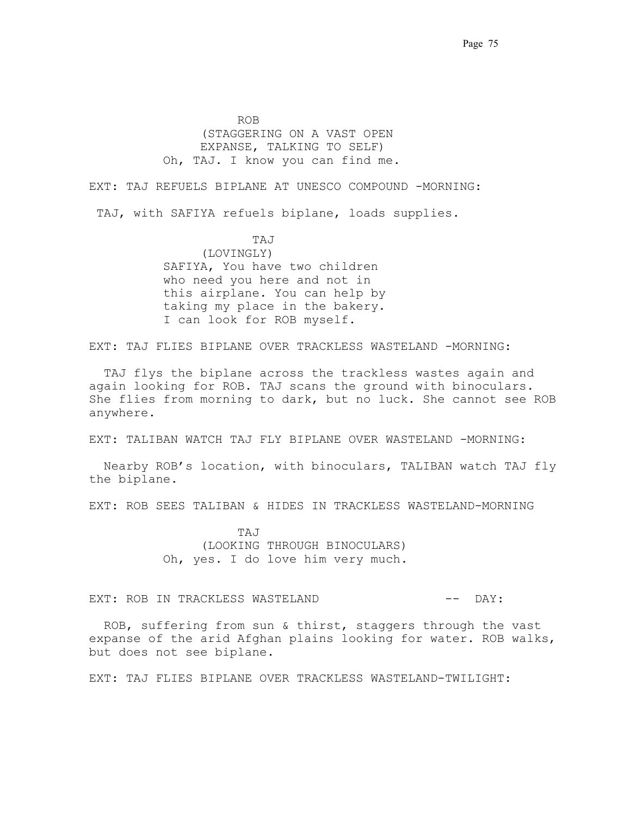ROB. . (STAGGERING ON A VAST OPEN EXPANSE, TALKING TO SELF) Oh, TAJ. I know you can find me..

EXT: TAJ REFUELS BIPLANE AT UNESCO COMPOUND -MORNING:

TAJ, with SAFIYA refuels biplane, loads supplies.

 . TAJ . (LOVINGLY) SAFIYA, You have two children who need you here and not in this airplane. You can help by taking my place in the bakery. I can look for ROB myself.

EXT: TAJ FLIES BIPLANE OVER TRACKLESS WASTELAND -MORNING:

 TAJ flys the biplane across the trackless wastes again and again looking for ROB. TAJ scans the ground with binoculars. She flies from morning to dark, but no luck. She cannot see ROB anywhere..

EXT: TALIBAN WATCH TAJ FLY BIPLANE OVER WASTELAND -MORNING:

 Nearby ROB's location, with binoculars, TALIBAN watch TAJ fly the biplane.

EXT: ROB SEES TALIBAN & HIDES IN TRACKLESS WASTELAND-MORNING

 TAJ. . (LOOKING THROUGH BINOCULARS) Oh, yes. I do love him very much.

EXT: ROB IN TRACKLESS WASTELAND  $---$  DAY:

 ROB, suffering from sun & thirst, staggers through the vast expanse of the arid Afghan plains looking for water. ROB walks, but does not see biplane.

EXT: TAJ FLIES BIPLANE OVER TRACKLESS WASTELAND-TWILIGHT: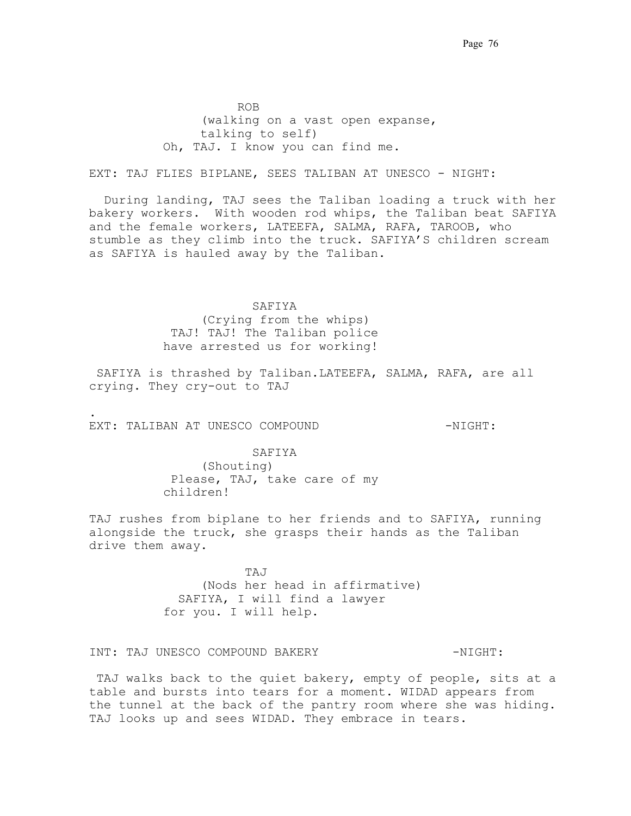ROB. . (walking on a vast open expanse, talking to self) Oh, TAJ. I know you can find me..

EXT: TAJ FLIES BIPLANE, SEES TALIBAN AT UNESCO - NIGHT:

 During landing, TAJ sees the Taliban loading a truck with her bakery workers. With wooden rod whips, the Taliban beat SAFIYA and the female workers, LATEEFA, SALMA, RAFA, TAROOB, who stumble as they climb into the truck. SAFIYA'S children scream as SAFIYA is hauled away by the Taliban.

### . SAFIYA.

(Crying from the whips) .TAJ! TAJ! The Taliban police have arrested us for working!

 SAFIYA is thrashed by Taliban.LATEEFA, SALMA, RAFA, are all crying. They cry-out to TAJ

EXT: TALIBAN AT UNESCO COMPOUND -  $NIGHT$ :

.

SAFIYA (Shouting) .Please, TAJ, take care of my children!

TAJ rushes from biplane to her friends and to SAFIYA, running alongside the truck, she grasps their hands as the Taliban drive them away.

 .TAJ . . (Nods her head in affirmative) . SAFIYA, I will find a lawyer for you. I will help.

INT: TAJ UNESCO COMPOUND BAKERY  $-NIGHT$ :

TAJ walks back to the quiet bakery, empty of people, sits at a table and bursts into tears for a moment. WIDAD appears from the tunnel at the back of the pantry room where she was hiding. TAJ looks up and sees WIDAD. They embrace in tears.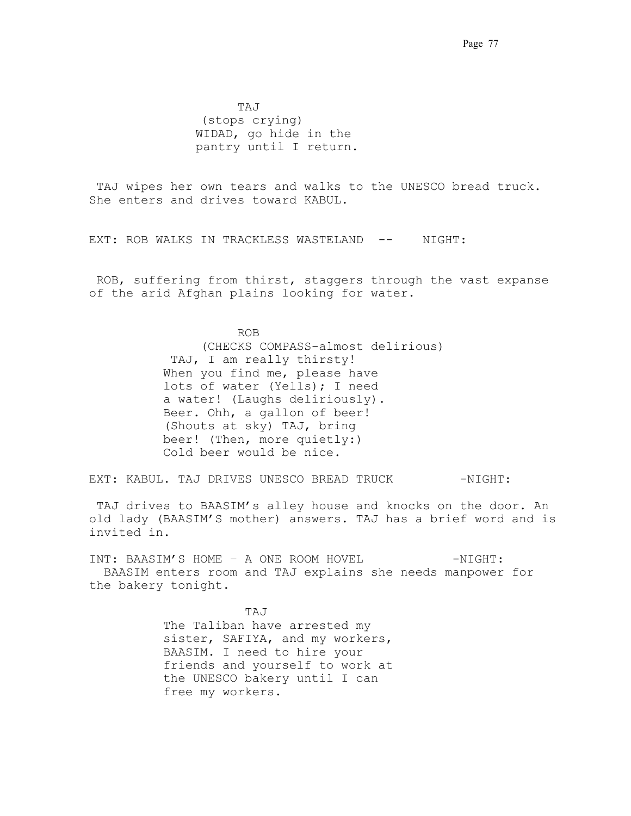TAJ . . (stops crying) WIDAD, go hide in the pantry until I return.

 TAJ wipes her own tears and walks to the UNESCO bread truck.. She enters and drives toward KABUL.

EXT: ROB WALKS IN TRACKLESS WASTELAND -- NIGHT:

 ROB, suffering from thirst, staggers through the vast expanse of the arid Afghan plains looking for water..

 ROB . . (CHECKS COMPASS-almost delirious) .TAJ, I am really thirsty!. When you find me, please have lots of water (Yells); I need a water! (Laughs deliriously). Beer. Ohh, a gallon of beer! (Shouts at sky) TAJ, bring beer! (Then, more quietly:) Cold beer would be nice.

EXT: KABUL. TAJ DRIVES UNESCO BREAD TRUCK -NIGHT:

TAJ drives to BAASIM's alley house and knocks on the door. An old lady (BAASIM'S mother) answers. TAJ has a brief word and is invited in.

INT: BAASIM'S HOME - A ONE ROOM HOVEL - NIGHT: . BAASIM enters room and TAJ explains she needs manpower for the bakery tonight.

 .TAJ . . The Taliban have arrested my sister, SAFIYA, and my workers, BAASIM. I need to hire your friends and yourself to work at the UNESCO bakery until I can free my workers..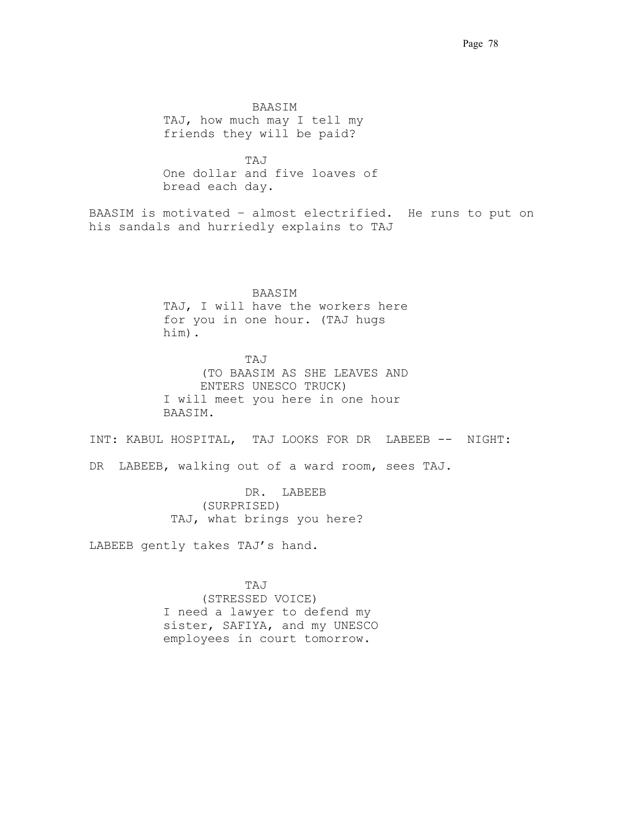. BAASIM . . TAJ, how much may I tell my friends they will be paid?

 .TAJ . . One dollar and five loaves of bread each day.

BAASIM is motivated – almost electrified.. He runs to put on his sandals and hurriedly explains to TAJ

> . BAASIM . . TAJ, I will have the workers here for you in one hour. (TAJ hugs him).

 .TAJ. . (TO BAASIM AS SHE LEAVES AND ENTERS UNESCO TRUCK) I will meet you here in one hour BAASIM.

INT: KABUL HOSPITAL, TAJ LOOKS FOR DR. LABEEB -- NIGHT:

DR LABEEB, walking out of a ward room, sees TAJ.

 .DR.. LABEEB. (SURPRISED) TAJ, what brings you here?

LABEEB gently takes TAJ's hand.

 .TAJ. (STRESSED VOICE) I need a lawyer to defend my sister, SAFIYA, and my UNESCO employees in court tomorrow. .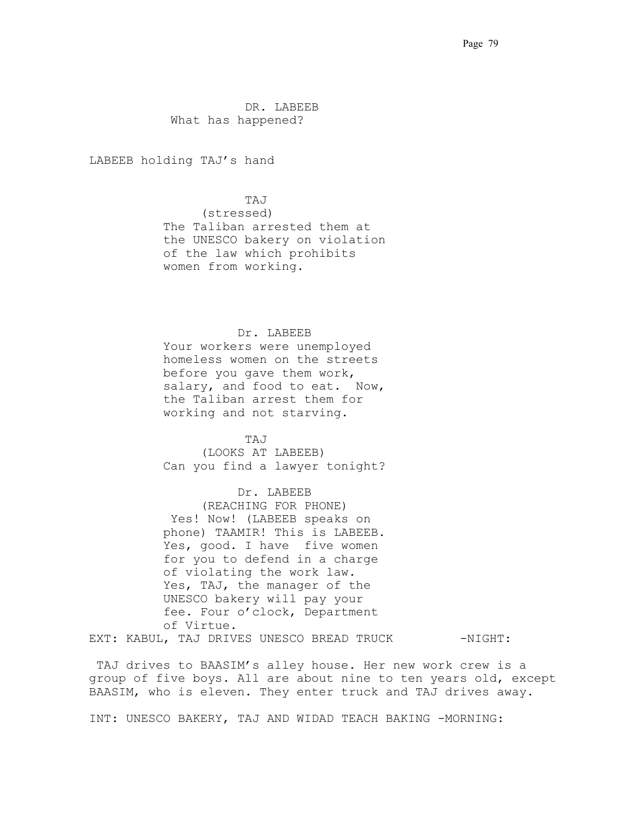.DR. LABEEB. What has happened?

LABEEB holding TAJ's hand

 .TAJ. (stressed) The Taliban arrested them at the UNESCO bakery on violation of the law which prohibits women from working.

### Dr. LABEEB

 Your workers were unemployed homeless women on the streets before you gave them work, salary, and food to eat. Now, the Taliban arrest them for working and not starving..

.TAJ.

(LOOKS AT LABEEB) Can you find a lawyer tonight?

## Dr. LABEEB

(REACHING FOR PHONE) Yes! Now! (LABEEB speaks on phone) TAAMIR! This is LABEEB. Yes, good. I have five women for you to defend in a charge of violating the work law. Yes, TAJ, the manager of the UNESCO bakery will pay your fee. Four o'clock, Department of Virtue. . EXT: KABUL, TAJ DRIVES UNESCO BREAD TRUCK -NIGHT:

.TAJ drives to BAASIM's alley house. Her new work crew is a group of five boys. All are about nine to ten years old, except BAASIM, who is eleven. They enter truck and TAJ drives away.

INT: UNESCO BAKERY, TAJ AND WIDAD TEACH BAKING -MORNING: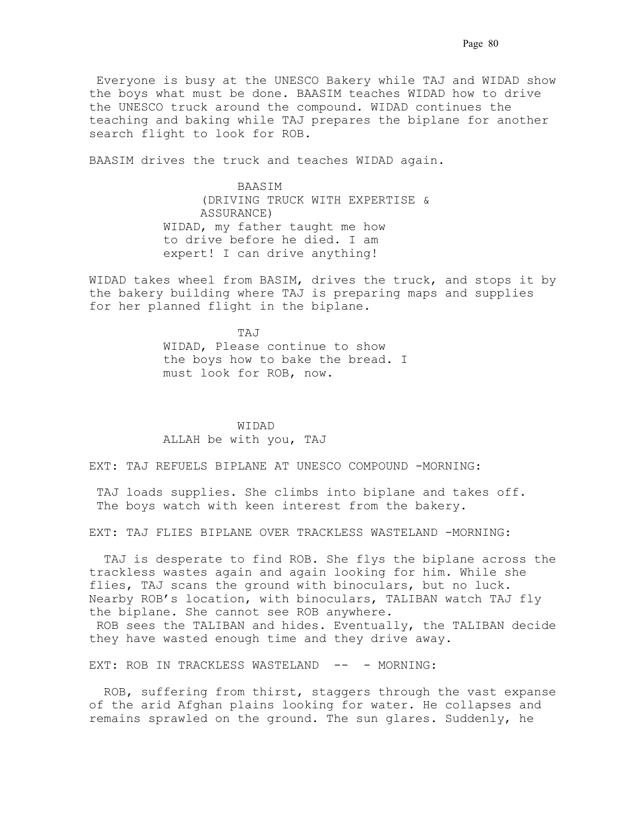.Everyone is busy at the UNESCO Bakery while TAJ and WIDAD show the boys what must be done. BAASIM teaches WIDAD how to drive the UNESCO truck around the compound. WIDAD continues the teaching and baking while TAJ prepares the biplane for another search flight to look for ROB.

BAASIM drives the truck and teaches WIDAD again.

 BAASIM. (DRIVING TRUCK WITH EXPERTISE & ASSURANCE) WIDAD, my father taught me how to drive before he died. I am expert! I can drive anything!

WIDAD takes wheel from BASIM, drives the truck, and stops it by the bakery building where TAJ is preparing maps and supplies for her planned flight in the biplane.

TAJ WIDAD, Please continue to show the boys how to bake the bread. I must look for ROB, now.

> WIDAD. ALLAH be with you, TAJ

EXT: TAJ REFUELS BIPLANE AT UNESCO COMPOUND -MORNING:

 TAJ loads supplies. She climbs into biplane and takes off. The boys watch with keen interest from the bakery.

EXT: TAJ FLIES BIPLANE OVER TRACKLESS WASTELAND -MORNING:

TAJ is desperate to find ROB. She flys the biplane across the trackless wastes again and again looking for him. While she flies, TAJ scans the ground with binoculars, but no luck. Nearby ROB's location, with binoculars, TALIBAN watch TAJ fly the biplane. She cannot see ROB anywhere.

 ROB sees the TALIBAN and hides. Eventually, the TALIBAN decide they have wasted enough time and they drive away.

EXT: ROB IN TRACKLESS WASTELAND -- - MORNING:

 ROB, suffering from thirst, staggers through the vast expanse of the arid Afghan plains looking for water. He collapses and remains sprawled on the ground. The sun glares. Suddenly, he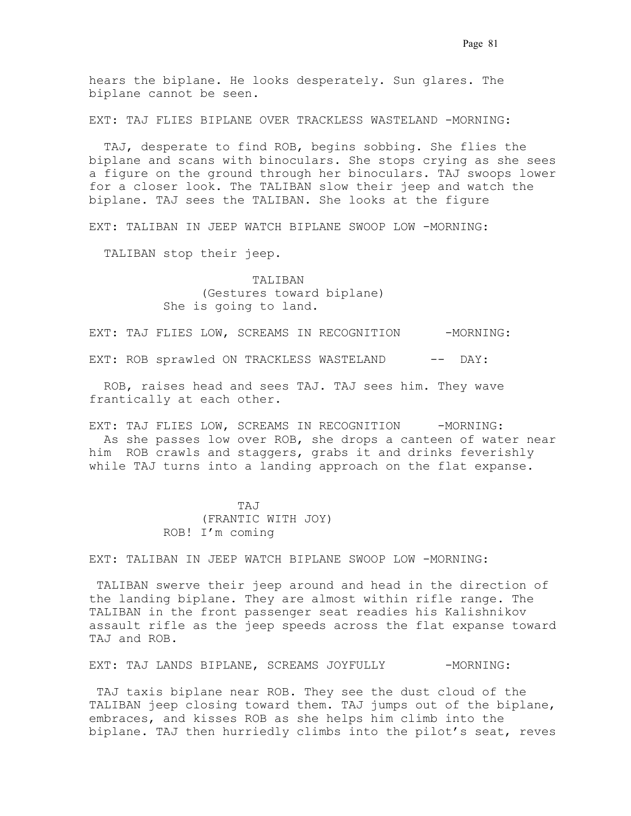hears the biplane. He looks desperately. Sun glares. The biplane cannot be seen.

EXT: TAJ FLIES BIPLANE OVER TRACKLESS WASTELAND -MORNING:

TAJ, desperate to find ROB, begins sobbing. She flies the biplane and scans with binoculars. She stops crying as she sees a figure on the ground through her binoculars. TAJ swoops lower for a closer look. The TALIBAN slow their jeep and watch the biplane. TAJ sees the TALIBAN. She looks at the figure

EXT: TALIBAN IN JEEP WATCH BIPLANE SWOOP LOW -MORNING:

TALIBAN stop their jeep.

 . TALIBAN . (Gestures toward biplane) She is going to land.

EXT: TAJ FLIES LOW, SCREAMS IN RECOGNITION -MORNING:

EXT: ROB sprawled ON TRACKLESS WASTELAND -- DAY:

ROB, raises head and sees TAJ. TAJ sees him. They wave frantically at each other.

EXT: TAJ FLIES LOW, SCREAMS IN RECOGNITION -MORNING: As she passes low over ROB, she drops a canteen of water near him. ROB crawls and staggers, grabs it and drinks feverishly while TAJ turns into a landing approach on the flat expanse.

# TAJ (FRANTIC WITH JOY) ROB! I'm coming

EXT: TALIBAN IN JEEP WATCH BIPLANE SWOOP LOW -MORNING:

 TALIBAN swerve their jeep around and head in the direction of the landing biplane. They are almost within rifle range. The TALIBAN in the front passenger seat readies his Kalishnikov assault rifle as the jeep speeds across the flat expanse toward TAJ and ROB.

EXT: TAJ LANDS BIPLANE, SCREAMS JOYFULLY -MORNING:

 TAJ taxis biplane near ROB. They see the dust cloud of the TALIBAN jeep closing toward them. TAJ jumps out of the biplane, embraces, and kisses ROB as she helps him climb into the biplane. TAJ then hurriedly climbs into the pilot's seat, reves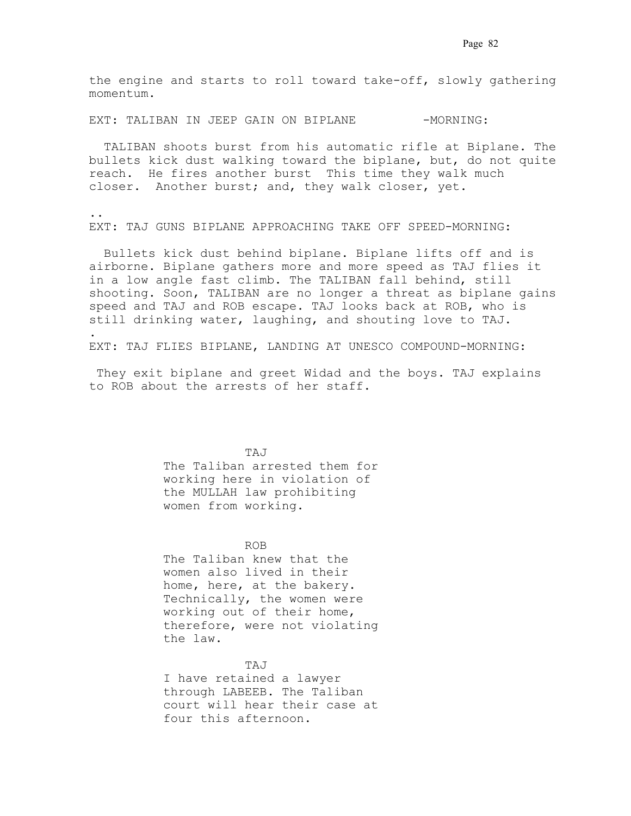the engine and starts to roll toward take-off, slowly gathering  $momentum.$ 

EXT: TALIBAN IN JEEP GAIN ON BIPLANE -MORNING:

 TALIBAN shoots burst from his automatic rifle at Biplane. The bullets kick dust walking toward the biplane, but, do not quite reach.. He fires another burst. This time they walk much closer. Another burst; and, they walk closer, yet.

.. EXT: TAJ GUNS BIPLANE APPROACHING TAKE OFF SPEED-MORNING:

Bullets kick dust behind biplane. Biplane lifts off and is airborne. Biplane gathers more and more speed as TAJ flies it in a low angle fast climb. The TALIBAN fall behind, still shooting. Soon, TALIBAN are no longer a threat as biplane gains speed and TAJ and ROB escape. TAJ looks back at ROB, who is still drinking water, laughing, and shouting love to TAJ. . .

EXT: TAJ FLIES BIPLANE, LANDING AT UNESCO COMPOUND-MORNING:

 They exit biplane and greet Widad and the boys. TAJ explains to ROB about the arrests of her staff. .

 .TAJ . . The Taliban arrested them for working here in violation of the MULLAH law prohibiting women from working.

. . .. . . ROB. . The Taliban knew that the women also lived in their home, here, at the bakery. Technically, the women were working out of their home, therefore, were not violating the law.

 .TAJ . . I have retained a lawyer through LABEEB. The Taliban court will hear their case at four this afternoon.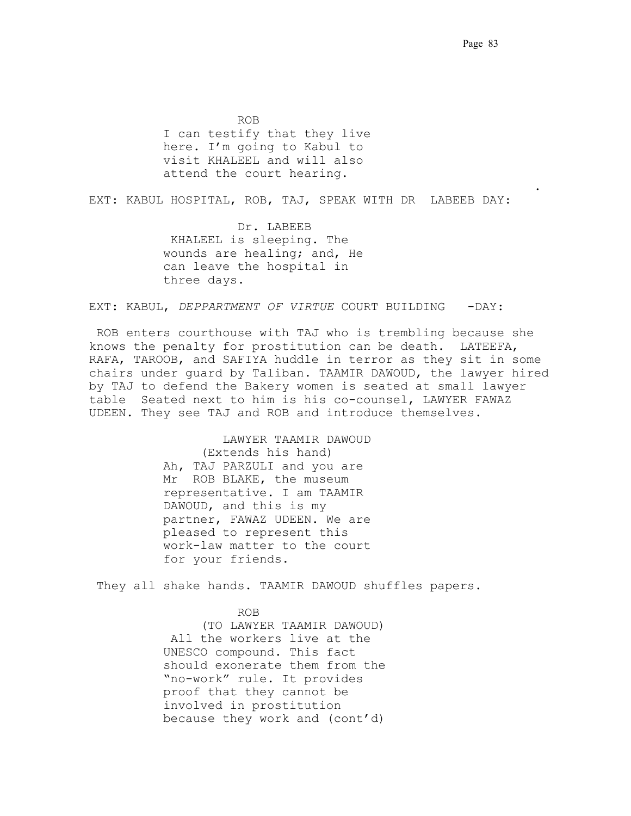ROB. . I can testify that they live here. I'm going to Kabul to visit KHALEEL and will also attend the court hearing.

EXT: KABUL HOSPITAL, ROB, TAJ, SPEAK WITH DR LABEEB DAY:

. . . . . . .

Dr. LABEEB .KHALEEL is sleeping. The wounds are healing; and, He can leave the hospital in three days.

EXT: KABUL, *DEPPARTMENT OF VIRTUE* COURT BUILDING -DAY:

 ROB enters courthouse with TAJ who is trembling because she knows the penalty for prostitution can be death. LATEEFA, RAFA, TAROOB, and SAFIYA huddle in terror as they sit in some chairs under guard by Taliban. TAAMIR DAWOUD, the lawyer hired by TAJ to defend the Bakery women is seated at small lawyer table. Seated next to him is his co-counsel, LAWYER FAWAZ UDEEN. They see TAJ and ROB and introduce themselves.

> LAWYER TAAMIR DAWOUD. (Extends his hand) Ah, TAJ PARZULI and you are Mr. ROB BLAKE, the museum representative. I am TAAMIR DAWOUD, and this is my partner, FAWAZ UDEEN. We are pleased to represent this work-law matter to the court for your friends.

They all shake hands. TAAMIR DAWOUD shuffles papers.

# ROB. .

(TO LAWYER TAAMIR DAWOUD) All the workers live at the UNESCO compound. This fact should exonerate them from the "no-work" rule. It provides proof that they cannot be involved in prostitution because they work and (cont'd)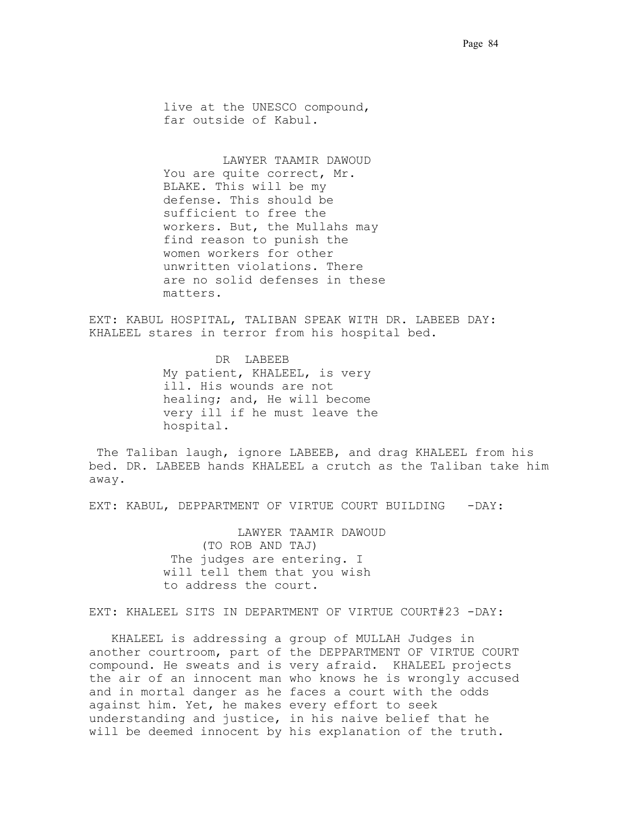live at the UNESCO compound, far outside of Kabul.

 LAWYER TAAMIR DAWOUD You are quite correct, Mr. BLAKE. This will be my defense. This should be sufficient to free the workers. But, the Mullahs may find reason to punish the women workers for other unwritten violations. There are no solid defenses in these matters.

EXT: KABUL HOSPITAL, TALIBAN SPEAK WITH DR. LABEEB DAY: KHALEEL stares in terror from his hospital bed..

> DR LABEEB My patient, KHALEEL, is very ill. His wounds are not healing; and, He will become very ill if he must leave the hospital.

.The Taliban laugh, ignore LABEEB, and drag KHALEEL from his bed. DR. LABEEB hands KHALEEL a crutch as the Taliban take him away.

EXT: KABUL, DEPPARTMENT OF VIRTUE COURT BUILDING -DAY:

 LAWYER TAAMIR DAWOUD (TO ROB AND TAJ) The judges are entering. I will tell them that you wish to address the court.

EXT: KHALEEL SITS IN DEPARTMENT OF VIRTUE COURT#23 -DAY:

 KHALEEL is addressing a group of MULLAH Judges in another courtroom, part of the DEPPARTMENT OF VIRTUE COURT compound..He sweats and is very afraid.. KHALEEL projects the air of an innocent man who knows he is wrongly accused and in mortal danger as he faces a court with the odds against him. Yet, he makes every effort to seek understanding and justice, in his naive belief that he will be deemed innocent by his explanation of the truth.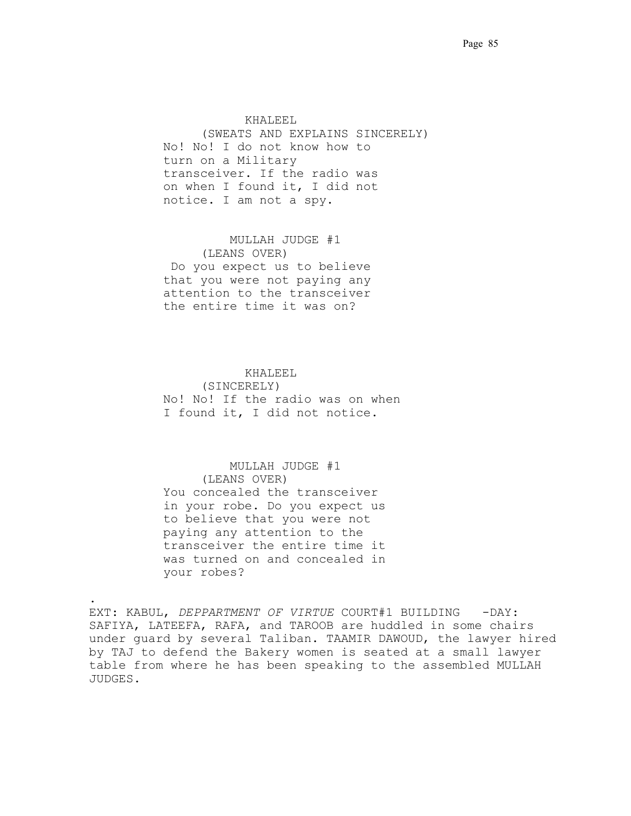.KHALEEL. (SWEATS AND EXPLAINS SINCERELY) No! No! I do not know how to turn on a Military transceiver. If the radio was on when I found it, I did not notice. I am not a spy.

 MULLAH JUDGE #1. (LEANS OVER) .Do you expect us to believe that you were not paying any attention to the transceiver the entire time it was on?

## .KHALEEL.

(SINCERELY) No! No! If the radio was on when I found it, I did not notice.

## MULLAH JUDGE #1.

(LEANS OVER) You concealed the transceiver in your robe. Do you expect us to believe that you were not paying any attention to the transceiver the entire time it was turned on and concealed in your robes?

.

EXT: KABUL, *DEPPARTMENT OF VIRTUE* COURT#1 BUILDING - DAY: SAFIYA, LATEEFA, RAFA, and TAROOB are huddled in some chairs under guard by several Taliban. TAAMIR DAWOUD, the lawyer hired by TAJ to defend the Bakery women is seated at a small lawyer table from where he has been speaking to the assembled MULLAH JUDGES. .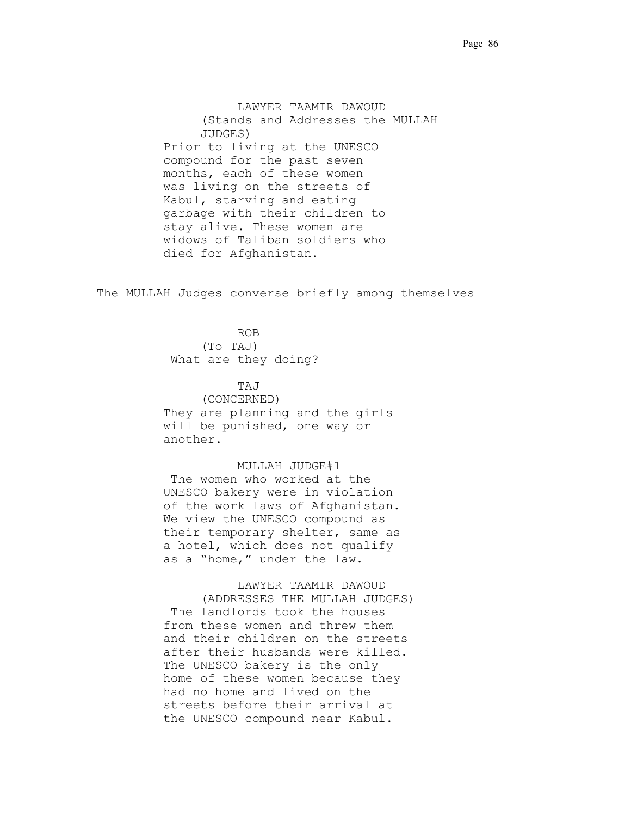LAWYER TAAMIR DAWOUD (Stands and Addresses the MULLAH JUDGES) Prior to living at the UNESCO compound for the past seven months, each of these women was living on the streets of Kabul, starving and eating garbage with their children to stay alive. These women are widows of Taliban soldiers who died for Afghanistan.

.The MULLAH Judges converse briefly among themselves

 ROB. . (To TAJ) What are they doing?

> TAJ. (CONCERNED) They are planning and the girls will be punished, one way or another.

 MULLAH JUDGE#1 The women who worked at the UNESCO bakery were in violation of the work laws of Afghanistan. We view the UNESCO compound as their temporary shelter, same as a hotel, which does not qualify as a "home," under the law.

 LAWYER TAAMIR DAWOUD (ADDRESSES THE MULLAH JUDGES) The landlords took the houses from these women and threw them and their children on the streets after their husbands were killed. The UNESCO bakery is the only home of these women because they had no home and lived on the streets before their arrival at the UNESCO compound near Kabul.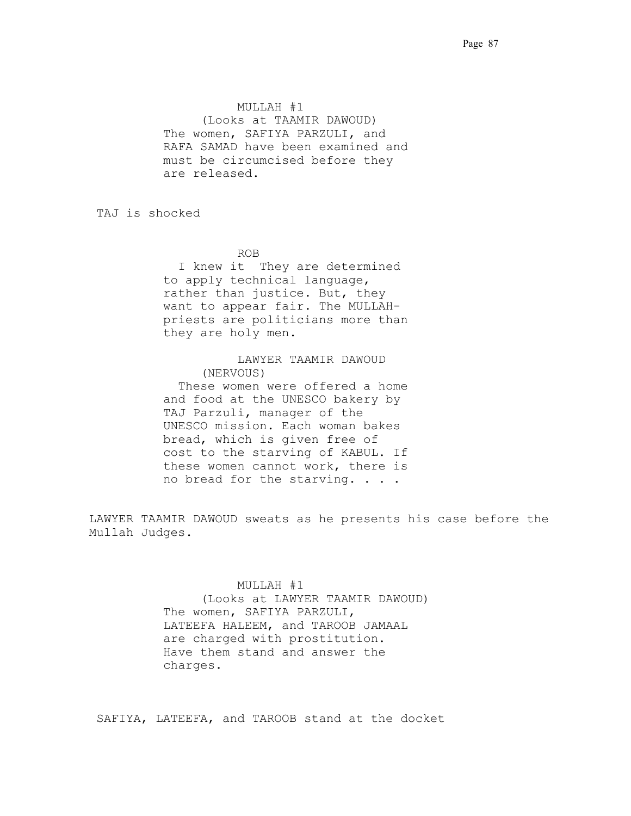MULLAH #1 (Looks at TAAMIR DAWOUD) The women, SAFIYA PARZULI, and RAFA SAMAD have been examined and must be circumcised before they are released.

.TAJ is shocked

ROB. .

I knew it They are determined to apply technical language, rather than justice. But, they want to appear fair. The MULLAHpriests are politicians more than they are holy men.

## LAWYER TAAMIR DAWOUD (NERVOUS)

 These women were offered a home and food at the UNESCO bakery by TAJ Parzuli, manager of the UNESCO mission. Each woman bakes bread, which is given free of cost to the starving of KABUL. If these women cannot work, there is no bread for the starving. . . .

LAWYER TAAMIR DAWOUD sweats as he presents his case before the Mullah Judges.

### $MULLAH$  #1

(Looks at LAWYER TAAMIR DAWOUD) The women, SAFIYA PARZULI, LATEEFA HALEEM, and TAROOB JAMAAL are charged with prostitution.. Have them stand and answer the charges.. .

SAFIYA, LATEEFA, and TAROOB stand at the docket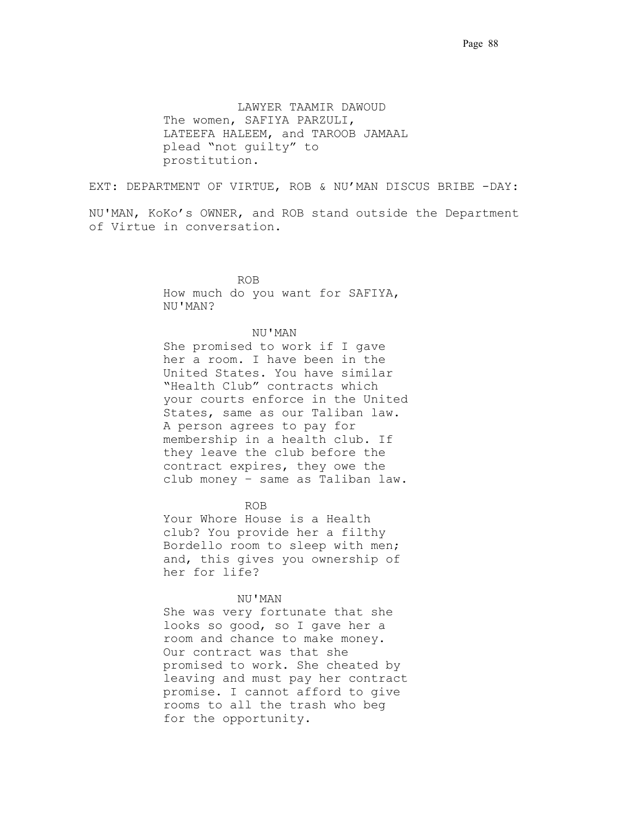LAWYER TAAMIR DAWOUD The women, SAFIYA PARZULI, LATEEFA HALEEM, and TAROOB JAMAAL plead "not guilty" to prostitution.

EXT: DEPARTMENT OF VIRTUE, ROB & NU'MAN DISCUS BRIBE -DAY:

NU'MAN, KoKo's OWNER, and ROB stand outside the Department of Virtue in conversation.

 ROB. . How much do you want for SAFIYA, NU'MAN? .

#### . NU'MAN . .

She promised to work if I gave her a room. I have been in the United States. You have similar "Health Club" contracts which your courts enforce in the United States, same as our Taliban law. A person agrees to pay for membership in a health club. If they leave the club before the contract expires, they owe the club money – same as Taliban law.

# .ROB.

 Your Whore House is a Health club? You provide her a filthy Bordello room to sleep with men; and, this gives you ownership of her for life?.

### NU'MAN.

 She was very fortunate that she looks so good, so I gave her a room and chance to make money.. Our contract was that she promised to work. She cheated by leaving and must pay her contract promise. I cannot afford to give rooms to all the trash who beg for the opportunity.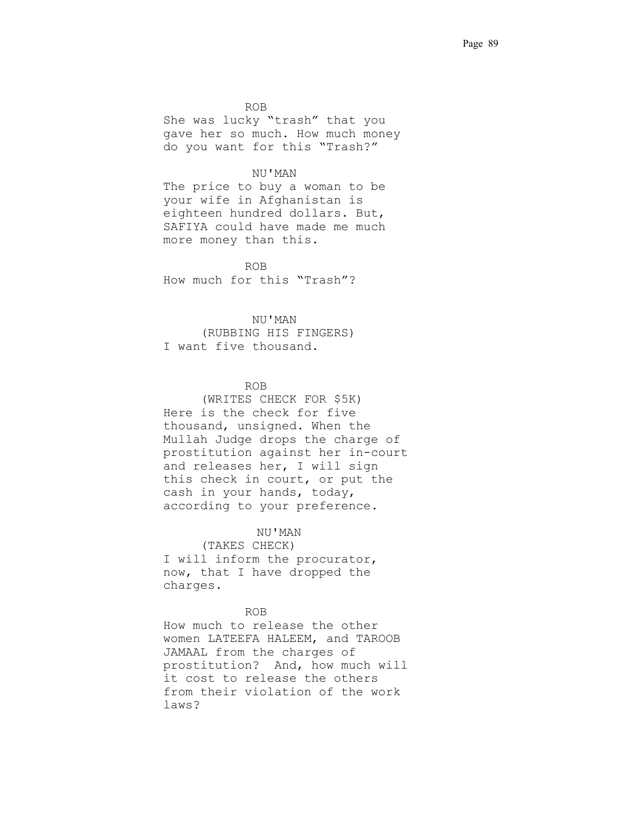.ROB. She was lucky "trash" that you gave her so much. How much money do you want for this "Trash?"

#### . NU'MAN .

 The price to buy a woman to be your wife in Afghanistan is eighteen hundred dollars. But, SAFIYA could have made me much more money than this.

 .ROB. How much for this "Trash"?

### . NU'MAN .

(RUBBING HIS FINGERS) I want five thousand.

# .ROB.

(WRITES CHECK FOR \$5K) Here is the check for five thousand, unsigned. When the Mullah Judge drops the charge of prostitution against her in-court and releases her, I will sign this check in court, or put the cash in your hands, today, according to your preference.

### . NU'MAN .

(TAKES CHECK) I will inform the procurator, now, that I have dropped the charges.

# .ROB.

How much to release the other women LATEEFA HALEEM, and TAROOB JAMAAL from the charges of prostitution? And, how much will it cost to release the others from their violation of the work laws?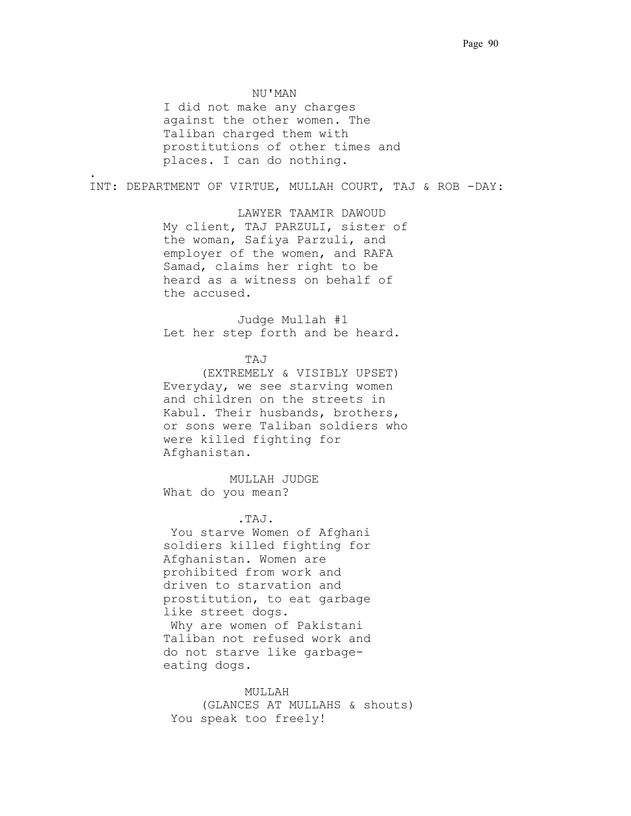. NU'MAN . I did not make any charges against the other women. The Taliban charged them with prostitutions of other times and places. I can do nothing.

.

INT: DEPARTMENT OF VIRTUE, MULLAH COURT, TAJ & ROB -DAY:

 LAWYER TAAMIR DAWOUD My client, TAJ PARZULI, sister of the woman, Safiya Parzuli, and employer of the women, and RAFA Samad, claims her right to be heard as a witness on behalf of the accused.

Judge Mullah #1 Let her step forth and be heard.

.TAJ. . . . . .

(EXTREMELY & VISIBLY UPSET) Everyday, we see starving women and children on the streets in Kabul. Their husbands, brothers, or sons were Taliban soldiers who were killed fighting for Afghanistan.

 MULLAH JUDGE. What do you mean?

.TAJ.

 You starve Women of Afghani soldiers killed fighting for Afghanistan. Women are prohibited from work and driven to starvation and prostitution, to eat garbage like street dogs. Why are women of Pakistani Taliban not refused work and do not starve like garbageeating dogs.

 .MULLAH . (GLANCES AT MULLAHS & shouts) You speak too freely!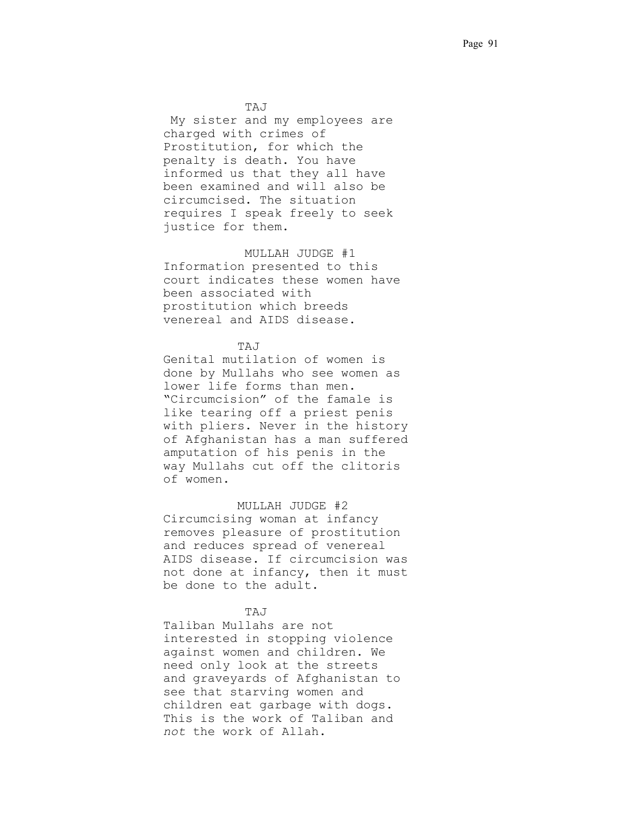.TAJ.

 .My sister and my employees are charged with crimes of Prostitution, for which the penalty is death. You have informed us that they all have been examined and will also be circumcised. The situation requires I speak freely to seek justice for them.

MULLAH JUDGE #1

Information presented to this court indicates these women have been associated with prostitution which breeds venereal and AIDS disease..

# TAJ

Genital mutilation of women is done by Mullahs who see women as lower life forms than men.. "Circumcision" of the famale is like tearing off a priest penis with pliers. Never in the history of Afghanistan has a man suffered amputation of his penis in the way Mullahs cut off the clitoris of women.

 MULLAH JUDGE #2 Circumcising woman at infancy removes pleasure of prostitution and reduces spread of venereal AIDS disease. If circumcision was not done at infancy, then it must be done to the adult.

# TAJ

Taliban Mullahs are not interested in stopping violence against women and children. We need only look at the streets and graveyards of Afghanistan to see that starving women and children eat garbage with dogs. This is the work of Taliban and *not* the work of Allah.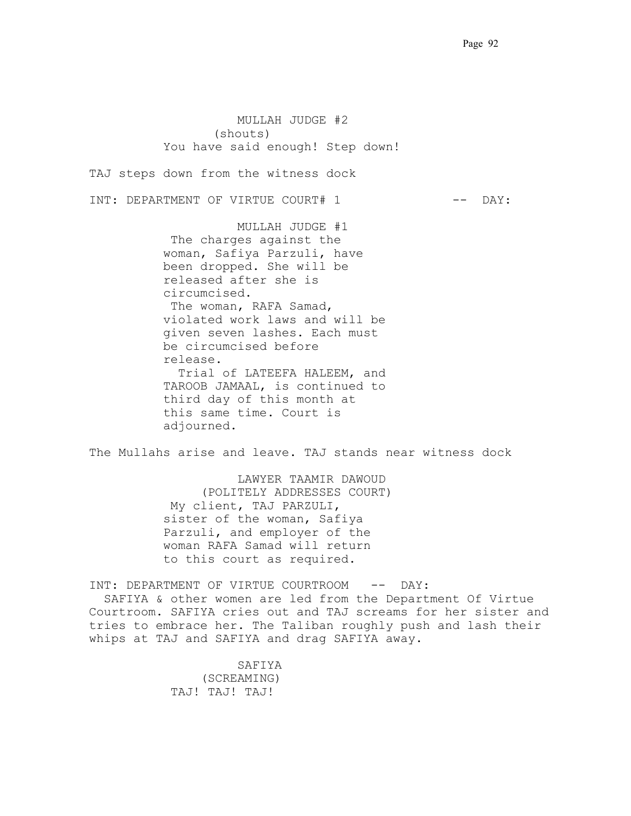MULLAH JUDGE #2 (shouts) You have said enough! Step down!

TAJ steps down from the witness dock

INT: DEPARTMENT OF VIRTUE COURT# 1 -- DAY:

 MULLAH JUDGE #1 The charges against the woman, Safiya Parzuli, have been dropped. She will be released after she is circumcised.. The woman, RAFA Samad, violated work laws and will be given seven lashes. Each must be circumcised before release. Trial of LATEEFA HALEEM, and TAROOB JAMAAL, is continued to third day of this month at this same time. Court is adjourned.

The Mullahs arise and leave. TAJ stands near witness dock

 LAWYER TAAMIR DAWOUD (POLITELY ADDRESSES COURT) .My client, TAJ PARZULI, sister of the woman, Safiya Parzuli, and employer of the woman RAFA Samad will return to this court as required.

INT: DEPARTMENT OF VIRTUE COURTROOM -- DAY:

 SAFIYA & other women are led from the Department Of Virtue Courtroom..SAFIYA cries out and TAJ screams for her sister and tries to embrace her. The Taliban roughly push and lash their whips at TAJ and SAFIYA and drag SAFIYA away.

> SAFIYA . (SCREAMING) TAJ! TAJ! TAJ!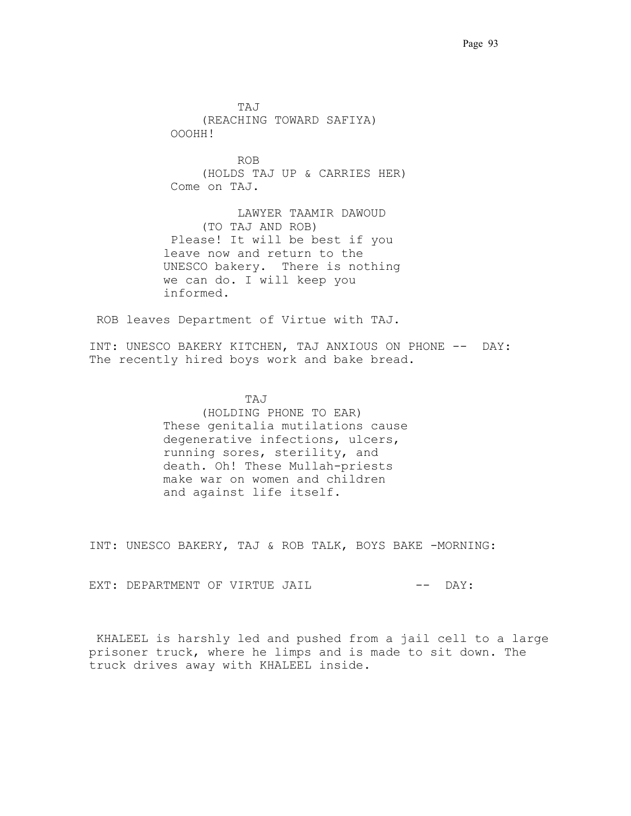TAJ. (REACHING TOWARD SAFIYA) .OOOHH! . . . . . . . . . . . . . ROB. (HOLDS TAJ UP & CARRIES HER) .Come on TAJ. LAWYER TAAMIR DAWOUD (TO TAJ AND ROB) .Please! It will be best if you leave now and return to the UNESCO bakery. There is nothing we can do. I will keep you informed.

ROB leaves Department of Virtue with TAJ.

INT: UNESCO BAKERY KITCHEN, TAJ ANXIOUS ON PHONE -- DAY: The recently hired boys work and bake bread.

 .TAJ . (HOLDING PHONE TO EAR) These genitalia mutilations cause degenerative infections, ulcers, running sores, sterility, and death. Oh! These Mullah-priests make war on women and children and against life itself.

INT: UNESCO BAKERY, TAJ & ROB TALK, BOYS BAKE -MORNING:

EXT: DEPARTMENT OF VIRTUE JAIL CHART COMMENT OF VIRTUE JAIL

.KHALEEL is harshly led and pushed from a jail cell to a large prisoner truck, where he limps and is made to sit down. The truck drives away with KHALEEL inside.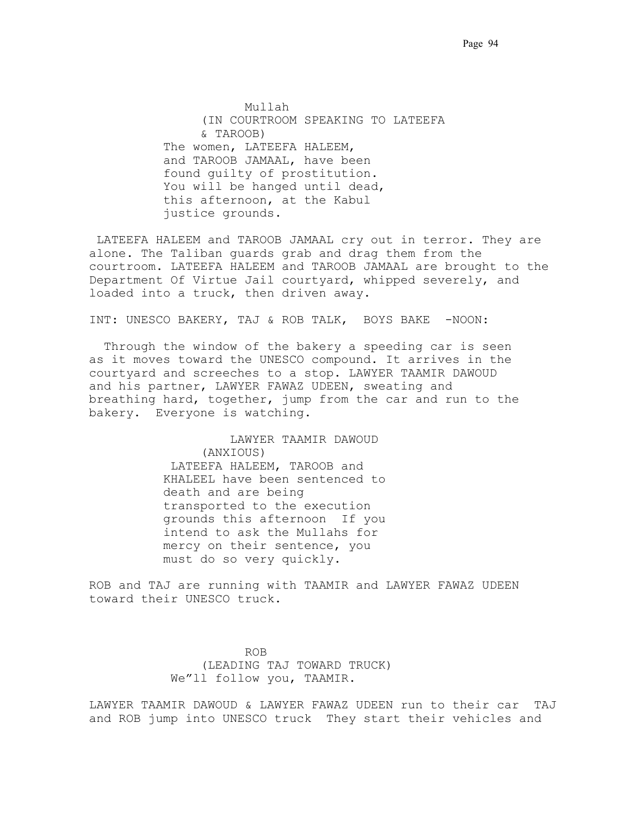.Mullah. (IN COURTROOM SPEAKING TO LATEEFA & TAROOB) The women, LATEEFA HALEEM, and TAROOB JAMAAL, have been found guilty of prostitution. You will be hanged until dead, this afternoon, at the Kabul justice grounds.

 LATEEFA HALEEM and TAROOB JAMAAL cry out in terror. They are alone. The Taliban guards grab and drag them from the courtroom. LATEEFA HALEEM and TAROOB JAMAAL are brought to the Department Of Virtue Jail courtyard, whipped severely, and loaded into a truck, then driven away.

INT: UNESCO BAKERY, TAJ & ROB TALK, BOYS BAKE -NOON:

 Through the window of the bakery a speeding car is seen as it moves toward the UNESCO compound. It arrives in the courtyard and screeches to a stop. LAWYER TAAMIR DAWOUD and his partner, LAWYER FAWAZ UDEEN, sweating and breathing hard, together, jump from the car and run to the bakery. Everyone is watching.

> LAWYER TAAMIR DAWOUD. (ANXIOUS) .LATEEFA HALEEM, TAROOB and KHALEEL have been sentenced to death and are being transported to the execution grounds this afternoon. If you intend to ask the Mullahs for mercy on their sentence, you must do so very quickly.

ROB and TAJ are running with TAAMIR and LAWYER FAWAZ UDEEN toward their UNESCO truck.

 .ROB. (LEADING TAJ TOWARD TRUCK) We"ll follow you, TAAMIR.

LAWYER TAAMIR DAWOUD & LAWYER FAWAZ UDEEN run to their car. TAJ and ROB jump into UNESCO truck. They start their vehicles and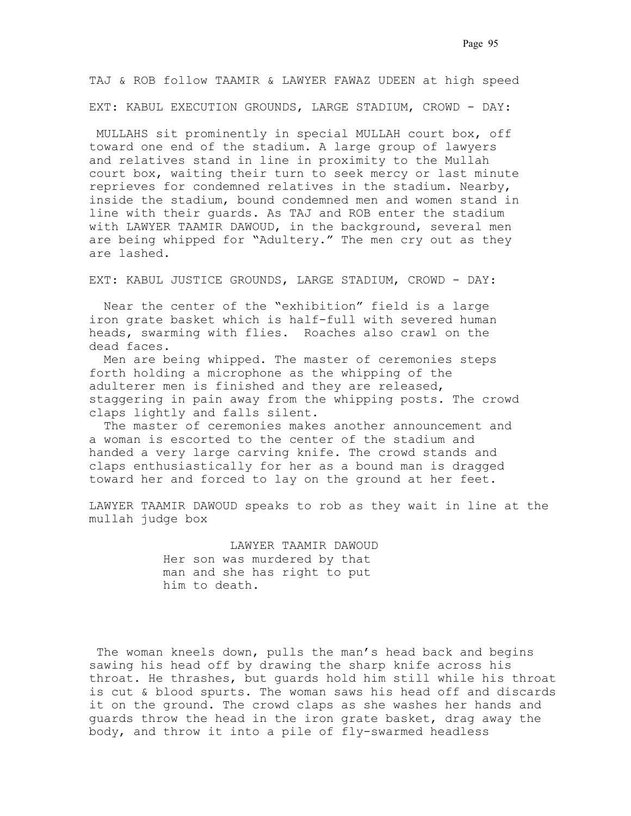TAJ & ROB follow TAAMIR & LAWYER FAWAZ UDEEN at high speed EXT: KABUL EXECUTION GROUNDS, LARGE STADIUM, CROWD - DAY:

.MULLAHS sit prominently in special MULLAH court box, off toward one end of the stadium. A large group of lawyers and relatives stand in line in proximity to the Mullah court box, waiting their turn to seek mercy or last minute reprieves for condemned relatives in the stadium. Nearby, inside the stadium, bound condemned men and women stand in line with their guards. As TAJ and ROB enter the stadium with LAWYER TAAMIR DAWOUD, in the background, several men are being whipped for "Adultery." The men cry out as they are lashed.

EXT: KABUL JUSTICE GROUNDS, LARGE STADIUM, CROWD - DAY:

 Near the center of the "exhibition" field is a large iron grate basket which is half-full with severed human heads, swarming with flies. Roaches also crawl on the dead faces..

 Men are being whipped. The master of ceremonies steps forth holding a microphone as the whipping of the adulterer men is finished and they are released, staggering in pain away from the whipping posts. The crowd claps lightly and falls silent.

 The master of ceremonies makes another announcement and a woman is escorted to the center of the stadium and handed a very large carving knife. The crowd stands and claps enthusiastically for her as a bound man is dragged toward her and forced to lay on the ground at her feet..

LAWYER TAAMIR DAWOUD speaks to rob as they wait in line at the mullah judge box

> LAWYER TAAMIR DAWOUD. Her son was murdered by that man and she has right to put him to death.

 The woman kneels down, pulls the man's head back and begins sawing his head off by drawing the sharp knife across his throat. He thrashes, but guards hold him still while his throat is cut & blood spurts. The woman saws his head off and discards it on the ground. The crowd claps as she washes her hands and guards throw the head in the iron grate basket, drag away the body, and throw it into a pile of fly-swarmed headless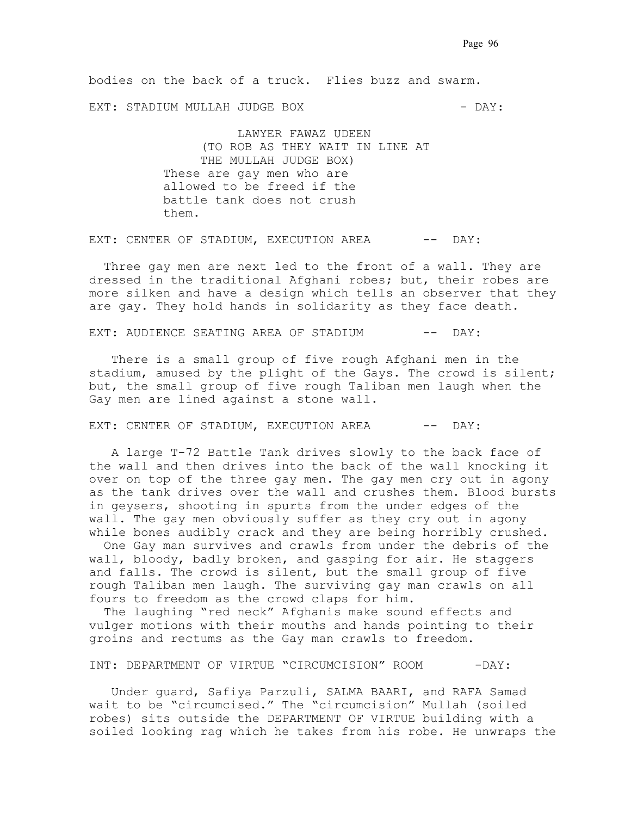bodies on the back of a truck. Flies buzz and swarm.

EXT: STADIUM MULLAH JUDGE BOX - DAY:

 .LAWYER FAWAZ UDEEN. (TO ROB AS THEY WAIT IN LINE AT THE MULLAH JUDGE BOX) These are gay men who are allowed to be freed if the battle tank does not crush them.

EXT: CENTER OF STADIUM, EXECUTION AREA -- DAY:

 Three gay men are next led to the front of a wall. They are dressed in the traditional Afghani robes; but, their robes are more silken and have a design which tells an observer that they are gay. They hold hands in solidarity as they face death.

EXT: AUDIENCE SEATING AREA OF STADIUM -- DAY:

 There is a small group of five rough Afghani men in the stadium, amused by the plight of the Gays. The crowd is silent; but, the small group of five rough Taliban men laugh when the Gay men are lined against a stone wall.

EXT: CENTER OF STADIUM, EXECUTION AREA -- DAY:

 A large T-72 Battle Tank drives slowly to the back face of the wall and then drives into the back of the wall knocking it over on top of the three gay men. The gay men cry out in agony as the tank drives over the wall and crushes them. Blood bursts in geysers, shooting in spurts from the under edges of the wall. The gay men obviously suffer as they cry out in agony while bones audibly crack and they are being horribly crushed.

 One Gay man survives and crawls from under the debris of the wall, bloody, badly broken, and gasping for air. He staggers and falls. The crowd is silent, but the small group of five rough Taliban men laugh. The surviving gay man crawls on all fours to freedom as the crowd claps for him.

 The laughing "red neck" Afghanis make sound effects and vulger motions with their mouths and hands pointing to their groins and rectums as the Gay man crawls to freedom.

### INT: DEPARTMENT OF VIRTUE "CIRCUMCISION" ROOM -DAY:

. Under guard, Safiya Parzuli, SALMA BAARI, and RAFA Samad wait to be "circumcised." The "circumcision" Mullah (soiled robes) sits outside the DEPARTMENT OF VIRTUE building with a soiled looking rag which he takes from his robe. He unwraps the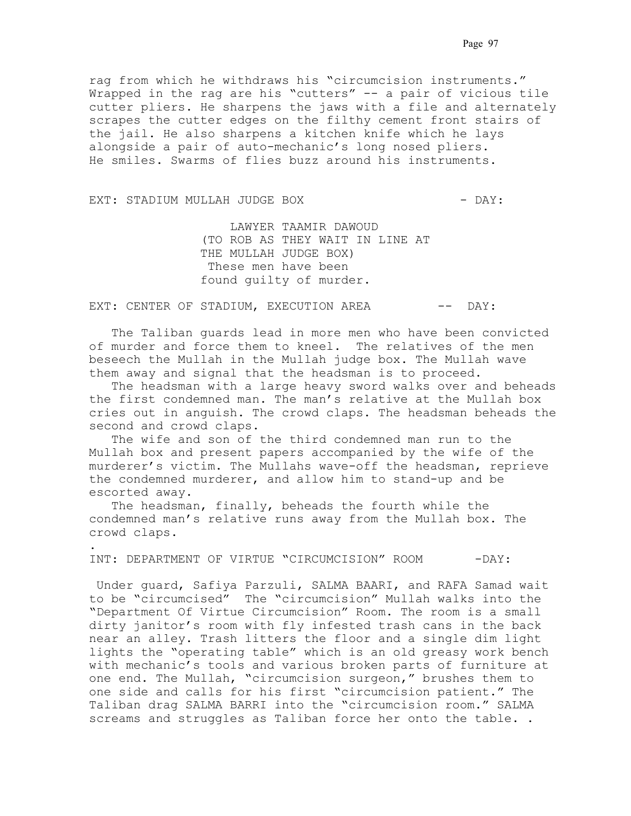rag from which he withdraws his "circumcision instruments." Wrapped in the rag are his "cutters" -- a pair of vicious tile cutter pliers. He sharpens the jaws with a file and alternately scrapes the cutter edges on the filthy cement front stairs of the jail. He also sharpens a kitchen knife which he lays alongside a pair of auto-mechanic's long nosed pliers. He smiles. Swarms of flies buzz around his instruments.

#### EXT: STADIUM MULLAH JUDGE BOX - DAY:

.

 LAWYER TAAMIR DAWOUD. (TO ROB AS THEY WAIT IN LINE AT THE MULLAH JUDGE BOX) .These men have been found guilty of murder. .

EXT: CENTER OF STADIUM, EXECUTION AREA -- DAY:

 The Taliban guards lead in more men who have been convicted of murder and force them to kneel. The relatives of the men beseech the Mullah in the Mullah judge box. The Mullah wave them away and signal that the headsman is to proceed..

 The headsman with a large heavy sword walks over and beheads the first condemned man. The man's relative at the Mullah box cries out in anguish. The crowd claps. The headsman beheads the second and crowd claps..

 The wife and son of the third condemned man run to the Mullah box and present papers accompanied by the wife of the murderer's victim. The Mullahs wave-off the headsman, reprieve the condemned murderer, and allow him to stand-up and be escorted away..

The headsman, finally, beheads the fourth while the condemned man's relative runs away from the Mullah box. The crowd claps..

INT: DEPARTMENT OF VIRTUE "CIRCUMCISION" ROOM - DAY:

 Under guard, Safiya Parzuli, SALMA BAARI, and RAFA Samad wait to be "circumcised" The "circumcision" Mullah walks into the "Department Of Virtue Circumcision" Room. The room is a small dirty janitor's room with fly infested trash cans in the back near an alley. Trash litters the floor and a single dim light lights the "operating table" which is an old greasy work bench with mechanic's tools and various broken parts of furniture at one end. The Mullah, "circumcision surgeon," brushes them to one side and calls for his first "circumcision patient." The Taliban drag SALMA BARRI into the "circumcision room." SALMA screams and struggles as Taliban force her onto the table. . .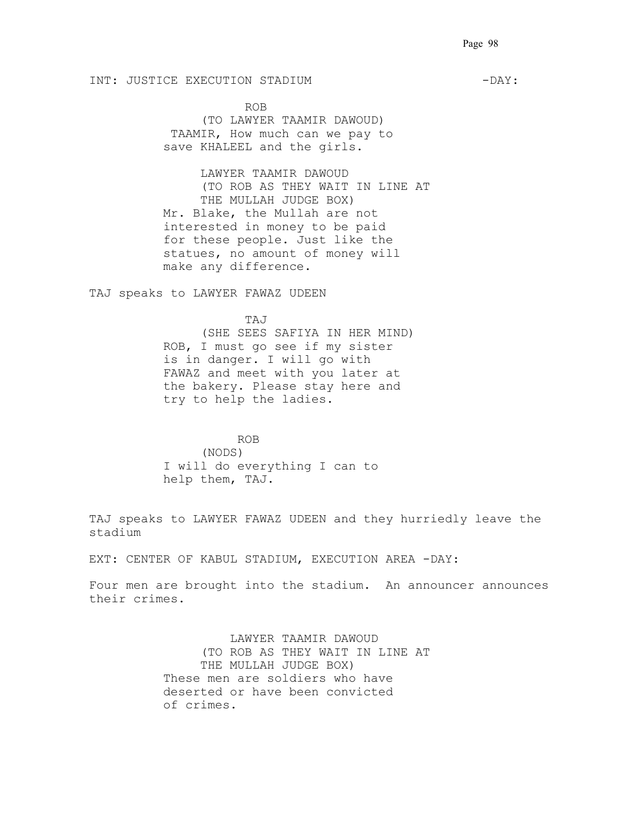## INT: JUSTICE EXECUTION STADIUM  $-DAY$ :

.ROB.

(TO LAWYER TAAMIR DAWOUD) TAAMIR, How much can we pay to save KHALEEL and the girls..

LAWYER TAAMIR DAWOUD (TO ROB AS THEY WAIT IN LINE AT THE MULLAH JUDGE BOX) Mr. Blake, the Mullah are not interested in money to be paid for these people. Just like the statues, no amount of money will make any difference.

TAJ speaks to LAWYER FAWAZ UDEEN

.TAJ.

(SHE SEES SAFIYA IN HER MIND) ROB, I must go see if my sister is in danger. I will go with FAWAZ and meet with you later at the bakery. Please stay here and try to help the ladies. .

### ROB.

(NODS) I will do everything I can to help them, TAJ.

TAJ speaks to LAWYER FAWAZ UDEEN and they hurriedly leave the stadium.<br>

EXT: CENTER OF KABUL STADIUM, EXECUTION AREA -DAY:

Four men are brought into the stadium. An announcer announces their crimes.

> LAWYER TAAMIR DAWOUD. (TO ROB AS THEY WAIT IN LINE AT THE MULLAH JUDGE BOX) These men are soldiers who have deserted or have been convicted of crimes.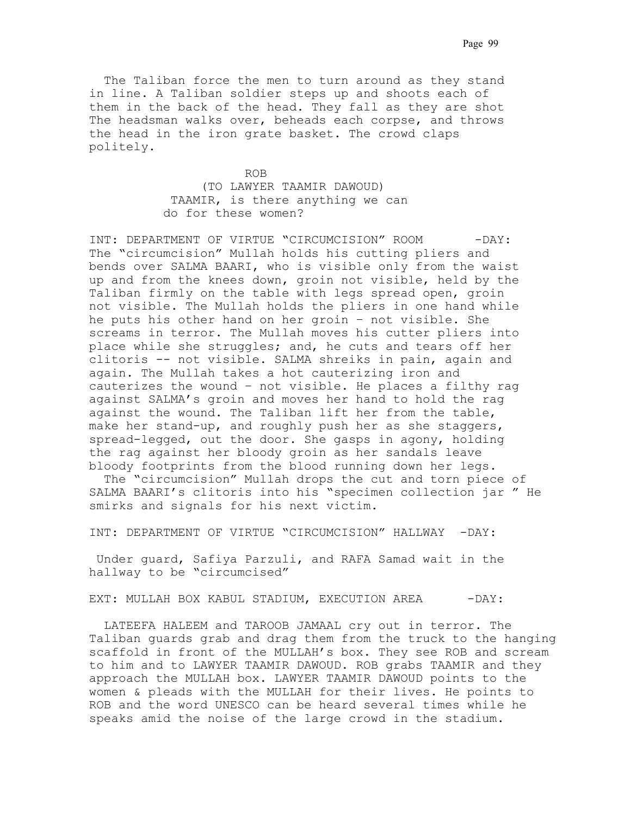The Taliban force the men to turn around as they stand in line. A Taliban soldier steps up and shoots each of them in the back of the head. They fall as they are shot The headsman walks over, beheads each corpse, and throws the head in the iron grate basket. The crowd claps politely.

 .ROB. (TO LAWYER TAAMIR DAWOUD) TAAMIR, is there anything we can do for these women?

INT: DEPARTMENT OF VIRTUE "CIRCUMCISION" ROOM - DAY: The "circumcision" Mullah holds his cutting pliers and bends over SALMA BAARI, who is visible only from the waist up and from the knees down, groin not visible, held by the Taliban firmly on the table with legs spread open, groin not visible. The Mullah holds the pliers in one hand while he puts his other hand on her groin - not visible. She screams in terror. The Mullah moves his cutter pliers into place while she struggles; and, he cuts and tears off her clitoris -- not visible. SALMA shreiks in pain, again and again. The Mullah takes a hot cauterizing iron and cauterizes the wound - not visible. He places a filthy rag against SALMA's groin and moves her hand to hold the rag against the wound. The Taliban lift her from the table, make her stand-up, and roughly push her as she staggers, spread-legged, out the door. She gasps in agony, holding the rag against her bloody groin as her sandals leave bloody footprints from the blood running down her legs. .

. The "circumcision" Mullah drops the cut and torn piece of SALMA BAARI's clitoris into his "specimen collection jar " He smirks and signals for his next victim.

INT: DEPARTMENT OF VIRTUE "CIRCUMCISION" HALLWAY -DAY:

 Under guard, Safiya Parzuli, and RAFA Samad wait in the hallway to be "circumcised".

EXT: MULLAH BOX KABUL STADIUM, EXECUTION AREA -DAY:

LATEEFA HALEEM and TAROOB JAMAAL cry out in terror. The Taliban guards grab and drag them from the truck to the hanging scaffold in front of the MULLAH's box. They see ROB and scream to him and to LAWYER TAAMIR DAWOUD. ROB grabs TAAMIR and they approach the MULLAH box. LAWYER TAAMIR DAWOUD points to the women & pleads with the MULLAH for their lives. He points to ROB and the word UNESCO can be heard several times while he speaks amid the noise of the large crowd in the stadium..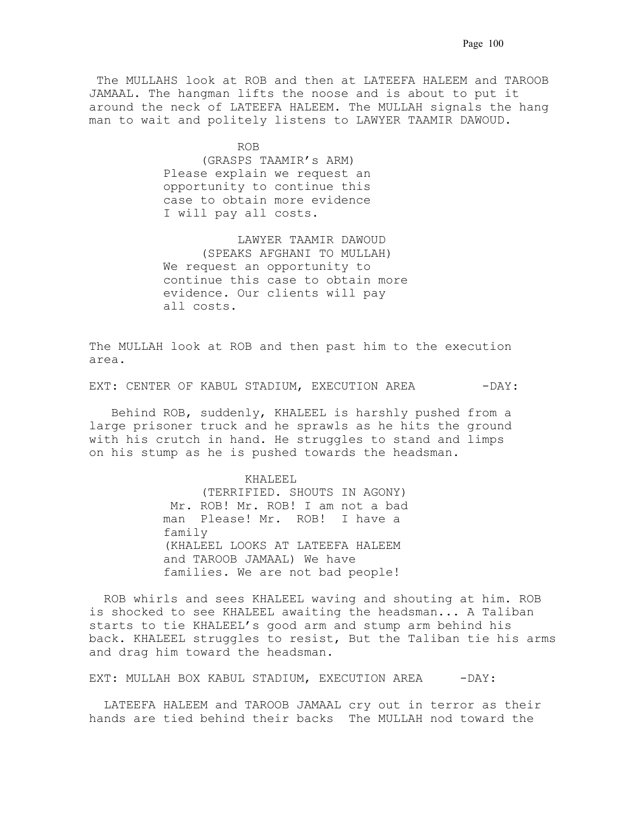The MULLAHS look at ROB and then at LATEEFA HALEEM and TAROOB JAMAAL. The hangman lifts the noose and is about to put it around the neck of LATEEFA HALEEM. The MULLAH signals the hang man to wait and politely listens to LAWYER TAAMIR DAWOUD.

**ROB.** ROB. (GRASPS TAAMIR's ARM) Please explain we request an opportunity to continue this case to obtain more evidence. I will pay all costs.

> LAWYER TAAMIR DAWOUD. (SPEAKS AFGHANI TO MULLAH) We request an opportunity to continue this case to obtain more evidence. Our clients will pay all costs.

The MULLAH look at ROB and then past him to the execution area... . . . . . . . . . . . . . . . . . . . . . . .

EXT: CENTER OF KABUL STADIUM, EXECUTION AREA -DAY:

 Behind ROB, suddenly, KHALEEL is harshly pushed from a large prisoner truck and he sprawls as he hits the ground with his crutch in hand. He struggles to stand and limps on his stump as he is pushed towards the headsman.

> .KHALEEL. (TERRIFIED. SHOUTS IN AGONY) Mr. ROB! Mr. ROB! I am not a bad man Please! Mr. ROB! I have a family. (KHALEEL LOOKS AT LATEEFA HALEEM and TAROOB JAMAAL) We have families. We are not bad people!.

. ROB whirls and sees KHALEEL waving and shouting at him. ROB is shocked to see KHALEEL awaiting the headsman... A Taliban starts to tie KHALEEL's good arm and stump arm behind his back. KHALEEL struggles to resist, But the Taliban tie his arms and drag him toward the headsman..

EXT: MULLAH BOX KABUL STADIUM, EXECUTION AREA - - DAY:

. LATEEFA HALEEM and TAROOB JAMAAL cry out in terror as their hands are tied behind their backs. The MULLAH nod toward the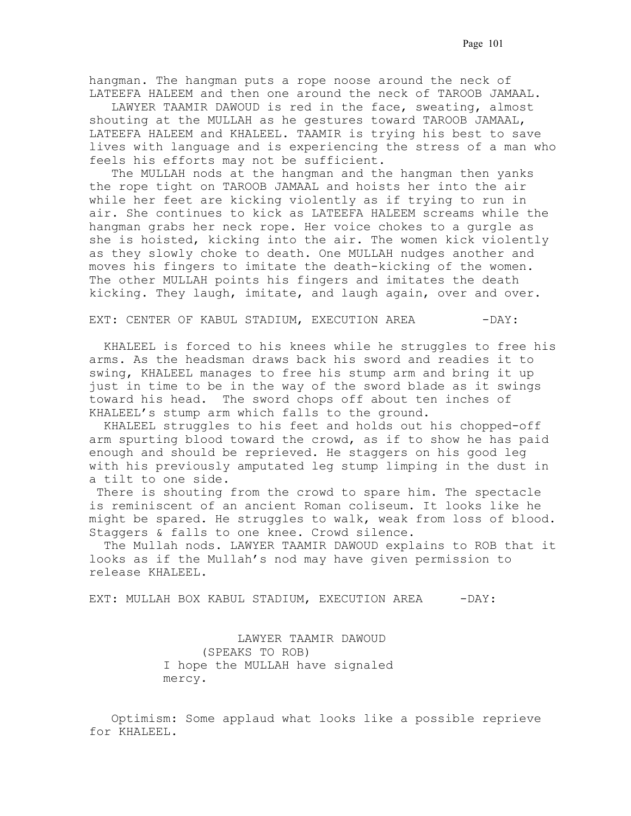hangman. The hangman puts a rope noose around the neck of LATEEFA HALEEM and then one around the neck of TAROOB JAMAAL..

 LAWYER TAAMIR DAWOUD is red in the face, sweating, almost shouting at the MULLAH as he gestures toward TAROOB JAMAAL, LATEEFA HALEEM and KHALEEL. TAAMIR is trying his best to save lives with language and is experiencing the stress of a man who feels his efforts may not be sufficient..

 The MULLAH nods at the hangman and the hangman then yanks the rope tight on TAROOB JAMAAL and hoists her into the air while her feet are kicking violently as if trying to run in air. She continues to kick as LATEEFA HALEEM screams while the hangman grabs her neck rope. Her voice chokes to a gurgle as she is hoisted, kicking into the air. The women kick violently as they slowly choke to death. One MULLAH nudges another and moves his fingers to imitate the death-kicking of the women. The other MULLAH points his fingers and imitates the death kicking. They laugh, imitate, and laugh again, over and over.

EXT: CENTER OF KABUL STADIUM, EXECUTION AREA -DAY:

 KHALEEL is forced to his knees while he struggles to free his arms. As the headsman draws back his sword and readies it to swing, KHALEEL manages to free his stump arm and bring it up just in time to be in the way of the sword blade as it swings toward his head.. The sword chops off about ten inches of KHALEEL's stump arm which falls to the ground..

 KHALEEL struggles to his feet and holds out his chopped-off arm spurting blood toward the crowd, as if to show he has paid enough and should be reprieved. He staggers on his good leg with his previously amputated leg stump limping in the dust in a tilt to one side.

 There is shouting from the crowd to spare him. The spectacle is reminiscent of an ancient Roman coliseum. It looks like he might be spared. He struggles to walk, weak from loss of blood. Staggers & falls to one knee. Crowd silence..

 The Mullah nods. LAWYER TAAMIR DAWOUD explains to ROB that it looks as if the Mullah's nod may have given permission to release KHALEEL..

EXT: MULLAH BOX KABUL STADIUM, EXECUTION AREA - DAY:

 LAWYER TAAMIR DAWOUD. (SPEAKS TO ROB) I hope the MULLAH have signaled mercy.

 Optimism: Some applaud what looks like a possible reprieve for KHALEEL..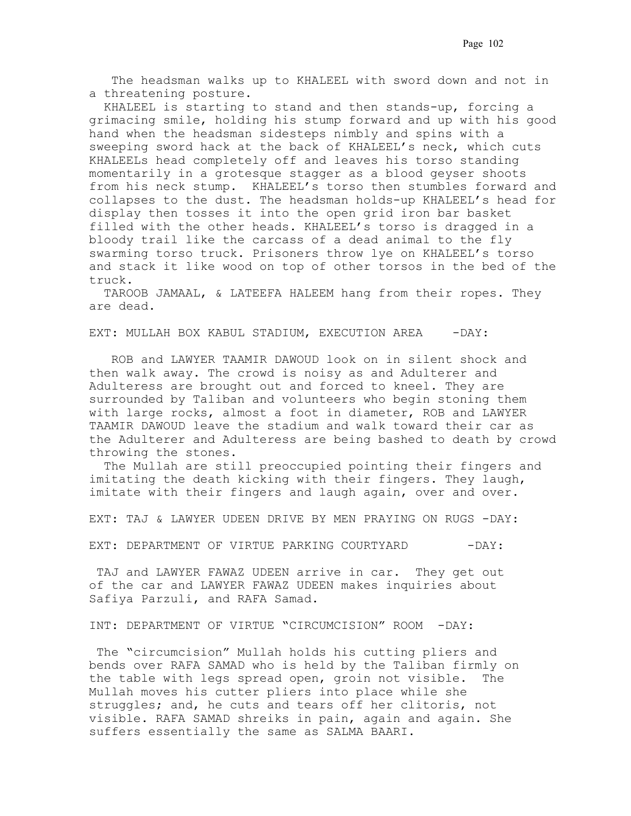The headsman walks up to KHALEEL with sword down and not in a threatening posture.

 KHALEEL is starting to stand and then stands-up, forcing a grimacing smile, holding his stump forward and up with his good hand when the headsman sidesteps nimbly and spins with a sweeping sword hack at the back of KHALEEL's neck, which cuts KHALEELs head completely off and leaves his torso standing momentarily in a grotesque stagger as a blood geyser shoots from his neck stump. KHALEEL's torso then stumbles forward and collapses to the dust. The headsman holds-up KHALEEL's head for display then tosses it into the open grid iron bar basket filled with the other heads. KHALEEL's torso is dragged in a bloody trail like the carcass of a dead animal to the fly swarming torso truck. Prisoners throw lye on KHALEEL's torso and stack it like wood on top of other torsos in the bed of the truck..

 TAROOB JAMAAL, & LATEEFA HALEEM hang from their ropes. They are dead.

EXT: MULLAH BOX KABUL STADIUM, EXECUTION AREA - - DAY:

 ROB and LAWYER TAAMIR DAWOUD look on in silent shock and then walk away. The crowd is noisy as and Adulterer and Adulteress are brought out and forced to kneel. They are surrounded by Taliban and volunteers who begin stoning them with large rocks, almost a foot in diameter, ROB and LAWYER TAAMIR DAWOUD leave the stadium and walk toward their car as the Adulterer and Adulteress are being bashed to death by crowd throwing the stones.

 The Mullah are still preoccupied pointing their fingers and imitating the death kicking with their fingers. They laugh, imitate with their fingers and laugh again, over and over.

EXT: TAJ & LAWYER UDEEN DRIVE BY MEN PRAYING ON RUGS -DAY:

EXT: DEPARTMENT OF VIRTUE PARKING COURTYARD -DAY:

TAJ and LAWYER FAWAZ UDEEN arrive in car. They get out of the car and LAWYER FAWAZ UDEEN makes inquiries about Safiya Parzuli, and RAFA Samad.

INT: DEPARTMENT OF VIRTUE "CIRCUMCISION" ROOM -DAY:

 The "circumcision" Mullah holds his cutting pliers and bends over RAFA SAMAD who is held by the Taliban firmly on the table with legs spread open, groin not visible. The Mullah moves his cutter pliers into place while she struggles; and, he cuts and tears off her clitoris, not visible. RAFA SAMAD shreiks in pain, again and again. She suffers essentially the same as SALMA BAARI..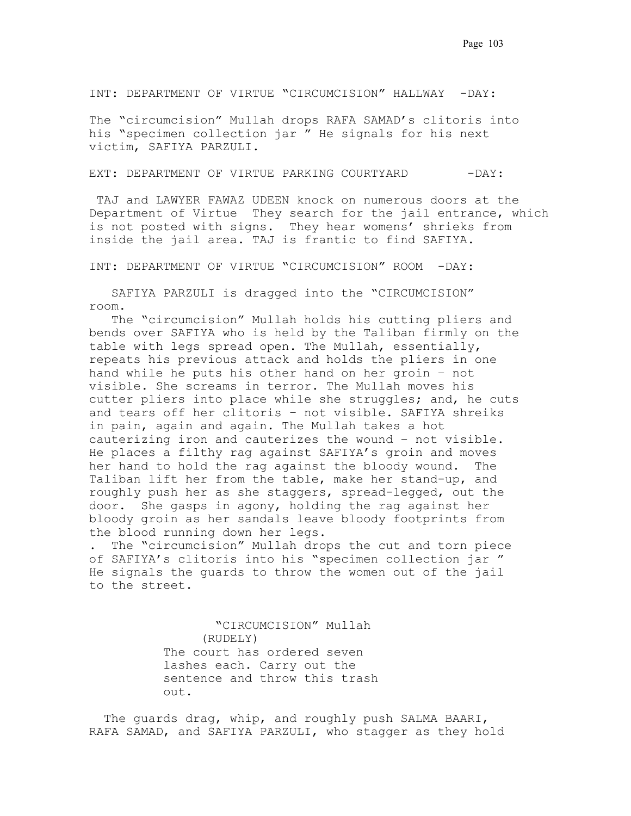INT: DEPARTMENT OF VIRTUE "CIRCUMCISION" HALLWAY -DAY:

The "circumcision" Mullah drops RAFA SAMAD's clitoris into his "specimen collection jar." He signals for his next victim, SAFIYA PARZULI..

EXT: DEPARTMENT OF VIRTUE PARKING COURTYARD -DAY:

.TAJ and LAWYER FAWAZ UDEEN knock on numerous doors at the Department of Virtue They search for the jail entrance, which is not posted with signs. They hear womens' shrieks from inside the jail area. TAJ is frantic to find SAFIYA.

INT: DEPARTMENT OF VIRTUE "CIRCUMCISION" ROOM -DAY:

 SAFIYA PARZULI is dragged into the "CIRCUMCISION" room.

 The "circumcision" Mullah holds his cutting pliers and bends over SAFIYA who is held by the Taliban firmly on the table with legs spread open. The Mullah, essentially, repeats his previous attack and holds the pliers in one hand while he puts his other hand on her groin – not visible. She screams in terror. The Mullah moves his cutter pliers into place while she struggles; and, he cuts and tears off her clitoris – not visible. SAFIYA shreiks in pain, again and again. The Mullah takes a hot cauterizing iron and cauterizes the wound – not visible.. He places a filthy rag against SAFIYA's groin and moves her hand to hold the rag against the bloody wound.. The Taliban lift her from the table, make her stand-up, and roughly push her as she staggers, spread-legged, out the door.. She gasps in agony, holding the rag against her bloody groin as her sandals leave bloody footprints from the blood running down her legs. .

. The "circumcision" Mullah drops the cut and torn piece of SAFIYA's clitoris into his "specimen collection jar." He signals the guards to throw the women out of the jail to the street.

> "CIRCUMCISION" Mullah. (RUDELY) The court has ordered seven lashes each. Carry out the sentence and throw this trash out.

 The guards drag, whip, and roughly push SALMA BAARI, RAFA SAMAD, and SAFIYA PARZULI, who stagger as they hold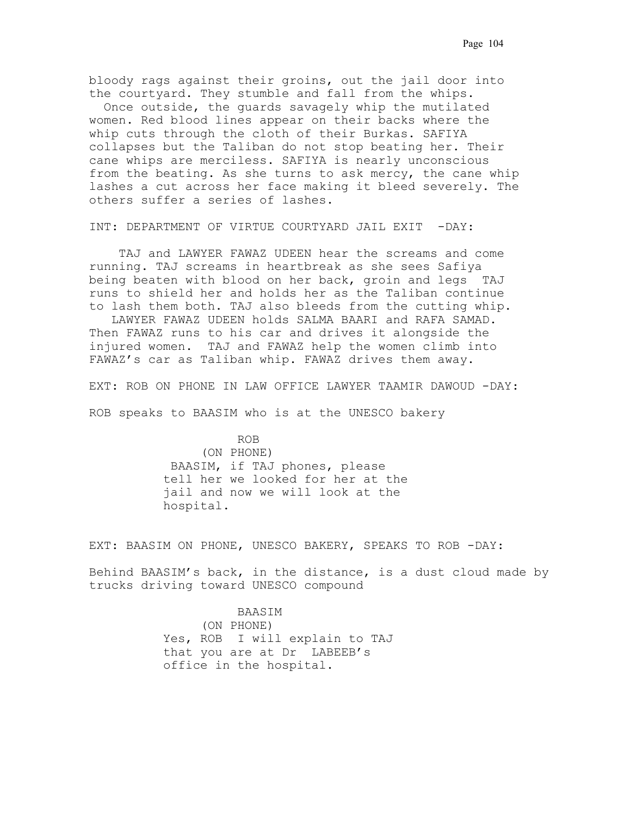bloody rags against their groins, out the jail door into the courtyard. They stumble and fall from the whips..

 Once outside, the guards savagely whip the mutilated women. Red blood lines appear on their backs where the whip cuts through the cloth of their Burkas. SAFIYA collapses but the Taliban do not stop beating her. Their cane whips are merciless. SAFIYA is nearly unconscious from the beating. As she turns to ask mercy, the cane whip lashes a cut across her face making it bleed severely. The others suffer a series of lashes.

INT: DEPARTMENT OF VIRTUE COURTYARD JAIL EXIT -DAY:

TAJ and LAWYER FAWAZ UDEEN hear the screams and come running. TAJ screams in heartbreak as she sees Safiya being beaten with blood on her back, groin and legs. TAJ runs to shield her and holds her as the Taliban continue to lash them both. TAJ also bleeds from the cutting whip..

 LAWYER FAWAZ UDEEN holds SALMA BAARI and RAFA SAMAD.. Then FAWAZ runs to his car and drives it alongside the injured women.. TAJ and FAWAZ help the women climb into FAWAZ's car as Taliban whip. FAWAZ drives them away..

EXT: ROB ON PHONE IN LAW OFFICE LAWYER TAAMIR DAWOUD -DAY:

ROB speaks to BAASIM who is at the UNESCO bakery

 ROB (ON PHONE) .BAASIM, if TAJ phones, please tell her we looked for her at the jail and now we will look at the hospital.

EXT: BAASIM ON PHONE, UNESCO BAKERY, SPEAKS TO ROB -DAY:

Behind BAASIM's back, in the distance, is a dust cloud made by trucks driving toward UNESCO compound

> BAASIM. (ON PHONE) Yes, ROB I will explain to TAJ that you are at Dr. LABEEB's office in the hospital.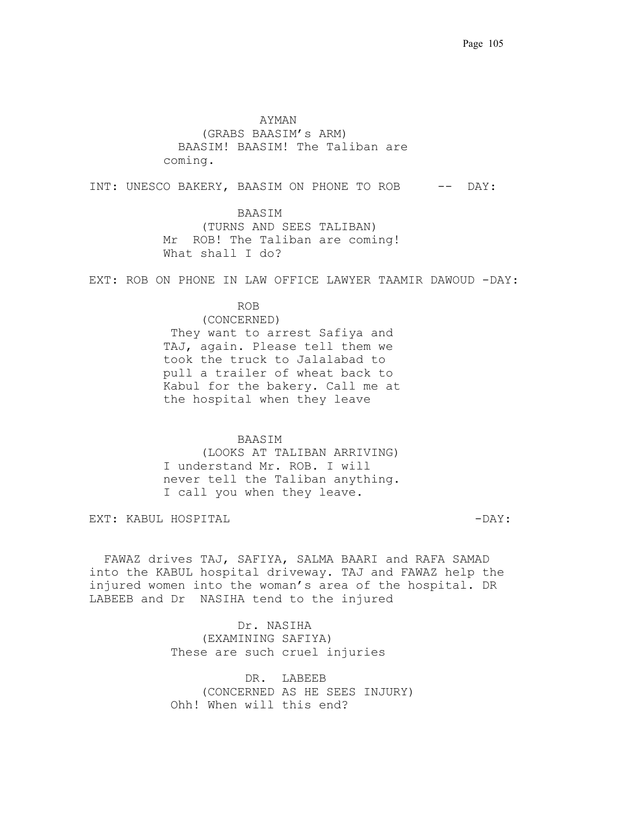. AYMAN (GRABS BAASIM's ARM) . BAASIM! BAASIM! The Taliban are coming.

INT: UNESCO BAKERY, BAASIM ON PHONE TO ROB -- DAY:

 BAASIM (TURNS AND SEES TALIBAN) Mr ROB! The Taliban are coming! What shall I do?

EXT: ROB ON PHONE IN LAW OFFICE LAWYER TAAMIR DAWOUD -DAY:

 ROB. (CONCERNED) They want to arrest Safiya and TAJ, again. Please tell them we took the truck to Jalalabad to pull a trailer of wheat back to Kabul for the bakery. Call me at the hospital when they leave

 BAASIM (LOOKS AT TALIBAN ARRIVING) I understand Mr. ROB. I will never tell the Taliban anything. I call you when they leave.

EXT: KABUL HOSPITAL - DAY: THE SERVICE OF SALE OF STRIPS AND HER SERVICE.

 FAWAZ drives TAJ, SAFIYA, SALMA BAARI and RAFA SAMAD into the KABUL hospital driveway..TAJ and FAWAZ help the injured women into the woman's area of the hospital. DR. LABEEB and Dr NASIHA tend to the injured

> Dr. NASIHA (EXAMINING SAFIYA) These are such cruel injuries

DR. LABEEB (CONCERNED AS HE SEES INJURY) .Ohh! When will this end?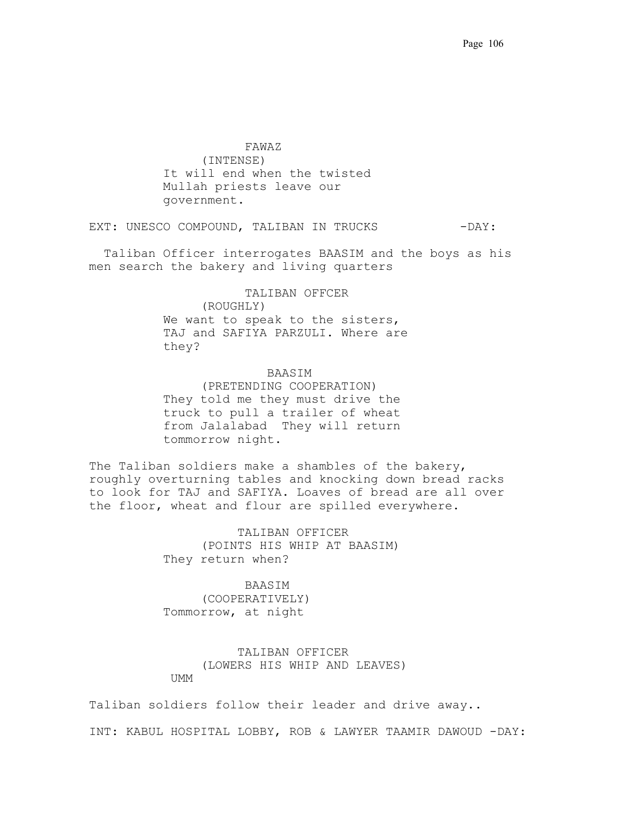.FAWAZ. (INTENSE) It will end when the twisted Mullah priests leave our government.

EXT: UNESCO COMPOUND, TALIBAN IN TRUCKS -DAY:

. Taliban Officer interrogates BAASIM and the boys as his men search the bakery and living quarters

> .TALIBAN OFFCER. (ROUGHLY) We want to speak to the sisters, TAJ and SAFIYA PARZULI. Where are they?

 .BAASIM (PRETENDING COOPERATION) They told me they must drive the truck to pull a trailer of wheat from Jalalabad. They will return tommorrow night.

The Taliban soldiers make a shambles of the bakery, roughly overturning tables and knocking down bread racks to look for TAJ and SAFIYA. Loaves of bread are all over the floor, wheat and flour are spilled everywhere.

> .TALIBAN OFFICER. (POINTS HIS WHIP AT BAASIM) They return when?

. BAASIM . (COOPERATIVELY)

Tommorrow, at night

 .TALIBAN OFFICER. (LOWERS HIS WHIP AND LEAVES) UMM

Taliban soldiers follow their leader and drive away..

INT: KABUL HOSPITAL LOBBY, ROB & LAWYER TAAMIR DAWOUD -DAY: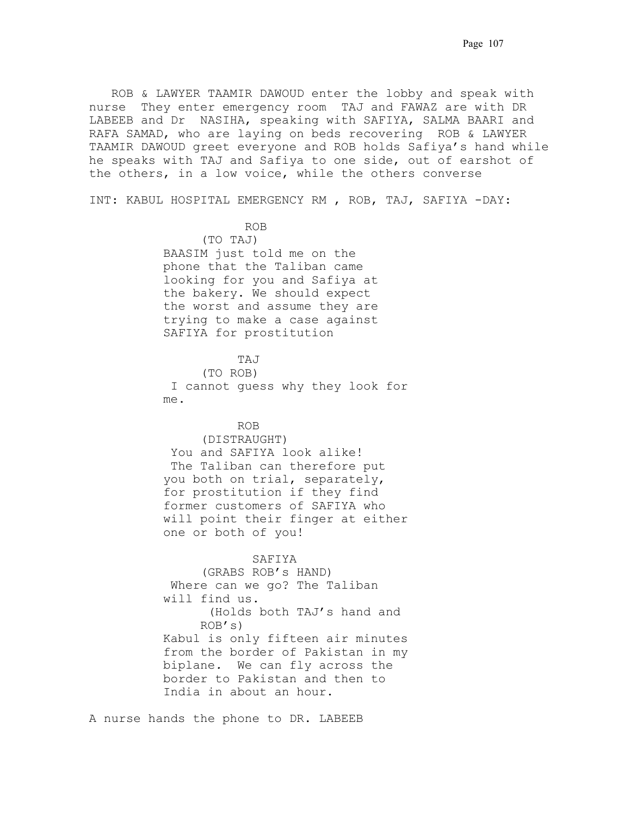ROB & LAWYER TAAMIR DAWOUD enter the lobby and speak with nurse. They enter emergency room. TAJ and FAWAZ are with DR. LABEEB and Dr. NASIHA, speaking with SAFIYA, SALMA BAARI and RAFA SAMAD, who are laying on beds recovering ROB & LAWYER TAAMIR DAWOUD greet everyone and ROB holds Safiya's hand while he speaks with TAJ and Safiya to one side, out of earshot of the others, in a low voice, while the others converse

INT: KABUL HOSPITAL EMERGENCY RM., ROB, TAJ, SAFIYA -DAY:

.ROB

(TO TAJ) BAASIM just told me on the phone that the Taliban came looking for you and Safiya at the bakery. We should expect the worst and assume they are trying to make a case against SAFIYA for prostitution

**TAJ** (TO ROB) .I cannot guess why they look for  $m$ e.

ROB. (DISTRAUGHT) You and SAFIYA look alike! The Taliban can therefore put you both on trial, separately, for prostitution if they find former customers of SAFIYA who will point their finger at either one or both of you!

 . SAFIYA. (GRABS ROB's HAND) Where can we go? The Taliban will find us. (Holds both TAJ's hand and ROB's) Kabul is only fifteen air minutes from the border of Pakistan in my biplane*.*. We can fly across the border to Pakistan and then to India in about an hour.

A nurse hands the phone to DR. LABEEB.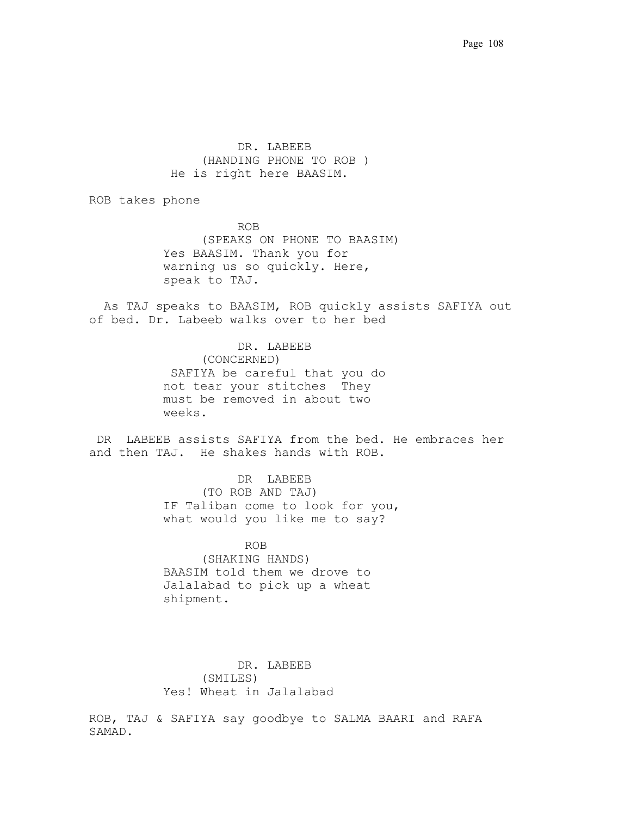DR. LABEEB (HANDING PHONE TO ROB ) He is right here BAASIM.

ROB takes phone

 ROB. (SPEAKS ON PHONE TO BAASIM) Yes BAASIM. Thank you for warning us so quickly. Here, speak to TAJ.

. As TAJ speaks to BAASIM, ROB quickly assists SAFIYA out of bed. Dr. Labeeb walks over to her bed

> DR. LABEEB (CONCERNED) SAFIYA be careful that you do not tear your stitches They must be removed in about two weeks.

DR LABEEB assists SAFIYA from the bed. He embraces her and then TAJ. He shakes hands with ROB.

> DR. LABEEB. (TO ROB AND TAJ) IF Taliban come to look for you, what would you like me to say?

 .ROB (SHAKING HANDS) BAASIM told them we drove to Jalalabad to pick up a wheat shipment.

DR. LABEEB (SMILES) Yes! Wheat in Jalalabad

ROB, TAJ & SAFIYA say goodbye to SALMA BAARI and RAFA SAMAD.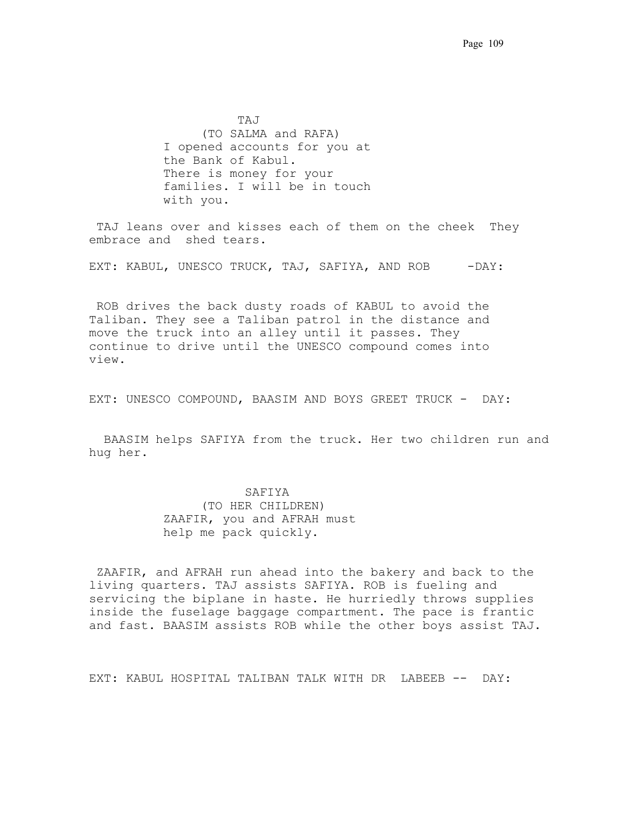TAJ (TO SALMA and RAFA) I opened accounts for you at the Bank of Kabul. There is money for your families. I will be in touch with you.

TAJ leans over and kisses each of them on the cheek They embrace and shed tears..

EXT: KABUL, UNESCO TRUCK, TAJ, SAFIYA, AND ROB - DAY:

 ROB drives the back dusty roads of KABUL to avoid the Taliban. They see a Taliban patrol in the distance and move the truck into an alley until it passes. They continue to drive until the UNESCO compound comes into view..

EXT: UNESCO COMPOUND, BAASIM AND BOYS GREET TRUCK - DAY:

 BAASIM helps SAFIYA from the truck. Her two children run and hug her.

## .SAFIYA

(TO HER CHILDREN) ZAAFIR, you and AFRAH must help me pack quickly.

 ZAAFIR, and AFRAH run ahead into the bakery and back to the living quarters. TAJ assists SAFIYA. ROB is fueling and servicing the biplane in haste. He hurriedly throws supplies inside the fuselage baggage compartment. The pace is frantic and fast. BAASIM assists ROB while the other boys assist TAJ.

EXT: KABUL HOSPITAL TALIBAN TALK WITH DR. LABEEB -- DAY: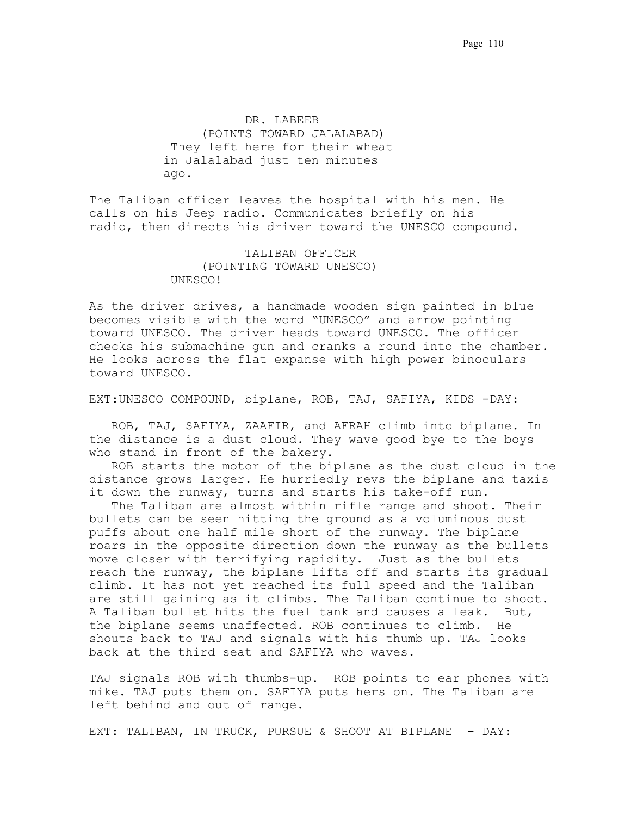.DR. LABEEB (POINTS TOWARD JALALABAD) They left here for their wheat in Jalalabad just ten minutes ago.. . . . . .

The Taliban officer leaves the hospital with his men. He calls on his Jeep radio. Communicates briefly on his radio, then directs his driver toward the UNESCO compound.

> .TALIBAN OFFICER (POINTING TOWARD UNESCO) .UNESCO! . . . . . . . . . . . .

As the driver drives, a handmade wooden sign painted in blue becomes visible with the word "UNESCO" and arrow pointing toward UNESCO. The driver heads toward UNESCO. The officer checks his submachine gun and cranks a round into the chamber.. He looks across the flat expanse with high power binoculars toward UNESCO.

EXT:UNESCO COMPOUND, biplane, ROB, TAJ, SAFIYA, KIDS -DAY:

 ROB, TAJ, SAFIYA, ZAAFIR, and AFRAH climb into biplane. In the distance is a dust cloud. They wave good bye to the boys who stand in front of the bakery.

 ROB starts the motor of the biplane as the dust cloud in the distance grows larger. He hurriedly revs the biplane and taxis it down the runway, turns and starts his take-off run.

 The Taliban are almost within rifle range and shoot. Their bullets can be seen hitting the ground as a voluminous dust puffs about one half mile short of the runway. The biplane roars in the opposite direction down the runway as the bullets move closer with terrifying rapidity.. Just as the bullets reach the runway, the biplane lifts off and starts its gradual climb. It has not yet reached its full speed and the Taliban are still gaining as it climbs. The Taliban continue to shoot. A Taliban bullet hits the fuel tank and causes a leak. But, the biplane seems unaffected. ROB continues to climb. He shouts back to TAJ and signals with his thumb up. TAJ looks back at the third seat and SAFIYA who waves..

TAJ signals ROB with thumbs-up.. ROB points to ear phones with mike. TAJ puts them on. SAFIYA puts hers on. The Taliban are left behind and out of range.

EXT: TALIBAN, IN TRUCK, PURSUE & SHOOT AT BIPLANE - DAY: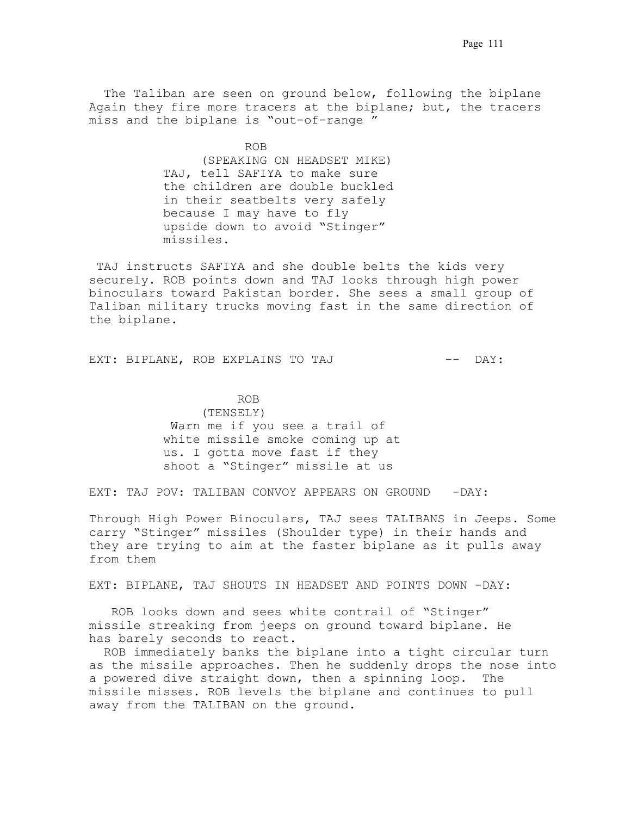The Taliban are seen on ground below, following the biplane Again they fire more tracers at the biplane; but, the tracers miss and the biplane is "out-of-range."

 .ROB. (SPEAKING ON HEADSET MIKE) TAJ, tell SAFIYA to make sure the children are double buckled in their seatbelts very safely because I may have to fly upside down to avoid "Stinger" missiles.

.TAJ instructs SAFIYA and she double belts the kids very securely. ROB points down and TAJ looks through high power binoculars toward Pakistan border. She sees a small group of Taliban military trucks moving fast in the same direction of the biplane.

EXT: BIPLANE, ROB EXPLAINS TO TAJ  $---$  DAY:

 ROB. (TENSELY) Warn me if you see a trail of white missile smoke coming up at us. I gotta move fast if they shoot a "Stinger" missile at us.

EXT: TAJ POV: TALIBAN CONVOY APPEARS ON GROUND - DAY:

Through High Power Binoculars, TAJ sees TALIBANS in Jeeps. Some carry "Stinger" missiles (Shoulder type) in their hands and they are trying to aim at the faster biplane as it pulls away from them.

EXT: BIPLANE, TAJ SHOUTS IN HEADSET AND POINTS DOWN -DAY:

 ROB looks down and sees white contrail of "Stinger" missile streaking from jeeps on ground toward biplane. He has barely seconds to react.

 ROB immediately banks the biplane into a tight circular turn as the missile approaches. Then he suddenly drops the nose into a powered dive straight down, then a spinning loop.. The missile misses. ROB levels the biplane and continues to pull away from the TALIBAN on the ground..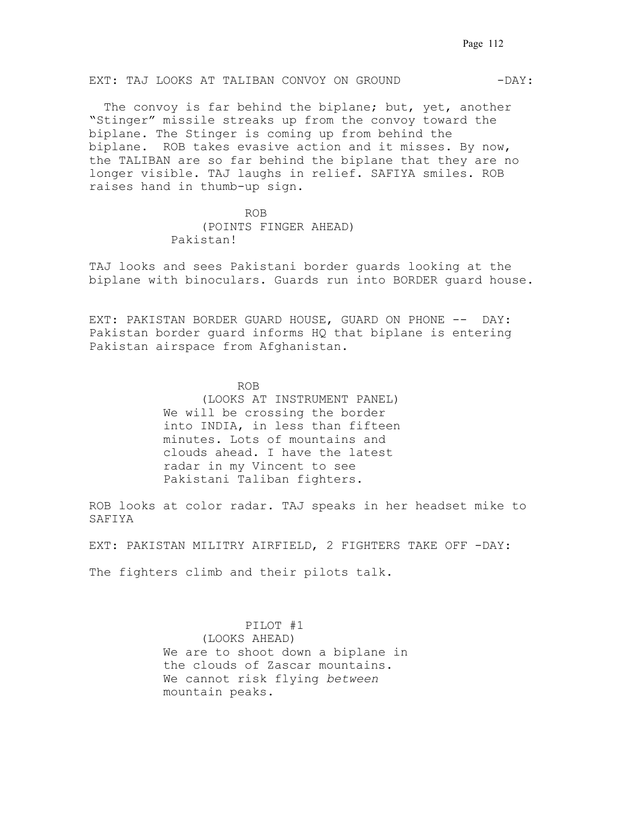## EXT: TAJ LOOKS AT TALIBAN CONVOY ON GROUND -  $\overline{DAY}:$

The convoy is far behind the biplane; but, yet, another "Stinger" missile streaks up from the convoy toward the biplane. The Stinger is coming up from behind the biplane. ROB takes evasive action and it misses. By now, the TALIBAN are so far behind the biplane that they are no longer visible. TAJ laughs in relief. SAFIYA smiles. ROB raises hand in thumb-up sign.

 .ROB (POINTS FINGER AHEAD) Pakistan!

TAJ looks and sees Pakistani border guards looking at the biplane with binoculars. Guards run into BORDER guard house.. .

EXT: PAKISTAN BORDER GUARD HOUSE, GUARD ON PHONE -- DAY: Pakistan border guard informs HQ that biplane is entering Pakistan airspace from Afghanistan.

> ROB. (LOOKS AT INSTRUMENT PANEL) We will be crossing the border into INDIA, in less than fifteen minutes. Lots of mountains and clouds ahead. I have the latest radar in my Vincent to see Pakistani Taliban fighters.

ROB looks at color radar. TAJ speaks in her headset mike to SAFIYA . . . . . . . . . . . . . . . . . . . . . . . . . . . .

EXT: PAKISTAN MILITRY AIRFIELD, 2 FIGHTERS TAKE OFF -DAY:

The fighters climb and their pilots talk.

 .PILOT #1. (LOOKS AHEAD) We are to shoot down a biplane in the clouds of Zascar mountains.. We cannot risk flying *between* mountain peaks.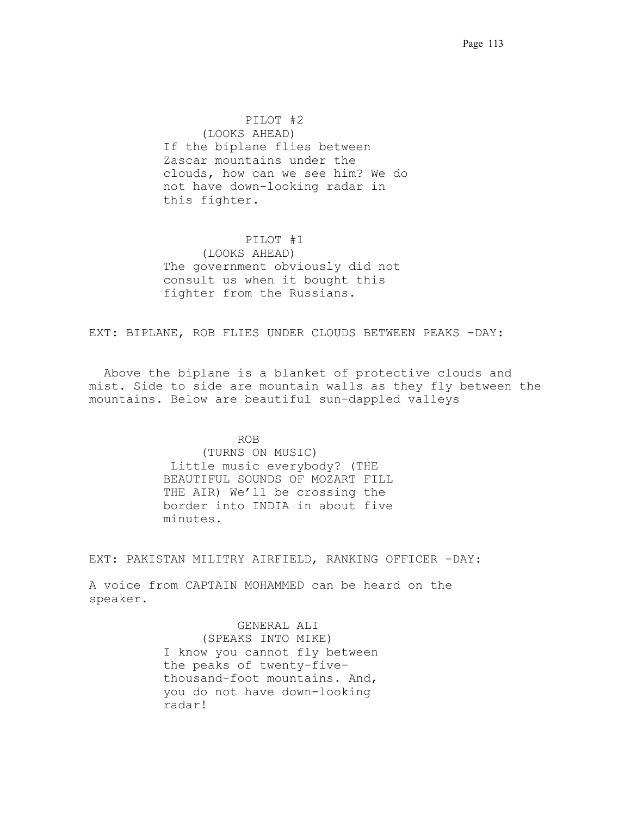.PILOT #2. (LOOKS AHEAD) If the biplane flies between Zascar mountains under the clouds, how can we see him? We do not have down-looking radar in this fighter.

 .PILOT #1. (LOOKS AHEAD) The government obviously did not consult us when it bought this fighter from the Russians.

EXT: BIPLANE, ROB FLIES UNDER CLOUDS BETWEEN PEAKS -DAY:

 Above the biplane is a blanket of protective clouds and mist. Side to side are mountain walls as they fly between the mountains. Below are beautiful sun-dappled valleys

## ROB

(TURNS ON MUSIC) .Little music everybody? (THE BEAUTIFUL SOUNDS OF MOZART FILL THE AIR) We'll be crossing the border into INDIA in about five minutes.

EXT: PAKISTAN MILITRY AIRFIELD, RANKING OFFICER -DAY:

A voice from CAPTAIN MOHAMMED can be heard on the speaker.

> GENERAL ALI (SPEAKS INTO MIKE) I know you cannot fly between the peaks of twenty-fivethousand-foot mountains. And, you do not have down-looking radar!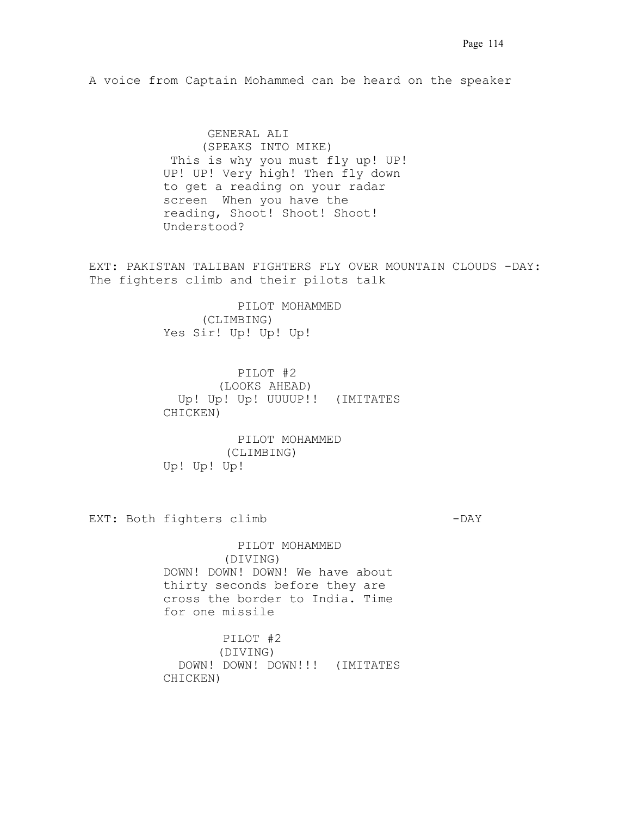A voice from Captain Mohammed can be heard on the speaker

. GENERAL ALI (SPEAKS INTO MIKE) This is why you must fly up! UP! UP! UP! Very high! Then fly down to get a reading on your radar screen. When you have the reading, Shoot! Shoot! Shoot! Understood?

EXT: PAKISTAN TALIBAN FIGHTERS FLY OVER MOUNTAIN CLOUDS -DAY: The fighters climb and their pilots talk

> PILOT MOHAMMED (CLIMBING) Yes Sir! Up! Up! Up!

 PILOT #2. (LOOKS AHEAD) Up! Up! Up! UUUUP!! (IMITATES CHICKEN)

 PILOT MOHAMMED (CLIMBING) Up! Up! Up!

EXT: Both fighters climb  $-DAY$ 

 PILOT MOHAMMED (DIVING) DOWN! DOWN! DOWN! We have about thirty seconds before they are cross the border to India. Time for one missile

 PILOT #2. (DIVING) DOWN! DOWN! DOWN!!! (IMITATES CHICKEN)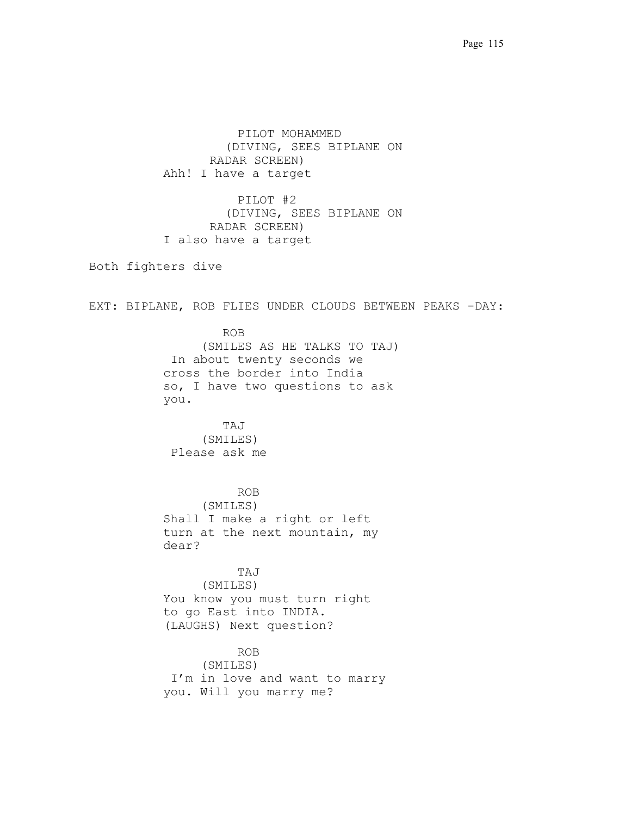PILOT MOHAMMED (DIVING, SEES BIPLANE ON RADAR SCREEN) Ahh! I have a target

 PILOT #2 (DIVING, SEES BIPLANE ON RADAR SCREEN) I also have a target

Both fighters dive

EXT: BIPLANE, ROB FLIES UNDER CLOUDS BETWEEN PEAKS -DAY:

 ROB (SMILES AS HE TALKS TO TAJ) .In about twenty seconds we cross the border into India so, I have two questions to ask  $you.$ 

 TAJ (SMILES) Please ask me.

 ROB . (SMILES) Shall I make a right or left turn at the next mountain, my dear?.

 TAJ (SMILES) You know you must turn right to go East into INDIA. (LAUGHS) Next question?

 ROB (SMILES) I'm in love and want to marry you. Will you marry me?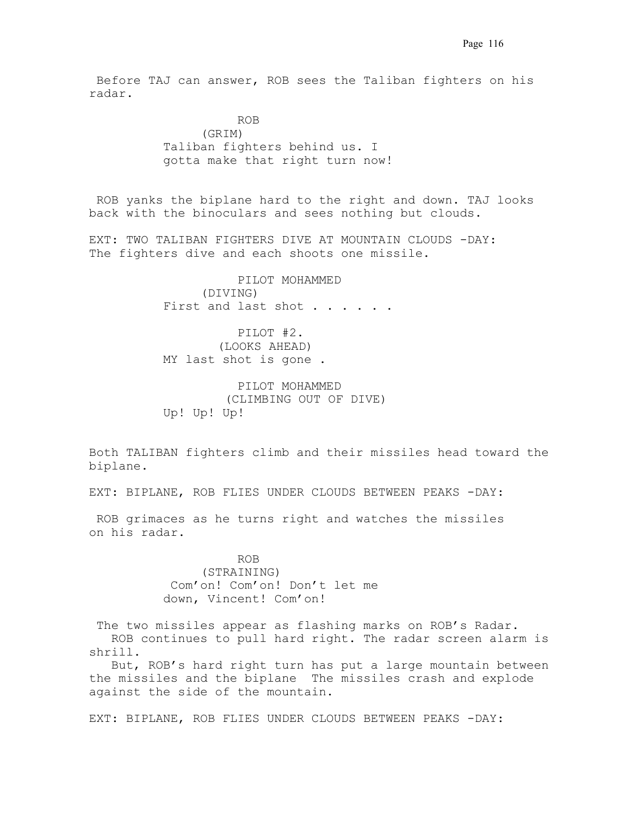.Before TAJ can answer, ROB sees the Taliban fighters on his radar.

**ROB.** ROB. (GRIM) Taliban fighters behind us. I gotta make that right turn now!

ROB yanks the biplane hard to the right and down. TAJ looks back with the binoculars and sees nothing but clouds.

EXT: TWO TALIBAN FIGHTERS DIVE AT MOUNTAIN CLOUDS -DAY: The fighters dive and each shoots one missile.

> PILOT MOHAMMED (DIVING) First and last shot . . . . . .

 PILOT #2. (LOOKS AHEAD) MY last shot is gone.

 PILOT MOHAMMED (CLIMBING OUT OF DIVE) Up! Up! Up!

Both TALIBAN fighters climb and their missiles head toward the biplane.

EXT: BIPLANE, ROB FLIES UNDER CLOUDS BETWEEN PEAKS -DAY:

 ROB grimaces as he turns right and watches the missiles on his radar.

> ROB (STRAINING) .Com'on! Com'on! Don't let me down, Vincent! Com'on!

The two missiles appear as flashing marks on ROB's Radar. . ROB continues to pull hard right. The radar screen alarm is shrill..

. But, ROB's hard right turn has put a large mountain between the missiles and the biplane. The missiles crash and explode against the side of the mountain.

EXT: BIPLANE, ROB FLIES UNDER CLOUDS BETWEEN PEAKS -DAY: